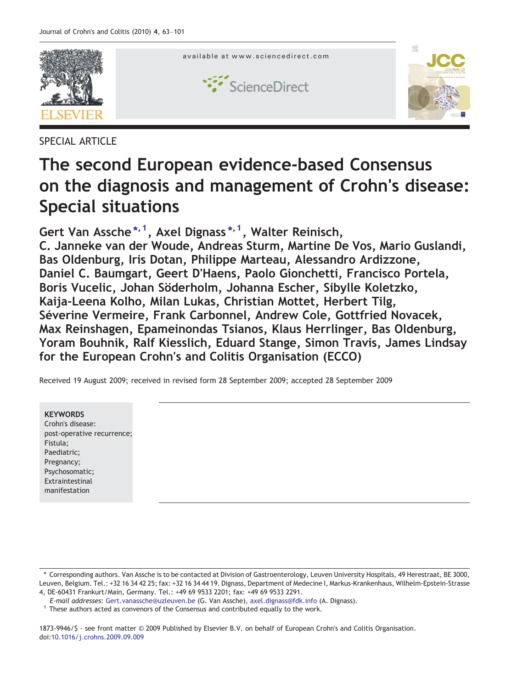

SPECIAL ARTICLE

# The second European evidence-based Consensus on the diagnosis and management of Crohn's disease: Special situations

Gert Van Assche<sup>\*, 1</sup>, Axel Dignass<sup>\*, 1</sup>, Walter Reinisch, C. Janneke van der Woude, Andreas Sturm, Martine De Vos, Mario Guslandi, Bas Oldenburg, Iris Dotan, Philippe Marteau, Alessandro Ardizzone, Daniel C. Baumgart, Geert D'Haens, Paolo Gionchetti, Francisco Portela, Boris Vucelic, Johan Söderholm, Johanna Escher, Sibylle Koletzko, Kaija-Leena Kolho, Milan Lukas, Christian Mottet, Herbert Tilg, Séverine Vermeire, Frank Carbonnel, Andrew Cole, Gottfried Novacek, Max Reinshagen, Epameinondas Tsianos, Klaus Herrlinger, Bas Oldenburg, Yoram Bouhnik, Ralf Kiesslich, Eduard Stange, Simon Travis, James Lindsay for the European Crohn's and Colitis Organisation (ECCO)

Received 19 August 2009; received in revised form 28 September 2009; accepted 28 September 2009

**KEYWORDS** Crohn's disease: post-operative recurrence; Fistula; Paediatric; Pregnancy; Psychosomatic; Extraintestinal manifestation

1873-9946/\$ - see front matter © 2009 Published by Elsevier B.V. on behalf of European Crohn's and Colitis Organisation. doi[:10.1016/j.crohns.2009.09.009](http://dx.doi.org/10.1016/j.crohns.2009.09.009)

<sup>⁎</sup> Corresponding authors. Van Assche is to be contacted at Division of Gastroenterology, Leuven University Hospitals, 49 Herestraat, BE 3000, Leuven, Belgium. Tel.: +32 16 34 42 25; fax: +32 16 34 44 19. Dignass, Department of Medecine I, Markus-Krankenhaus, Wilhelm-Epstein-Strasse 4, DE-60431 Frankurt/Main, Germany. Tel.: +49 69 9533 2201; fax: +49 69 9533 2291.

E-mail addresses: [Gert.vanassche@uzleuven.be](mailto:Gert.vanassche@uzleuven.be) (G. Van Assche), [axel.dignass@fdk.info](mailto:axel.dignass@fdk.info) (A. Dignass). <sup>1</sup> These authors acted as convenors of the Consensus and contributed equally to the work.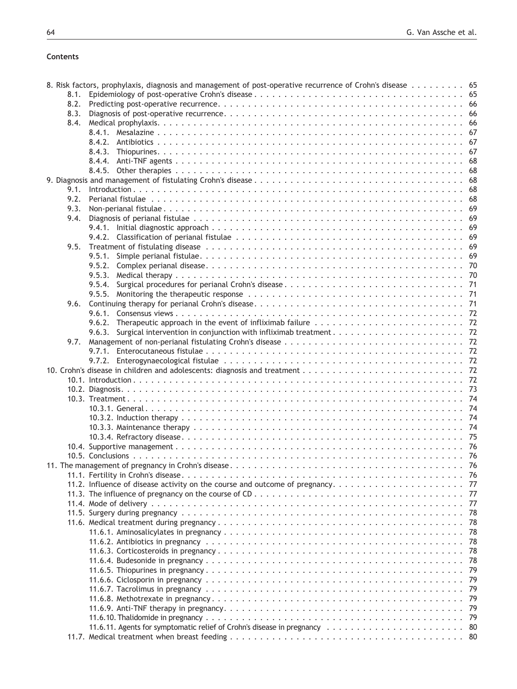# Contents

|      | 8. Risk factors, prophylaxis, diagnosis and management of post-operative recurrence of Crohn's disease 65 |    |
|------|-----------------------------------------------------------------------------------------------------------|----|
| 8.1. |                                                                                                           |    |
| 8.2. |                                                                                                           |    |
| 8.3. |                                                                                                           |    |
| 8.4. |                                                                                                           |    |
|      |                                                                                                           |    |
|      |                                                                                                           |    |
|      | 8.4.3.                                                                                                    |    |
|      |                                                                                                           |    |
|      |                                                                                                           |    |
|      |                                                                                                           |    |
| 9.1. |                                                                                                           |    |
| 9.2. |                                                                                                           |    |
| 9.3. |                                                                                                           |    |
| 9.4. |                                                                                                           |    |
|      |                                                                                                           |    |
|      |                                                                                                           |    |
| 9.5. |                                                                                                           |    |
|      | 9.5.1.                                                                                                    |    |
|      |                                                                                                           |    |
|      |                                                                                                           |    |
|      | 9.5.4.                                                                                                    |    |
|      |                                                                                                           |    |
| 9.6. |                                                                                                           |    |
|      |                                                                                                           |    |
|      |                                                                                                           |    |
|      |                                                                                                           |    |
| 9.7. |                                                                                                           |    |
|      |                                                                                                           |    |
|      |                                                                                                           |    |
|      |                                                                                                           |    |
|      |                                                                                                           |    |
|      |                                                                                                           |    |
|      |                                                                                                           |    |
|      |                                                                                                           |    |
|      |                                                                                                           |    |
|      |                                                                                                           |    |
|      |                                                                                                           |    |
|      |                                                                                                           |    |
|      |                                                                                                           |    |
|      |                                                                                                           | 76 |
|      |                                                                                                           |    |
|      |                                                                                                           |    |
|      |                                                                                                           |    |
|      |                                                                                                           |    |
|      |                                                                                                           |    |
|      |                                                                                                           |    |
|      |                                                                                                           |    |
|      |                                                                                                           |    |
|      |                                                                                                           |    |
|      |                                                                                                           |    |
|      |                                                                                                           |    |
|      |                                                                                                           |    |
|      |                                                                                                           |    |
|      |                                                                                                           |    |
|      |                                                                                                           |    |
|      |                                                                                                           |    |
|      |                                                                                                           |    |
|      |                                                                                                           |    |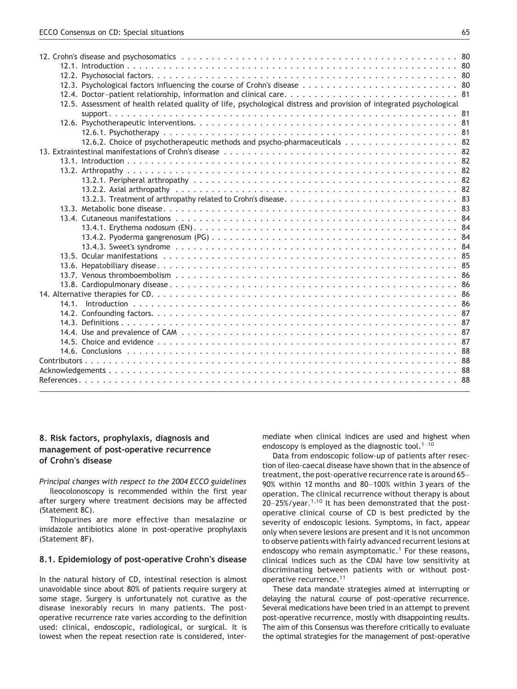| 12.5. Assessment of health related quality of life, psychological distress and provision of integrated psychological |  |
|----------------------------------------------------------------------------------------------------------------------|--|
|                                                                                                                      |  |
|                                                                                                                      |  |
|                                                                                                                      |  |
| 12.6.2. Choice of psychotherapeutic methods and psycho-pharmaceuticals 82                                            |  |
|                                                                                                                      |  |
|                                                                                                                      |  |
|                                                                                                                      |  |
|                                                                                                                      |  |
|                                                                                                                      |  |
|                                                                                                                      |  |
|                                                                                                                      |  |
|                                                                                                                      |  |
|                                                                                                                      |  |
|                                                                                                                      |  |
|                                                                                                                      |  |
|                                                                                                                      |  |
|                                                                                                                      |  |
|                                                                                                                      |  |
|                                                                                                                      |  |
|                                                                                                                      |  |
|                                                                                                                      |  |
|                                                                                                                      |  |
|                                                                                                                      |  |
|                                                                                                                      |  |
|                                                                                                                      |  |
|                                                                                                                      |  |
|                                                                                                                      |  |
|                                                                                                                      |  |
|                                                                                                                      |  |
|                                                                                                                      |  |

# 8. Risk factors, prophylaxis, diagnosis and management of post-operative recurrence of Crohn's disease

Principal changes with respect to the 2004 ECCO guidelines

Ileocolonoscopy is recommended within the first year after surgery where treatment decisions may be affected (Statement 8C).

Thiopurines are more effective than mesalazine or imidazole antibiotics alone in post-operative prophylaxis (Statement 8F).

# 8.1. Epidemiology of post-operative Crohn's disease

In the natural history of CD, intestinal resection is almost unavoidable since about 80% of patients require surgery at some stage. Surgery is unfortunately not curative as the disease inexorably recurs in many patients. The postoperative recurrence rate varies according to the definition used: clinical, endoscopic, radiological, or surgical. It is lowest when the repeat resection rate is considered, intermediate when clinical indices are used and highest when endoscopy is employed as the diagnostic tool.<sup>1–[10](#page-25-0)</sup>

Data from endoscopic follow-up of patients after resection of ileo-caecal disease have shown that in the absence of treatment, the post-operative recurrence rate is around 65– 90% within 12 months and 80–100% within 3 years of the operation. The clinical recurrence without therapy is about  $20-25\%$ /year.<sup>[1,10](#page-25-0)</sup> It has been demonstrated that the postoperative clinical course of CD is best predicted by the severity of endoscopic lesions. Symptoms, in fact, appear only when severe lesions are present and it is not uncommon to observe patients with fairly advanced recurrent lesions at endoscopy who remain asymptomatic.<sup>[1](#page-25-0)</sup> For these reasons, clinical indices such as the CDAI have low sensitivity at discriminating between patients with or without postoperative recurrence.[11](#page-26-0)

These data mandate strategies aimed at interrupting or delaying the natural course of post-operative recurrence. Several medications have been tried in an attempt to prevent post-operative recurrence, mostly with disappointing results. The aim of this Consensus was therefore critically to evaluate the optimal strategies for the management of post-operative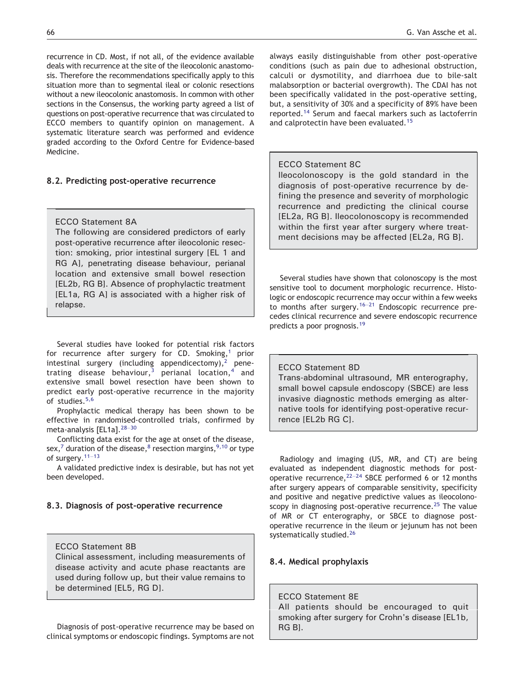recurrence in CD. Most, if not all, of the evidence available deals with recurrence at the site of the ileocolonic anastomosis. Therefore the recommendations specifically apply to this situation more than to segmental ileal or colonic resections without a new ileocolonic anastomosis. In common with other sections in the Consensus, the working party agreed a list of questions on post-operative recurrence that was circulated to ECCO members to quantify opinion on management. A systematic literature search was performed and evidence graded according to the Oxford Centre for Evidence-based Medicine.

#### 8.2. Predicting post-operative recurrence

#### ECCO Statement 8A

The following are considered predictors of early post-operative recurrence after ileocolonic resection: smoking, prior intestinal surgery [EL 1 and RG A], penetrating disease behaviour, perianal location and extensive small bowel resection [EL2b, RG B]. Absence of prophylactic treatment [EL1a, RG A] is associated with a higher risk of relapse.

Several studies have looked for potential risk factors for recurrence after surgery for CD. Smoking, $1$  prior intestinal surgery (including appendicectomy), $2$  pene-trating disease behaviour,<sup>[3](#page-26-0)</sup> perianal location,<sup>[4](#page-26-0)</sup> and extensive small bowel resection have been shown to predict early post-operative recurrence in the majority of studies.<sup>[5,6](#page-26-0)</sup>

Prophylactic medical therapy has been shown to be effective in randomised-controlled trials, confirmed by meta-analysis [EL1a].<sup>[28](#page-26-0)-30</sup>

Conflicting data exist for the age at onset of the disease, sex,<sup>[7](#page-26-0)</sup> duration of the disease, $8$  resection margins,  $9,10$  or type of surgery.11–[13](#page-26-0)

A validated predictive index is desirable, but has not yet been developed.

#### 8.3. Diagnosis of post-operative recurrence

#### ECCO Statement 8B

Clinical assessment, including measurements of disease activity and acute phase reactants are used during follow up, but their value remains to be determined [EL5, RG D].

Diagnosis of post-operative recurrence may be based on clinical symptoms or endoscopic findings. Symptoms are not always easily distinguishable from other post-operative conditions (such as pain due to adhesional obstruction, calculi or dysmotility, and diarrhoea due to bile-salt malabsorption or bacterial overgrowth). The CDAI has not been specifically validated in the post-operative setting, but, a sensitivity of 30% and a specificity of 89% have been reported.[14](#page-26-0) Serum and faecal markers such as lactoferrin and calprotectin have been evaluated.[15](#page-26-0)

# ECCO Statement 8C

Ileocolonoscopy is the gold standard in the diagnosis of post-operative recurrence by defining the presence and severity of morphologic recurrence and predicting the clinical course [EL2a, RG B]. Ileocolonoscopy is recommended within the first year after surgery where treatment decisions may be affected [EL2a, RG B].

Several studies have shown that colonoscopy is the most sensitive tool to document morphologic recurrence. Histologic or endoscopic recurrence may occur within a few weeks to months after surgery.[16](#page-26-0)–<sup>21</sup> Endoscopic recurrence precedes clinical recurrence and severe endoscopic recurrence predicts a poor prognosis.[19](#page-26-0)

# ECCO Statement 8D

Trans-abdominal ultrasound, MR enterography, small bowel capsule endoscopy (SBCE) are less invasive diagnostic methods emerging as alternative tools for identifying post-operative recurrence [EL2b RG C].

Radiology and imaging (US, MR, and CT) are being evaluated as independent diagnostic methods for postoperative recurrence,  $22-24$  $22-24$  SBCE performed 6 or 12 months after surgery appears of comparable sensitivity, specificity and positive and negative predictive values as ileocolono-scopy in diagnosing post-operative recurrence.<sup>[25](#page-26-0)</sup> The value of MR or CT enterography, or SBCE to diagnose postoperative recurrence in the ileum or jejunum has not been systematically studied.<sup>[26](#page-26-0)</sup>

# 8.4. Medical prophylaxis

### ECCO Statement 8E

All patients should be encouraged to quit smoking after surgery for Crohn's disease [EL1b, RG B].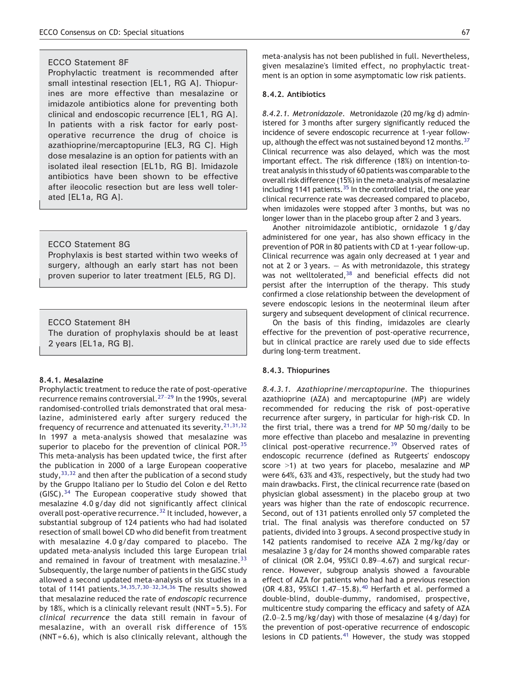#### ECCO Statement 8F

Prophylactic treatment is recommended after small intestinal resection [EL1, RG A]. Thiopurines are more effective than mesalazine or imidazole antibiotics alone for preventing both clinical and endoscopic recurrence [EL1, RG A]. In patients with a risk factor for early postoperative recurrence the drug of choice is azathioprine/mercaptopurine [EL3, RG C]. High dose mesalazine is an option for patients with an isolated ileal resection [EL1b, RG B]. Imidazole antibiotics have been shown to be effective after ileocolic resection but are less well tolerated [EL1a, RG A].

ECCO Statement 8G

Prophylaxis is best started within two weeks of surgery, although an early start has not been proven superior to later treatment [EL5, RG D].

ECCO Statement 8H

The duration of prophylaxis should be at least 2 years [EL1a, RG B].

#### 8.4.1. Mesalazine

Prophylactic treatment to reduce the rate of post-operative recurrence remains controversial.<sup>27–[29](#page-26-0)</sup> In the 1990s, several randomised-controlled trials demonstrated that oral mesalazine, administered early after surgery reduced the frequency of recurrence and attenuated its severity.  $21,31,32$ In 1997 a meta-analysis showed that mesalazine was superior to placebo for the prevention of clinical POR.<sup>[35](#page-26-0)</sup> This meta-analysis has been updated twice, the first after the publication in 2000 of a large European cooperative study,  $33,32$  and then after the publication of a second study by the Gruppo Italiano per lo Studio del Colon e del Retto (GISC).[34](#page-26-0) The European cooperative study showed that mesalazine 4.0 g/day did not significantly affect clinical overall post-operative recurrence.<sup>[32](#page-26-0)</sup> It included, however, a substantial subgroup of 124 patients who had had isolated resection of small bowel CD who did benefit from treatment with mesalazine 4.0 g/day compared to placebo. The updated meta-analysis included this large European trial and remained in favour of treatment with mesalazine.<sup>[33](#page-26-0)</sup> Subsequently, the large number of patients in the GISC study allowed a second updated meta-analysis of six studies in a total of 1141 patients.  $34,35,7,30-32,34,36$  $34,35,7,30-32,34,36$  $34,35,7,30-32,34,36$  The results showed that mesalazine reduced the rate of endoscopic recurrence by 18%, which is a clinically relevant result (NNT = 5.5). For clinical recurrence the data still remain in favour of mesalazine, with an overall risk difference of 15% (NNT = 6.6), which is also clinically relevant, although the

meta-analysis has not been published in full. Nevertheless, given mesalazine's limited effect, no prophylactic treatment is an option in some asymptomatic low risk patients.

#### 8.4.2. Antibiotics

8.4.2.1. Metronidazole. Metronidazole (20 mg/kg d) administered for 3 months after surgery significantly reduced the incidence of severe endoscopic recurrence at 1-year followup, although the effect was not sustained beyond 12 months.<sup>37</sup> Clinical recurrence was also delayed, which was the most important effect. The risk difference (18%) on intention-totreat analysis in this study of 60 patients was comparable to the overall risk difference (15%) in the meta-analysis of mesalazine including 1141 patients. $35$  In the controlled trial, the one year clinical recurrence rate was decreased compared to placebo, when imidazoles were stopped after 3 months, but was no longer lower than in the placebo group after 2 and 3 years.

Another nitroimidazole antibiotic, ornidazole 1 g/day administered for one year, has also shown efficacy in the prevention of POR in 80 patients with CD at 1-year follow-up. Clinical recurrence was again only decreased at 1 year and not at 2 or 3 years.  $-$  As with metronidazole, this strategy was not welltolerated, $38$  and beneficial effects did not persist after the interruption of the therapy. This study confirmed a close relationship between the development of severe endoscopic lesions in the neoterminal ileum after surgery and subsequent development of clinical recurrence.

On the basis of this finding, imidazoles are clearly effective for the prevention of post-operative recurrence, but in clinical practice are rarely used due to side effects during long-term treatment.

#### 8.4.3. Thiopurines

8.4.3.1. Azathioprine/mercaptopurine. The thiopurines azathioprine (AZA) and mercaptopurine (MP) are widely recommended for reducing the risk of post-operative recurrence after surgery, in particular for high-risk CD. In the first trial, there was a trend for MP 50 mg/daily to be more effective than placebo and mesalazine in preventing clinical post-operative recurrence.<sup>[39](#page-26-0)</sup> Observed rates of endoscopic recurrence (defined as Rutgeerts' endoscopy score  $>1$ ) at two years for placebo, mesalazine and MP were 64%, 63% and 43%, respectively, but the study had two main drawbacks. First, the clinical recurrence rate (based on physician global assessment) in the placebo group at two years was higher than the rate of endoscopic recurrence. Second, out of 131 patients enrolled only 57 completed the trial. The final analysis was therefore conducted on 57 patients, divided into 3 groups. A second prospective study in 142 patients randomised to receive AZA 2 mg/kg/day or mesalazine 3 g/day for 24 months showed comparable rates of clinical (OR 2.04, 95%CI 0.89–4.67) and surgical recurrence. However, subgroup analysis showed a favourable effect of AZA for patients who had had a previous resection (OR 4.83, 95%CI 1.47-15.8).<sup>[40](#page-26-0)</sup> Herfarth et al. performed a double-blind, double-dummy, randomised, prospective, multicentre study comparing the efficacy and safety of AZA  $(2.0-2.5 \text{ mg/kg/day})$  with those of mesalazine  $(4 \text{ g/day})$  for the prevention of post-operative recurrence of endoscopic lesions in CD patients. $41$  However, the study was stopped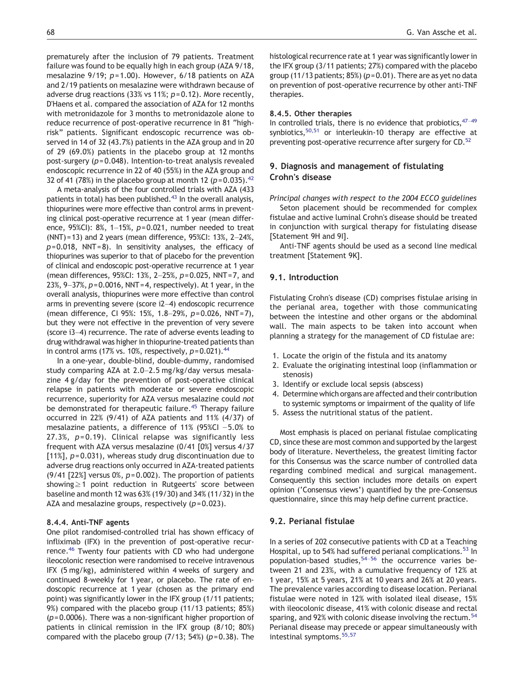prematurely after the inclusion of 79 patients. Treatment failure was found to be equally high in each group (AZA 9/18, mesalazine 9/19; p=1.00). However, 6/18 patients on AZA and 2/19 patients on mesalazine were withdrawn because of adverse drug reactions (33% vs 11%;  $p=0.12$ ). More recently, D'Haens et al. compared the association of AZA for 12 months with metronidazole for 3 months to metronidazole alone to reduce recurrence of post-operative recurrence in 81 "highrisk" patients. Significant endoscopic recurrence was observed in 14 of 32 (43.7%) patients in the AZA group and in 20 of 29 (69.0%) patients in the placebo group at 12 months post-surgery ( $p = 0.048$ ). Intention-to-treat analysis revealed endoscopic recurrence in 22 of 40 (55%) in the AZA group and 32 of 41 (78%) in the placebo group at month 12 ( $p = 0.035$ ).<sup>[42](#page-27-0)</sup>

A meta-analysis of the four controlled trials with AZA (433 patients in total) has been published.<sup>43</sup> In the overall analysis, thiopurines were more effective than control arms in preventing clinical post-operative recurrence at 1 year (mean difference, 95%CI): 8%, 1-15%,  $p=0.021$ , number needed to treat (NNT) = 13) and 2 years (mean difference, 95%CI: 13%, 2–24%,  $p = 0.018$ , NNT = 8). In sensitivity analyses, the efficacy of thiopurines was superior to that of placebo for the prevention of clinical and endoscopic post-operative recurrence at 1 year (mean differences, 95%CI: 13%, 2–25%, p= 0.025, NNT =7, and 23%, 9–37%, p=0.0016, NNT = 4, respectively). At 1 year, in the overall analysis, thiopurines were more effective than control arms in preventing severe (score i2–4) endoscopic recurrence (mean difference, CI 95%: 15%, 1.8–29%, p= 0.026, NNT = 7), but they were not effective in the prevention of very severe (score i3–4) recurrence. The rate of adverse events leading to drug withdrawal was higher in thiopurine-treated patients than in control arms (17% vs. 10%, respectively,  $p=0.021$ ).<sup>44</sup>

In a one-year, double-blind, double-dummy, randomised study comparing AZA at 2.0–2.5 mg/kg/day versus mesalazine 4 g/day for the prevention of post-operative clinical relapse in patients with moderate or severe endoscopic recurrence, superiority for AZA versus mesalazine could not be demonstrated for therapeutic failure.<sup>[45](#page-27-0)</sup> Therapy failure occurred in 22% (9/41) of AZA patients and 11% (4/37) of mesalazine patients, a difference of 11% (95%CI −5.0% to 27.3%,  $p = 0.19$ ). Clinical relapse was significantly less frequent with AZA versus mesalazine (0/41 [0%] versus 4/37 [11%],  $p=0.031$ ), whereas study drug discontinuation due to adverse drug reactions only occurred in AZA-treated patients (9/41 [22%] versus  $0\%$ ,  $p=0.002$ ). The proportion of patients showing≥1 point reduction in Rutgeerts' score between baseline and month 12 was 63% (19/30) and 34% (11/32) in the AZA and mesalazine groups, respectively  $(p= 0.023)$ .

#### 8.4.4. Anti-TNF agents

One pilot randomised-controlled trial has shown efficacy of infliximab (IFX) in the prevention of post-operative recurrence[.46](#page-27-0) Twenty four patients with CD who had undergone ileocolonic resection were randomised to receive intravenous IFX (5 mg/kg), administered within 4 weeks of surgery and continued 8-weekly for 1 year, or placebo. The rate of endoscopic recurrence at 1 year (chosen as the primary end point) was significantly lower in the IFX group (1/11 patients; 9%) compared with the placebo group (11/13 patients; 85%) (p= 0.0006). There was a non-significant higher proportion of patients in clinical remission in the IFX group (8/10; 80%) compared with the placebo group  $(7/13; 54%)$  ( $p=0.38$ ). The histological recurrence rate at 1 year was significantly lower in the IFX group (3/11 patients; 27%) compared with the placebo group (11/13 patients; 85%) ( $p = 0.01$ ). There are as yet no data on prevention of post-operative recurrence by other anti-TNF therapies.

#### 8.4.5. Other therapies

In controlled trials, there is no evidence that probiotics,  $47-49$ synbiotics,<sup>50,51</sup> or interleukin-10 therapy are effective at preventing post-operative recurrence after surgery for CD.<sup>52</sup>

# 9. Diagnosis and management of fistulating Crohn's disease

Principal changes with respect to the 2004 ECCO guidelines

Seton placement should be recommended for complex fistulae and active luminal Crohn's disease should be treated in conjunction with surgical therapy for fistulating disease [Statement 9H and 9I].

Anti-TNF agents should be used as a second line medical treatment [Statement 9K].

# 9.1. Introduction

Fistulating Crohn's disease (CD) comprises fistulae arising in the perianal area, together with those communicating between the intestine and other organs or the abdominal wall. The main aspects to be taken into account when planning a strategy for the management of CD fistulae are:

- 1. Locate the origin of the fistula and its anatomy
- 2. Evaluate the originating intestinal loop (inflammation or stenosis)
- 3. Identify or exclude local sepsis (abscess)
- 4. Determine which organs are affected and their contribution to systemic symptoms or impairment of the quality of life
- 5. Assess the nutritional status of the patient.

Most emphasis is placed on perianal fistulae complicating CD, since these are most common and supported by the largest body of literature. Nevertheless, the greatest limiting factor for this Consensus was the scarce number of controlled data regarding combined medical and surgical management. Consequently this section includes more details on expert opinion ('Consensus views') quantified by the pre-Consensus questionnaire, since this may help define current practice.

#### 9.2. Perianal fistulae

In a series of 202 consecutive patients with CD at a Teaching Hospital, up to 54% had suffered perianal complications.<sup>[53](#page-27-0)</sup> In population-based studies, $54-56$  $54-56$  the occurrence varies between 21 and 23%, with a cumulative frequency of 12% at 1 year, 15% at 5 years, 21% at 10 years and 26% at 20 years. The prevalence varies according to disease location. Perianal fistulae were noted in 12% with isolated ileal disease, 15% with ileocolonic disease, 41% with colonic disease and rectal sparing, and 92% with colonic disease involving the rectum.<sup>[54](#page-27-0)</sup> Perianal disease may precede or appear simultaneously with intestinal symptoms.[55,57](#page-27-0)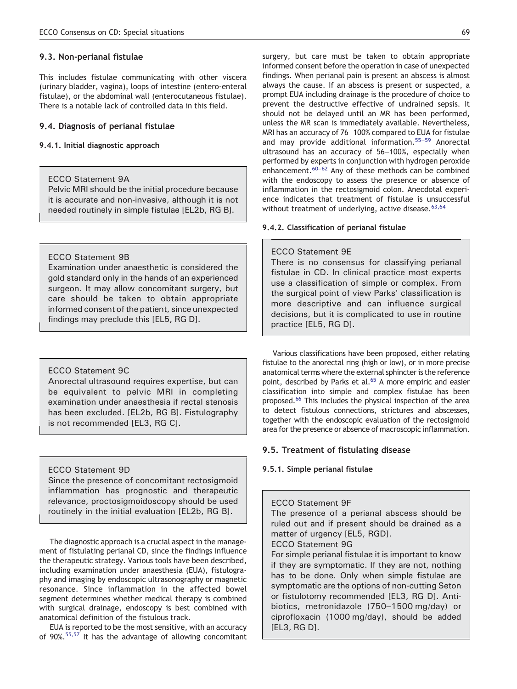# 9.3. Non-perianal fistulae

This includes fistulae communicating with other viscera (urinary bladder, vagina), loops of intestine (entero-enteral fistulae), or the abdominal wall (enterocutaneous fistulae). There is a notable lack of controlled data in this field.

# 9.4. Diagnosis of perianal fistulae

# 9.4.1. Initial diagnostic approach

ECCO Statement 9A

Pelvic MRI should be the initial procedure because it is accurate and non-invasive, although it is not needed routinely in simple fistulae [EL2b, RG B].

#### ECCO Statement 9B

Examination under anaesthetic is considered the gold standard only in the hands of an experienced surgeon. It may allow concomitant surgery, but care should be taken to obtain appropriate informed consent of the patient, since unexpected findings may preclude this [EL5, RG D].

### ECCO Statement 9C

Anorectal ultrasound requires expertise, but can be equivalent to pelvic MRI in completing examination under anaesthesia if rectal stenosis has been excluded. [EL2b, RG B]. Fistulography is not recommended [EL3, RG C].

#### ECCO Statement 9D

Since the presence of concomitant rectosigmoid inflammation has prognostic and therapeutic relevance, proctosigmoidoscopy should be used routinely in the initial evaluation [EL2b, RG B].

The diagnostic approach is a crucial aspect in the management of fistulating perianal CD, since the findings influence the therapeutic strategy. Various tools have been described, including examination under anaesthesia (EUA), fistulography and imaging by endoscopic ultrasonography or magnetic resonance. Since inflammation in the affected bowel segment determines whether medical therapy is combined with surgical drainage, endoscopy is best combined with anatomical definition of the fistulous track.

EUA is reported to be the most sensitive, with an accuracy of 90%.[55,57](#page-27-0) It has the advantage of allowing concomitant surgery, but care must be taken to obtain appropriate informed consent before the operation in case of unexpected findings. When perianal pain is present an abscess is almost always the cause. If an abscess is present or suspected, a prompt EUA including drainage is the procedure of choice to prevent the destructive effective of undrained sepsis. It should not be delayed until an MR has been performed, unless the MR scan is immediately available. Nevertheless, MRI has an accuracy of 76–100% compared to EUA for fistulae and may provide additional information.[55](#page-27-0)–<sup>59</sup> Anorectal ultrasound has an accuracy of 56–100%, especially when performed by experts in conjunction with hydrogen peroxide enhancement. $60-62$  $60-62$  Any of these methods can be combined with the endoscopy to assess the presence or absence of inflammation in the rectosigmoid colon. Anecdotal experience indicates that treatment of fistulae is unsuccessful without treatment of underlying, active disease.  $63,64$ 

#### 9.4.2. Classification of perianal fistulae

#### ECCO Statement 9E

There is no consensus for classifying perianal fistulae in CD. In clinical practice most experts use a classification of simple or complex. From the surgical point of view Parks' classification is more descriptive and can influence surgical decisions, but it is complicated to use in routine practice [EL5, RG D].

Various classifications have been proposed, either relating fistulae to the anorectal ring (high or low), or in more precise anatomical terms where the external sphincter is the reference point, described by Parks et al.<sup>65</sup> A more empiric and easier classification into simple and complex fistulae has been proposed.<sup>[66](#page-27-0)</sup> This includes the physical inspection of the area to detect fistulous connections, strictures and abscesses, together with the endoscopic evaluation of the rectosigmoid area for the presence or absence of macroscopic inflammation.

# 9.5. Treatment of fistulating disease

# 9.5.1. Simple perianal fistulae

# ECCO Statement 9F The presence of a perianal abscess should be ruled out and if present should be drained as a matter of urgency [EL5, RGD]. ECCO Statement 9G For simple perianal fistulae it is important to know if they are symptomatic. If they are not, nothing

has to be done. Only when simple fistulae are symptomatic are the options of non-cutting Seton or fistulotomy recommended [EL3, RG D]. Antibiotics, metronidazole (750–1500 mg/day) or ciprofloxacin (1000 mg/day), should be added [EL3, RG D].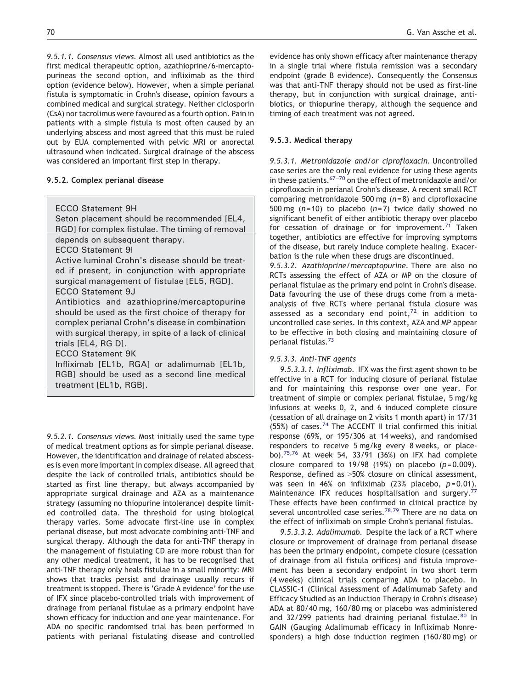9.5.1.1. Consensus views. Almost all used antibiotics as the first medical therapeutic option, azathioprine/6-mercaptopurineas the second option, and infliximab as the third option (evidence below). However, when a simple perianal fistula is symptomatic in Crohn's disease, opinion favours a combined medical and surgical strategy. Neither ciclosporin (CsA) nor tacrolimus were favoured as a fourth option. Pain in patients with a simple fistula is most often caused by an underlying abscess and most agreed that this must be ruled out by EUA complemented with pelvic MRI or anorectal ultrasound when indicated. Surgical drainage of the abscess was considered an important first step in therapy.

#### 9.5.2. Complex perianal disease

# ECCO Statement 9H

Seton placement should be recommended [EL4, RGD] for complex fistulae. The timing of removal depends on subsequent therapy.

ECCO Statement 9I

Active luminal Crohn's disease should be treated if present, in conjunction with appropriate surgical management of fistulae [EL5, RGD].

ECCO Statement 9J

Antibiotics and azathioprine/mercaptopurine should be used as the first choice of therapy for complex perianal Crohn's disease in combination with surgical therapy, in spite of a lack of clinical trials [EL4, RG D].

ECCO Statement 9K

Infliximab [EL1b, RGA] or adalimumab [EL1b, RGB] should be used as a second line medical treatment [EL1b, RGB].

9.5.2.1. Consensus views. Most initially used the same type of medical treatment options as for simple perianal disease. However, the identification and drainage of related abscesses is even more important in complex disease. All agreed that despite the lack of controlled trials, antibiotics should be started as first line therapy, but always accompanied by appropriate surgical drainage and AZA as a maintenance strategy (assuming no thiopurine intolerance) despite limited controlled data. The threshold for using biological therapy varies. Some advocate first-line use in complex perianal disease, but most advocate combining anti-TNF and surgical therapy. Although the data for anti-TNF therapy in the management of fistulating CD are more robust than for any other medical treatment, it has to be recognised that anti-TNF therapy only heals fistulae in a small minority: MRI shows that tracks persist and drainage usually recurs if treatment is stopped. There is 'Grade A evidence' for the use of IFX since placebo-controlled trials with improvement of drainage from perianal fistulae as a primary endpoint have shown efficacy for induction and one year maintenance. For ADA no specific randomised trial has been performed in patients with perianal fistulating disease and controlled evidence has only shown efficacy after maintenance therapy in a single trial where fistula remission was a secondary endpoint (grade B evidence). Consequently the Consensus was that anti-TNF therapy should not be used as first-line therapy, but in conjunction with surgical drainage, antibiotics, or thiopurine therapy, although the sequence and timing of each treatment was not agreed.

# 9.5.3. Medical therapy

9.5.3.1. Metronidazole and/or ciprofloxacin. Uncontrolled case series are the only real evidence for using these agents in these patients.  $67-70$  $67-70$  on the effect of metronidazole and/or ciprofloxacin in perianal Crohn's disease. A recent small RCT comparing metronidazole 500 mg  $(n=8)$  and ciprofloxacine 500 mg  $(n=10)$  to placebo  $(n=7)$  twice daily showed no significant benefit of either antibiotic therapy over placebo for cessation of drainage or for improvement.<sup>[71](#page-27-0)</sup> Taken together, antibiotics are effective for improving symptoms of the disease, but rarely induce complete healing. Exacerbation is the rule when these drugs are discontinued.

9.5.3.2. Azathioprine/mercaptopurine. There are also no RCTs assessing the effect of AZA or MP on the closure of perianal fistulae as the primary end point in Crohn's disease. Data favouring the use of these drugs come from a metaanalysis of five RCTs where perianal fistula closure was assessed as a secondary end point, $72$  in addition to uncontrolled case series. In this context, AZA and MP appear to be effective in both closing and maintaining closure of perianal fistulas.[73](#page-27-0)

#### 9.5.3.3. Anti-TNF agents

9.5.3.3.1. Infliximab. IFX was the first agent shown to be effective in a RCT for inducing closure of perianal fistulae and for maintaining this response over one year. For treatment of simple or complex perianal fistulae, 5 mg/kg infusions at weeks 0, 2, and 6 induced complete closure (cessation of all drainage on 2 visits 1 month apart) in 17/31 (55%) of cases.<sup>[74](#page-27-0)</sup> The ACCENT II trial confirmed this initial response (69%, or 195/306 at 14 weeks), and randomised responders to receive 5 mg/kg every 8 weeks, or placebo).[75,76](#page-27-0) At week 54, 33/91 (36%) on IFX had complete closure compared to 19/98 (19%) on placebo  $(p=0.009)$ . Response, defined as  $>50%$  closure on clinical assessment, was seen in 46% on infliximab (23% placebo,  $p=0.01$ ). Maintenance IFX reduces hospitalisation and surgery.<sup>[77](#page-27-0)</sup> These effects have been confirmed in clinical practice by several uncontrolled case series.<sup>[78,79](#page-27-0)</sup> There are no data on the effect of infliximab on simple Crohn's perianal fistulas.

9.5.3.3.2. Adalimumab. Despite the lack of a RCT where closure or improvement of drainage from perianal disease has been the primary endpoint, compete closure (cessation of drainage from all fistula orifices) and fistula improvement has been a secondary endpoint in two short term (4 weeks) clinical trials comparing ADA to placebo. In CLASSIC-1 (Clinical Assessment of Adalimumab Safety and Efficacy Studied as an Induction Therapy in Crohn's disease) ADA at 80/40 mg, 160/80 mg or placebo was administered and 32/299 patients had draining perianal fistulae.<sup>[80](#page-28-0)</sup> In GAIN (Gauging Adalimumab efficacy in Infliximab Nonresponders) a high dose induction regimen (160/80 mg) or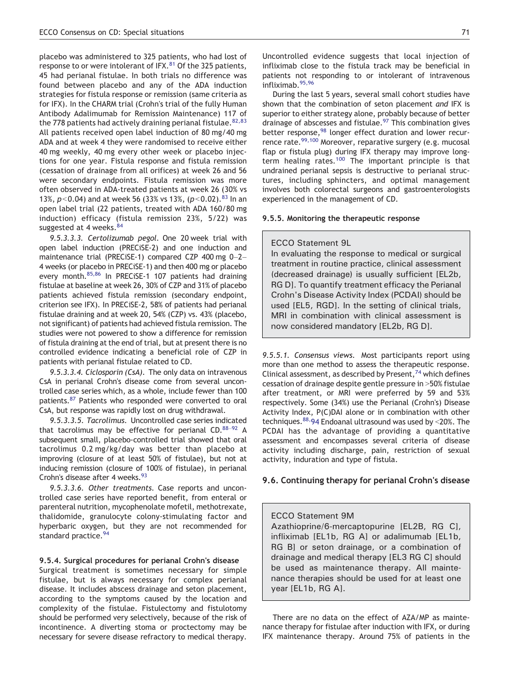placebo was administered to 325 patients, who had lost of response to or were intolerant of IFX. $81$  Of the 325 patients, 45 had perianal fistulae. In both trials no difference was found between placebo and any of the ADA induction strategies for fistula response or remission (same criteria as for IFX). In the CHARM trial (Crohn's trial of the fully Human Antibody Adalimumab for Remission Maintenance) 117 of the 778 patients had actively draining perianal fistulae.  $82,83$ All patients received open label induction of 80 mg/40 mg ADA and at week 4 they were randomised to receive either 40 mg weekly, 40 mg every other week or placebo injections for one year. Fistula response and fistula remission (cessation of drainage from all orifices) at week 26 and 56 were secondary endpoints. Fistula remission was more often observed in ADA-treated patients at week 26 (30% vs 13%,  $p<0.04$ ) and at week 56 (33% vs 13%, ( $p<0.02$ ).<sup>[83](#page-28-0)</sup> In an open label trial (22 patients, treated with ADA 160/80 mg induction) efficacy (fistula remission 23%, 5/22) was suggested at 4 weeks.  $84$ 

9.5.3.3.3. Certolizumab pegol. One 20 week trial with open label induction (PRECiSE-2) and one induction and maintenance trial (PRECiSE-1) compared CZP 400 mg 0–2– 4 weeks (or placebo in PRECiSE-1) and then 400 mg or placebo every month.<sup>85,86</sup> In PRECISE-1 107 patients had draining fistulae at baseline at week 26, 30% of CZP and 31% of placebo patients achieved fistula remission (secondary endpoint, criterion see IFX). In PRECiSE-2, 58% of patients had perianal fistulae draining and at week 20, 54% (CZP) vs. 43% (placebo, not significant) of patients had achieved fistula remission. The studies were not powered to show a difference for remission of fistula draining at the end of trial, but at present there is no controlled evidence indicating a beneficial role of CZP in patients with perianal fistulae related to CD.

9.5.3.3.4. Ciclosporin (CsA). The only data on intravenous CsA in perianal Crohn's disease come from several uncontrolled case series which, as a whole, include fewer than 100 patients.<sup>87</sup> Patients who responded were converted to oral CsA, but response was rapidly lost on drug withdrawal.

9.5.3.3.5. Tacrolimus. Uncontrolled case series indicated that tacrolimus may be effective for perianal CD. $88-92$  A subsequent small, placebo-controlled trial showed that oral tacrolimus 0.2 mg/kg/day was better than placebo at improving (closure of at least 50% of fistulae), but not at inducing remission (closure of 100% of fistulae), in perianal Crohn's disease after 4 weeks.<sup>[93](#page-28-0)</sup>

9.5.3.3.6. Other treatments. Case reports and uncontrolled case series have reported benefit, from enteral or parenteral nutrition, mycophenolate mofetil, methotrexate, thalidomide, granulocyte colony-stimulating factor and hyperbaric oxygen, but they are not recommended for standard practice.<sup>[94](#page-28-0)</sup>

# 9.5.4. Surgical procedures for perianal Crohn's disease

Surgical treatment is sometimes necessary for simple fistulae, but is always necessary for complex perianal disease. It includes abscess drainage and seton placement, according to the symptoms caused by the location and complexity of the fistulae. Fistulectomy and fistulotomy should be performed very selectively, because of the risk of incontinence. A diverting stoma or proctectomy may be necessary for severe disease refractory to medical therapy.

Uncontrolled evidence suggests that local injection of infliximab close to the fistula track may be beneficial in patients not responding to or intolerant of intravenous infliximab.[95,96](#page-28-0)

During the last 5 years, several small cohort studies have shown that the combination of seton placement and IFX is superior to either strategy alone, probably because of better drainage of abscesses and fistulae.<sup>[97](#page-28-0)</sup> This combination gives better response, <sup>[98](#page-28-0)</sup> longer effect duration and lower recur-rence rate.<sup>[99,100](#page-28-0)</sup> Moreover, reparative surgery (e.g. mucosal flap or fistula plug) during IFX therapy may improve long-term healing rates.<sup>[100](#page-28-0)</sup> The important principle is that undrained perianal sepsis is destructive to perianal structures, including sphincters, and optimal management involves both colorectal surgeons and gastroenterologists experienced in the management of CD.

### 9.5.5. Monitoring the therapeutic response

### ECCO Statement 9L

In evaluating the response to medical or surgical treatment in routine practice, clinical assessment (decreased drainage) is usually sufficient [EL2b, RG D]. To quantify treatment efficacy the Perianal Crohn's Disease Activity Index (PCDAI) should be used [EL5, RGD]. In the setting of clinical trials, MRI in combination with clinical assessment is now considered mandatory [EL2b, RG D].

9.5.5.1. Consensus views. Most participants report using more than one method to assess the therapeutic response. Clinical assessment, as described by Present,  $74$  which defines cessation of drainage despite gentle pressure in >50% fistulae after treatment, or MRI were preferred by 59 and 53% respectively. Some (34%) use the Perianal (Crohn's) Disease Activity Index, P(C)DAI alone or in combination with other techniques.  $88,94$  Endoanal ultrasound was used by <20%. The PCDAI has the advantage of providing a quantitative assessment and encompasses several criteria of disease activity including discharge, pain, restriction of sexual activity, induration and type of fistula.

# 9.6. Continuing therapy for perianal Crohn's disease

#### ECCO Statement 9M

Azathioprine/6-mercaptopurine [EL2B, RG C], infliximab [EL1b, RG A] or adalimumab [EL1b, RG B] or seton drainage, or a combination of drainage and medical therapy [EL3 RG C] should be used as maintenance therapy. All maintenance therapies should be used for at least one year [EL1b, RG A].

There are no data on the effect of AZA/MP as maintenance therapy for fistulae after induction with IFX, or during IFX maintenance therapy. Around 75% of patients in the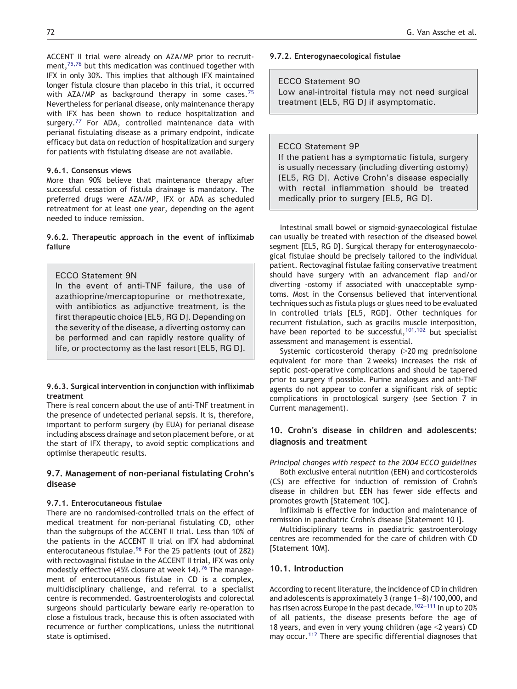ACCENT II trial were already on AZA/MP prior to recruitment,[75,76](#page-27-0) but this medication was continued together with IFX in only 30%. This implies that although IFX maintained longer fistula closure than placebo in this trial, it occurred with  $AZA/MP$  as background therapy in some cases.<sup>[75](#page-27-0)</sup> Nevertheless for perianal disease, only maintenance therapy with IFX has been shown to reduce hospitalization and surgery.<sup>[77](#page-27-0)</sup> For ADA, controlled maintenance data with perianal fistulating disease as a primary endpoint, indicate efficacy but data on reduction of hospitalization and surgery for patients with fistulating disease are not available.

# 9.6.1. Consensus views

More than 90% believe that maintenance therapy after successful cessation of fistula drainage is mandatory. The preferred drugs were AZA/MP, IFX or ADA as scheduled retreatment for at least one year, depending on the agent needed to induce remission.

9.6.2. Therapeutic approach in the event of infliximab failure

# ECCO Statement 9N

In the event of anti-TNF failure, the use of azathioprine/mercaptopurine or methotrexate, with antibiotics as adjunctive treatment, is the first therapeutic choice [EL5, RG D]. Depending on the severity of the disease, a diverting ostomy can be performed and can rapidly restore quality of life, or proctectomy as the last resort [EL5, RG D].

# 9.6.3. Surgical intervention in conjunction with infliximab treatment

There is real concern about the use of anti-TNF treatment in the presence of undetected perianal sepsis. It is, therefore, important to perform surgery (by EUA) for perianal disease including abscess drainage and seton placement before, or at the start of IFX therapy, to avoid septic complications and optimise therapeutic results.

# 9.7. Management of non-perianal fistulating Crohn's disease

#### 9.7.1. Enterocutaneous fistulae

There are no randomised-controlled trials on the effect of medical treatment for non-perianal fistulating CD, other than the subgroups of the ACCENT II trial. Less than 10% of the patients in the ACCENT II trial on IFX had abdominal enterocutaneous fistulae.<sup>[96](#page-28-0)</sup> For the 25 patients (out of 282) with rectovaginal fistulae in the ACCENT II trial, IFX was only modestly effective (45% closure at week 14).<sup>[76](#page-27-0)</sup> The management of enterocutaneous fistulae in CD is a complex, multidisciplinary challenge, and referral to a specialist centre is recommended. Gastroenterologists and colorectal surgeons should particularly beware early re-operation to close a fistulous track, because this is often associated with recurrence or further complications, unless the nutritional state is optimised.

#### 72 G. Van Assche et al.

#### 9.7.2. Enterogynaecological fistulae

ECCO Statement 9O Low anal-introital fistula may not need surgical treatment [EL5, RG D] if asymptomatic.

# ECCO Statement 9P

If the patient has a symptomatic fistula, surgery is usually necessary (including diverting ostomy) [EL5, RG D]. Active Crohn's disease especially with rectal inflammation should be treated medically prior to surgery [EL5, RG D].

Intestinal small bowel or sigmoid-gynaecological fistulae can usually be treated with resection of the diseased bowel segment [EL5, RG D]. Surgical therapy for enterogynaecological fistulae should be precisely tailored to the individual patient. Rectovaginal fistulae failing conservative treatment should have surgery with an advancement flap and/or diverting -ostomy if associated with unacceptable symptoms. Most in the Consensus believed that interventional techniques such as fistula plugs or glues need to be evaluated in controlled trials [EL5, RGD]. Other techniques for recurrent fistulation, such as gracilis muscle interposition, have been reported to be successful, $101,102$  but specialist assessment and management is essential.

Systemic corticosteroid therapy  $(>20$  mg prednisolone equivalent for more than 2 weeks) increases the risk of septic post-operative complications and should be tapered prior to surgery if possible. Purine analogues and anti-TNF agents do not appear to confer a significant risk of septic complications in proctological surgery (see Section 7 in Current management).

# 10. Crohn's disease in children and adolescents: diagnosis and treatment

Principal changes with respect to the 2004 ECCO guidelines

Both exclusive enteral nutrition (EEN) and corticosteroids (CS) are effective for induction of remission of Crohn's disease in children but EEN has fewer side effects and promotes growth [Statement 10C].

Infliximab is effective for induction and maintenance of remission in paediatric Crohn's disease [Statement 10 I].

Multidisciplinary teams in paediatric gastroenterology centres are recommended for the care of children with CD [Statement 10M].

# 10.1. Introduction

According to recent literature, the incidence of CD in children and adolescents is approximately 3 (range 1–8)/100,000, and has risen across Europe in the past decade.<sup>[102](#page-28-0)–111</sup> In up to 20% of all patients, the disease presents before the age of 18 years, and even in very young children (age  $\leq$  years) CD may occur.<sup>[112](#page-28-0)</sup> There are specific differential diagnoses that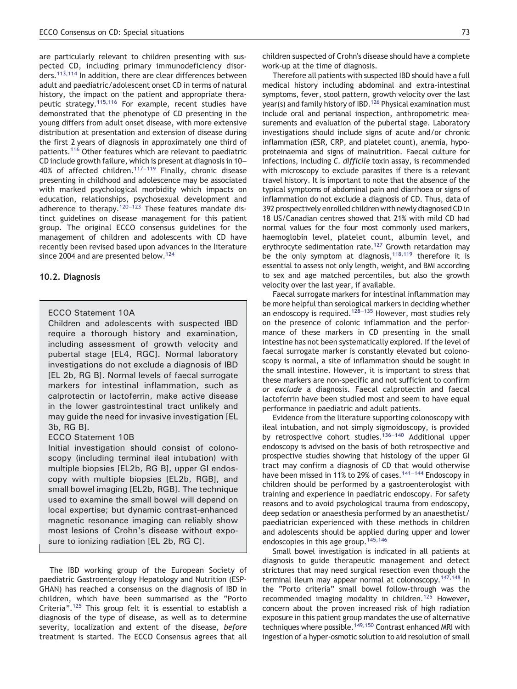are particularly relevant to children presenting with suspected CD, including primary immunodeficiency disor-ders.<sup>[113,114](#page-28-0)</sup> In addition, there are clear differences between adult and paediatric/adolescent onset CD in terms of natural history, the impact on the patient and appropriate therapeutic strategy.[115,116](#page-28-0) For example, recent studies have demonstrated that the phenotype of CD presenting in the young differs from adult onset disease, with more extensive distribution at presentation and extension of disease during the first 2 years of diagnosis in approximately one third of patients.[116](#page-28-0) Other features which are relevant to paediatric CD include growth failure, which is present at diagnosis in 10– 40% of affected children.<sup>117–[119](#page-28-0)</sup> Finally, chronic disease presenting in childhood and adolescence may be associated with marked psychological morbidity which impacts on education, relationships, psychosexual development and adherence to therapy.<sup>120–[123](#page-29-0)</sup> These features mandate distinct guidelines on disease management for this patient group. The original ECCO consensus guidelines for the management of children and adolescents with CD have recently been revised based upon advances in the literature since 2004 and are presented below.<sup>[124](#page-29-0)</sup>

# 10.2. Diagnosis

# ECCO Statement 10A

Children and adolescents with suspected IBD require a thorough history and examination, including assessment of growth velocity and pubertal stage [EL4, RGC]. Normal laboratory investigations do not exclude a diagnosis of IBD [EL 2b, RG B]. Normal levels of faecal surrogate markers for intestinal inflammation, such as calprotectin or lactoferrin, make active disease in the lower gastrointestinal tract unlikely and may guide the need for invasive investigation [EL 3b, RG B].

#### ECCO Statement 10B

Initial investigation should consist of colonoscopy (including terminal ileal intubation) with multiple biopsies [EL2b, RG B], upper GI endoscopy with multiple biopsies [EL2b, RGB], and small bowel imaging [EL2b, RGB]. The technique used to examine the small bowel will depend on local expertise; but dynamic contrast-enhanced magnetic resonance imaging can reliably show most lesions of Crohn's disease without exposure to ionizing radiation [EL 2b, RG C].

The IBD working group of the European Society of paediatric Gastroenterology Hepatology and Nutrition (ESP-GHAN) has reached a consensus on the diagnosis of IBD in children, which have been summarised as the "Porto Criteria".<sup>[125](#page-29-0)</sup> This group felt it is essential to establish a diagnosis of the type of disease, as well as to determine severity, localization and extent of the disease, before treatment is started. The ECCO Consensus agrees that all children suspected of Crohn's disease should have a complete work-up at the time of diagnosis.

Therefore all patients with suspected IBD should have a full medical history including abdominal and extra-intestinal symptoms, fever, stool pattern, growth velocity over the last year(s) and family history of IBD.<sup>126</sup> Physical examination must include oral and perianal inspection, anthropometric measurements and evaluation of the pubertal stage. Laboratory investigations should include signs of acute and/or chronic inflammation (ESR, CRP, and platelet count), anemia, hypoproteinaemia and signs of malnutrition. Faecal culture for infections, including C. difficile toxin assay, is recommended with microscopy to exclude parasites if there is a relevant travel history. It is important to note that the absence of the typical symptoms of abdominal pain and diarrhoea or signs of inflammation do not exclude a diagnosis of CD. Thus, data of 392 prospectively enrolled children with newly diagnosed CD in 18 US/Canadian centres showed that 21% with mild CD had normal values for the four most commonly used markers, haemoglobin level, platelet count, albumin level, and erythrocyte sedimentation rate.<sup>[127](#page-29-0)</sup> Growth retardation may be the only symptom at diagnosis,<sup>[118,119](#page-29-0)</sup> therefore it is essential to assess not only length, weight, and BMI according to sex and age matched percentiles, but also the growth velocity over the last year, if available.

Faecal surrogate markers for intestinal inflammation may be more helpful than serological markers in deciding whether an endoscopy is required.<sup>128–[135](#page-29-0)</sup> However, most studies rely on the presence of colonic inflammation and the performance of these markers in CD presenting in the small intestine has not been systematically explored. If the level of faecal surrogate marker is constantly elevated but colonoscopy is normal, a site of inflammation should be sought in the small intestine. However, it is important to stress that these markers are non-specific and not sufficient to confirm or exclude a diagnosis. Faecal calprotectin and faecal lactoferrin have been studied most and seem to have equal performance in paediatric and adult patients.

Evidence from the literature supporting colonoscopy with ileal intubation, and not simply sigmoidoscopy, is provided by retrospective cohort studies.<sup>[136](#page-29-0)-140</sup> Additional upper endoscopy is advised on the basis of both retrospective and prospective studies showing that histology of the upper GI tract may confirm a diagnosis of CD that would otherwise have been missed in 11% to 29% of cases.<sup>[141](#page-29-0)-144</sup> Endoscopy in children should be performed by a gastroenterologist with training and experience in paediatric endoscopy. For safety reasons and to avoid psychological trauma from endoscopy, deep sedation or anaesthesia performed by an anaesthetist/ paediatrician experienced with these methods in children and adolescents should be applied during upper and lower endoscopies in this age group.<sup>[145,146](#page-29-0)</sup>

Small bowel investigation is indicated in all patients at diagnosis to guide therapeutic management and detect strictures that may need surgical resection even though the terminal ileum may appear normal at colonoscopy.<sup>[147,148](#page-29-0)</sup> In the "Porto criteria" small bowel follow-through was the recommended imaging modality in children.<sup>[125](#page-29-0)</sup> However, concern about the proven increased risk of high radiation exposure in this patient group mandates the use of alternative techniques where possible.<sup>[149,150](#page-29-0)</sup> Contrast enhanced MRI with ingestion of a hyper-osmotic solution to aid resolution of small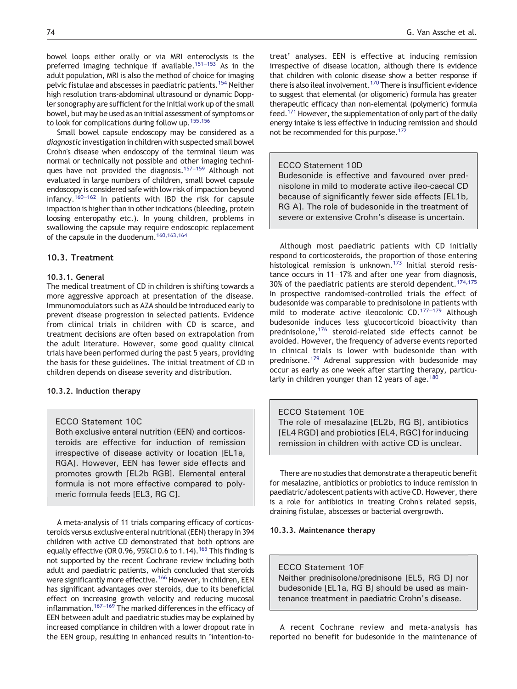bowel loops either orally or via MRI enteroclysis is the preferred imaging technique if available.<sup>151–153</sup> As in the adult population, MRI is also the method of choice for imaging pelvic fistulae and abscesses in paediatric patients[.154](#page-29-0) Neither high resolution trans-abdominal ultrasound or dynamic Doppler sonography are sufficient for the initial work up of the small bowel, but may be used as an initial assessment of symptoms or to look for complications during follow up.<sup>155,156</sup>

Small bowel capsule endoscopy may be considered as a diagnostic investigation in children with suspected small bowel Crohn's disease when endoscopy of the terminal ileum was normal or technically not possible and other imaging techniques have not provided the diagnosis.[157](#page-29-0)–<sup>159</sup> Although not evaluated in large numbers of children, small bowel capsule endoscopy is considered safe with low risk of impaction beyond infancy.[160](#page-30-0)–<sup>162</sup> In patients with IBD the risk for capsule impaction is higher than in other indications (bleeding, protein loosing enteropathy etc.). In young children, problems in swallowing the capsule may require endoscopic replacement of the capsule in the duodenum[.160,163,164](#page-30-0)

# 10.3. Treatment

# 10.3.1. General

The medical treatment of CD in children is shifting towards a more aggressive approach at presentation of the disease. Immunomodulators such as AZA should be introduced early to prevent disease progression in selected patients. Evidence from clinical trials in children with CD is scarce, and treatment decisions are often based on extrapolation from the adult literature. However, some good quality clinical trials have been performed during the past 5 years, providing the basis for these guidelines. The initial treatment of CD in children depends on disease severity and distribution.

### 10.3.2. Induction therapy

#### ECCO Statement 10C

Both exclusive enteral nutrition (EEN) and corticosteroids are effective for induction of remission irrespective of disease activity or location [EL1a, RGA]. However, EEN has fewer side effects and promotes growth [EL2b RGB]. Elemental enteral formula is not more effective compared to polymeric formula feeds [EL3, RG C].

A meta-analysis of 11 trials comparing efficacy of corticosteroids versus exclusive enteral nutritional (EEN) therapy in 394 children with active CD demonstrated that both options are equally effective (OR 0.96, 95%CI 0.6 to 1.14).<sup>[165](#page-30-0)</sup> This finding is not supported by the recent Cochrane review including both adult and paediatric patients, which concluded that steroids were significantly more effective.<sup>166</sup> However, in children, EEN has significant advantages over steroids, due to its beneficial effect on increasing growth velocity and reducing mucosal inflammation.<sup>167-169</sup> The marked differences in the efficacy of EEN between adult and paediatric studies may be explained by increased compliance in children with a lower dropout rate in the EEN group, resulting in enhanced results in 'intention-totreat' analyses. EEN is effective at inducing remission irrespective of disease location, although there is evidence that children with colonic disease show a better response if there is also ileal involvement.<sup>[170](#page-30-0)</sup> There is insufficient evidence to suggest that elemental (or oligomeric) formula has greater therapeutic efficacy than non-elemental (polymeric) formula feed[.171](#page-30-0) However, the supplementation of only part of the daily energy intake is less effective in inducing remission and should not be recommended for this purpose.[172](#page-30-0)

# ECCO Statement 10D

Budesonide is effective and favoured over prednisolone in mild to moderate active ileo-caecal CD because of significantly fewer side effects [EL1b, RG AI. The role of budesonide in the treatment of severe or extensive Crohn's disease is uncertain.

Although most paediatric patients with CD initially respond to corticosteroids, the proportion of those entering histological remission is unknown.<sup>[173](#page-30-0)</sup> Initial steroid resistance occurs in 11–17% and after one year from diagnosis, 30% of the paediatric patients are steroid dependent.  $174,175$ In prospective randomised-controlled trials the effect of budesonide was comparable to prednisolone in patients with mild to moderate active ileocolonic CD.[177](#page-30-0)−<sup>179</sup> Although budesonide induces less glucocorticoid bioactivity than prednisolone,<sup>[176](#page-30-0)</sup> steroid-related side effects cannot be avoided. However, the frequency of adverse events reported in clinical trials is lower with budesonide than with prednisone.[179](#page-30-0) Adrenal suppression with budesonide may occur as early as one week after starting therapy, particu-larly in children younger than 12 years of age.<sup>[180](#page-30-0)</sup>

ECCO Statement 10E The role of mesalazine [EL2b, RG B], antibiotics [EL4 RGD] and probiotics [EL4, RGC] for inducing remission in children with active CD is unclear.

There are no studies that demonstrate a therapeutic benefit for mesalazine, antibiotics or probiotics to induce remission in paediatric/adolescent patients with active CD. However, there is a role for antibiotics in treating Crohn's related sepsis, draining fistulae, abscesses or bacterial overgrowth.

# 10.3.3. Maintenance therapy

# ECCO Statement 10F

Neither prednisolone/prednisone [EL5, RG D] nor budesonide [EL1a, RG B] should be used as maintenance treatment in paediatric Crohn's disease.

A recent Cochrane review and meta-analysis has reported no benefit for budesonide in the maintenance of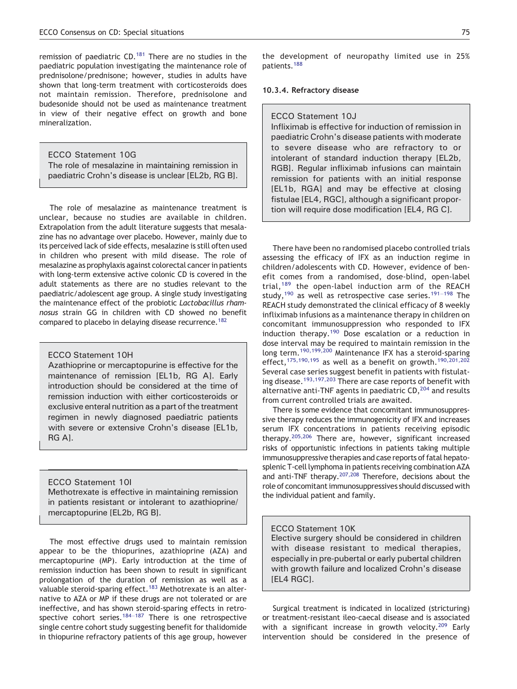remission of paediatric  $CD.^{181}$  $CD.^{181}$  $CD.^{181}$  There are no studies in the paediatric population investigating the maintenance role of prednisolone/prednisone; however, studies in adults have shown that long-term treatment with corticosteroids does not maintain remission. Therefore, prednisolone and budesonide should not be used as maintenance treatment in view of their negative effect on growth and bone mineralization.

ECCO Statement 10G

The role of mesalazine in maintaining remission in paediatric Crohn's disease is unclear [EL2b, RG B].

The role of mesalazine as maintenance treatment is unclear, because no studies are available in children. Extrapolation from the adult literature suggests that mesalazine has no advantage over placebo. However, mainly due to its perceived lack of side effects, mesalazine is still often used in children who present with mild disease. The role of mesalazine as prophylaxis against colorectal cancer in patients with long-term extensive active colonic CD is covered in the adult statements as there are no studies relevant to the paediatric/adolescent age group. A single study investigating the maintenance effect of the probiotic Lactobacillus rhamnosus strain GG in children with CD showed no benefit compared to placebo in delaying disease recurrence.<sup>182</sup>

### ECCO Statement 10H

Azathioprine or mercaptopurine is effective for the maintenance of remission [EL1b, RG A]. Early introduction should be considered at the time of remission induction with either corticosteroids or exclusive enteral nutrition as a part of the treatment regimen in newly diagnosed paediatric patients with severe or extensive Crohn's disease [EL1b, RG A].

ECCO Statement 10I

Methotrexate is effective in maintaining remission in patients resistant or intolerant to azathioprine/ mercaptopurine [EL2b, RG B].

The most effective drugs used to maintain remission appear to be the thiopurines, azathioprine (AZA) and mercaptopurine (MP). Early introduction at the time of remission induction has been shown to result in significant prolongation of the duration of remission as well as a valuable steroid-sparing effect.<sup>[183](#page-30-0)</sup> Methotrexate is an alternative to AZA or MP if these drugs are not tolerated or are ineffective, and has shown steroid-sparing effects in retro-spective cohort series.<sup>[184](#page-30-0)–187</sup> There is one retrospective single centre cohort study suggesting benefit for thalidomide in thiopurine refractory patients of this age group, however the development of neuropathy limited use in 25% patients.[188](#page-30-0)

#### 10.3.4. Refractory disease

#### ECCO Statement 10J

Infliximab is effective for induction of remission in paediatric Crohn's disease patients with moderate to severe disease who are refractory to or intolerant of standard induction therapy [EL2b, RGB]. Regular infliximab infusions can maintain remission for patients with an initial response [EL1b, RGA] and may be effective at closing fistulae [EL4, RGC], although a significant proportion will require dose modification [EL4, RG C].

There have been no randomised placebo controlled trials assessing the efficacy of IFX as an induction regime in children/adolescents with CD. However, evidence of benefit comes from a randomised, dose-blind, open-label trial, $189$  the open-label induction arm of the REACH study,<sup>[190](#page-30-0)</sup> as well as retrospective case series.<sup>[191](#page-30-0)–198</sup> The REACH study demonstrated the clinical efficacy of 8 weekly infliximab infusions as a maintenance therapy in children on concomitant immunosuppression who responded to IFX induction therapy.<sup>[190](#page-30-0)</sup> Dose escalation or a reduction in dose interval may be required to maintain remission in the long term.[190,199,200](#page-30-0) Maintenance IFX has a steroid-sparing effect,<sup>[175,190,195](#page-30-0)</sup> as well as a benefit on growth.<sup>[190,201,202](#page-30-0)</sup> Several case series suggest benefit in patients with fistulat-ing disease.<sup>[193,197,203](#page-30-0)</sup> There are case reports of benefit with alternative anti-TNF agents in paediatric CD,<sup>[204](#page-31-0)</sup> and results from current controlled trials are awaited.

There is some evidence that concomitant immunosuppressive therapy reduces the immunogenicity of IFX and increases serum IFX concentrations in patients receiving episodic therapy[.205,206](#page-31-0) There are, however, significant increased risks of opportunistic infections in patients taking multiple immunosuppressive therapies and case reports of fatal hepatosplenic T-cell lymphoma in patients receiving combination AZA and anti-TNF therapy[.207,208](#page-31-0) Therefore, decisions about the role of concomitant immunosuppressives should discussed with the individual patient and family.

# ECCO Statement 10K

Elective surgery should be considered in children with disease resistant to medical therapies, especially in pre-pubertal or early pubertal children with growth failure and localized Crohn's disease [EL4 RGC].

Surgical treatment is indicated in localized (stricturing) or treatment-resistant ileo-caecal disease and is associated with a significant increase in growth velocity.<sup>[209](#page-31-0)</sup> Early intervention should be considered in the presence of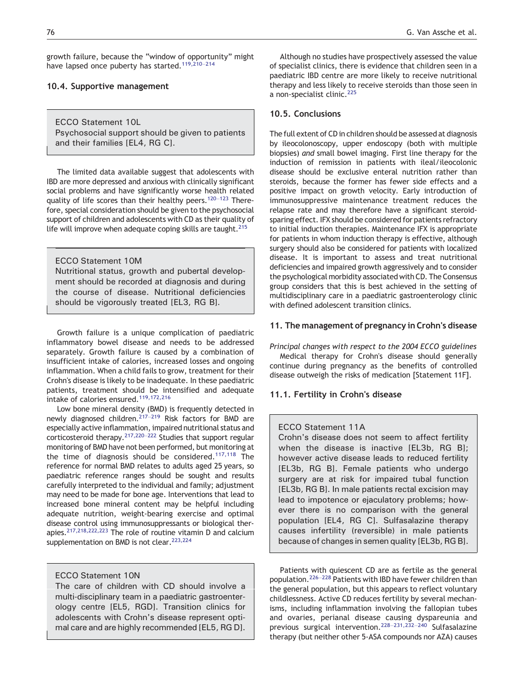growth failure, because the "window of opportunity" might have lapsed once puberty has started.<sup>[119,210](#page-29-0)-214</sup>

# 10.4. Supportive management

ECCO Statement 10L Psychosocial support should be given to patients and their families [EL4, RG C].

The limited data available suggest that adolescents with IBD are more depressed and anxious with clinically significant social problems and have significantly worse health related quality of life scores than their healthy peers.<sup>120-123</sup> Therefore, special consideration should be given to the psychosocial support of children and adolescents with CD as their quality of life will improve when adequate coping skills are taught.<sup>[215](#page-31-0)</sup>

### ECCO Statement 10M

Nutritional status, growth and pubertal development should be recorded at diagnosis and during the course of disease. Nutritional deficiencies should be vigorously treated [EL3, RG B].

Growth failure is a unique complication of paediatric inflammatory bowel disease and needs to be addressed separately. Growth failure is caused by a combination of insufficient intake of calories, increased losses and ongoing inflammation. When a child fails to grow, treatment for their Crohn's disease is likely to be inadequate. In these paediatric patients, treatment should be intensified and adequate intake of calories ensured.[119,172,216](#page-29-0)

Low bone mineral density (BMD) is frequently detected in newly diagnosed children.<sup>217–219</sup> Risk factors for BMD are especially active inflammation, impaired nutritional status and corticosteroid therapy.[217,220](#page-31-0)–<sup>222</sup> Studies that support regular monitoring of BMD have not been performed, but monitoring at the time of diagnosis should be considered.<sup>[117,118](#page-28-0)</sup> The reference for normal BMD relates to adults aged 25 years, so paediatric reference ranges should be sought and results carefully interpreted to the individual and family; adjustment may need to be made for bone age. Interventions that lead to increased bone mineral content may be helpful including adequate nutrition, weight-bearing exercise and optimal disease control using immunosuppressants or biological therapies[.217,218,222,223](#page-31-0) The role of routine vitamin D and calcium supplementation on BMD is not clear.<sup>223,224</sup>

#### ECCO Statement 10N

The care of children with CD should involve a multi-disciplinary team in a paediatric gastroenterology centre [EL5, RGD]. Transition clinics for adolescents with Crohn's disease represent optimal care and are highly recommended [EL5, RG D].

Although no studies have prospectively assessed the value of specialist clinics, there is evidence that children seen in a paediatric IBD centre are more likely to receive nutritional therapy and less likely to receive steroids than those seen in a non-specialist clinic.<sup>[225](#page-31-0)</sup>

# 10.5. Conclusions

The full extent of CD in children should be assessed at diagnosis by ileocolonoscopy, upper endoscopy (both with multiple biopsies) and small bowel imaging. First line therapy for the induction of remission in patients with ileal/ileocolonic disease should be exclusive enteral nutrition rather than steroids, because the former has fewer side effects and a positive impact on growth velocity. Early introduction of immunosuppressive maintenance treatment reduces the relapse rate and may therefore have a significant steroidsparing effect. IFX should be considered for patients refractory to initial induction therapies. Maintenance IFX is appropriate for patients in whom induction therapy is effective, although surgery should also be considered for patients with localized disease. It is important to assess and treat nutritional deficiencies and impaired growth aggressively and to consider the psychological morbidity associated with CD. The Consensus group considers that this is best achieved in the setting of multidisciplinary care in a paediatric gastroenterology clinic with defined adolescent transition clinics.

## 11. The management of pregnancy in Crohn's disease

Principal changes with respect to the 2004 ECCO guidelines Medical therapy for Crohn's disease should generally continue during pregnancy as the benefits of controlled disease outweigh the risks of medication [Statement 11F].

## 11.1. Fertility in Crohn's disease

# ECCO Statement 11A

Crohn's disease does not seem to affect fertility when the disease is inactive [EL3b, RG B]; however active disease leads to reduced fertility [EL3b, RG B]. Female patients who undergo surgery are at risk for impaired tubal function [EL3b, RG B]. In male patients rectal excision may lead to impotence or ejaculatory problems; however there is no comparison with the general population [EL4, RG C]. Sulfasalazine therapy causes infertility (reversible) in male patients because of changes in semen quality [EL3b, RG B].

Patients with quiescent CD are as fertile as the general population.226–[228](#page-31-0) Patients with IBD have fewer children than the general population, but this appears to reflect voluntary childlessness. Active CD reduces fertility by several mechanisms, including inflammation involving the fallopian tubes and ovaries, perianal disease causing dyspareunia and previous surgical intervention.<sup>228–[231,232](#page-31-0)–240</sup> Sulfasalazine therapy (but neither other 5-ASA compounds nor AZA) causes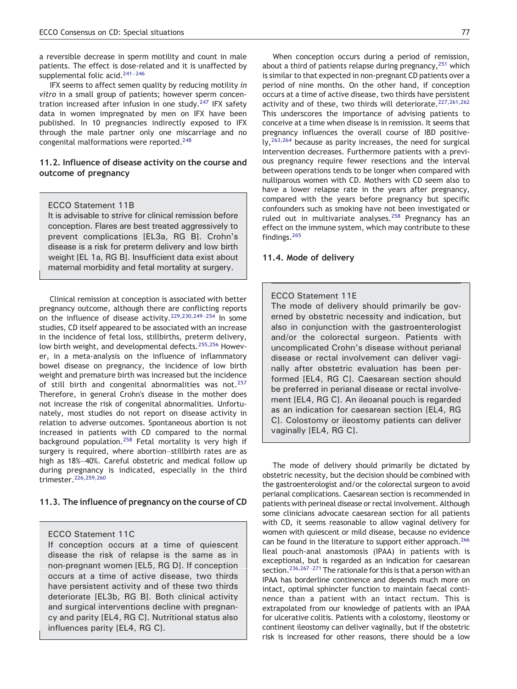a reversible decrease in sperm motility and count in male patients. The effect is dose-related and it is unaffected by supplemental folic acid.<sup>241-[246](#page-32-0)</sup>

IFX seems to affect semen quality by reducing motility in vitro in a small group of patients; however sperm concentration increased after infusion in one study. $247$  IFX safety data in women impregnated by men on IFX have been published. In 10 pregnancies indirectly exposed to IFX through the male partner only one miscarriage and no congenital malformations were reported.<sup>[248](#page-32-0)</sup>

# 11.2. Influence of disease activity on the course and outcome of pregnancy

ECCO Statement 11B

It is advisable to strive for clinical remission before conception. Flares are best treated aggressively to prevent complications [EL3a, RG B]. Crohn's disease is a risk for preterm delivery and low birth weight [EL 1a, RG B]. Insufficient data exist about maternal morbidity and fetal mortality at surgery.

Clinical remission at conception is associated with better pregnancy outcome, although there are conflicting reports on the influence of disease activity.<sup>[229,230,249](#page-31-0)-254</sup> In some studies, CD itself appeared to be associated with an increase in the incidence of fetal loss, stillbirths, preterm delivery, low birth weight, and developmental defects.<sup>[255,256](#page-32-0)</sup> However, in a meta-analysis on the influence of inflammatory bowel disease on pregnancy, the incidence of low birth weight and premature birth was increased but the incidence of still birth and congenital abnormalities was not.<sup>[257](#page-32-0)</sup> Therefore, in general Crohn's disease in the mother does not increase the risk of congenital abnormalities. Unfortunately, most studies do not report on disease activity in relation to adverse outcomes. Spontaneous abortion is not increased in patients with CD compared to the normal background population. $258$  Fetal mortality is very high if surgery is required, where abortion–stillbirth rates are as high as 18%–40%. Careful obstetric and medical follow up during pregnancy is indicated, especially in the third trimester.[226,259,260](#page-31-0)

# 11.3. The influence of pregnancy on the course of CD

#### ECCO Statement 11C

If conception occurs at a time of quiescent disease the risk of relapse is the same as in non-pregnant women [EL5, RG D]. If conception occurs at a time of active disease, two thirds have persistent activity and of these two thirds deteriorate [EL3b, RG B]. Both clinical activity and surgical interventions decline with pregnancy and parity [EL4, RG C]. Nutritional status also influences parity [EL4, RG C].

When conception occurs during a period of remission, about a third of patients relapse during pregnancy, $251$  which is similar to that expected in non-pregnant CD patients over a period of nine months. On the other hand, if conception occurs at a time of active disease, two thirds have persistent activity and of these, two thirds will deteriorate. $227,261,262$ This underscores the importance of advising patients to conceive at a time when disease is in remission. It seems that pregnancy influences the overall course of IBD positive- $\mathsf{Iy},^{263,264}$  $\mathsf{Iy},^{263,264}$  $\mathsf{Iy},^{263,264}$  because as parity increases, the need for surgical intervention decreases. Furthermore patients with a previous pregnancy require fewer resections and the interval between operations tends to be longer when compared with nulliparous women with CD. Mothers with CD seem also to have a lower relapse rate in the years after pregnancy, compared with the years before pregnancy but specific confounders such as smoking have not been investigated or ruled out in multivariate analyses.<sup>[258](#page-32-0)</sup> Pregnancy has an effect on the immune system, which may contribute to these findings.[265](#page-32-0)

# 11.4. Mode of delivery

#### ECCO Statement 11E

The mode of delivery should primarily be governed by obstetric necessity and indication, but also in conjunction with the gastroenterologist and/or the colorectal surgeon. Patients with uncomplicated Crohn's disease without perianal disease or rectal involvement can deliver vaginally after obstetric evaluation has been performed [EL4, RG C]. Caesarean section should be preferred in perianal disease or rectal involvement [EL4, RG C]. An ileoanal pouch is regarded as an indication for caesarean section [EL4, RG C]. Colostomy or ileostomy patients can deliver vaginally [EL4, RG C].

The mode of delivery should primarily be dictated by obstetric necessity, but the decision should be combined with the gastroenterologist and/or the colorectal surgeon to avoid perianal complications. Caesarean section is recommended in patients with perineal disease or rectal involvement. Although some clinicians advocate caesarean section for all patients with CD, it seems reasonable to allow vaginal delivery for women with quiescent or mild disease, because no evidence can be found in the literature to support either approach.<sup>266</sup> Ileal pouch-anal anastomosis (IPAA) in patients with is exceptional, but is regarded as an indication for caesarean section.<sup>236,267–271</sup> The rationale for this is that a person with an IPAA has borderline continence and depends much more on intact, optimal sphincter function to maintain faecal continence than a patient with an intact rectum. This is extrapolated from our knowledge of patients with an IPAA for ulcerative colitis. Patients with a colostomy, ileostomy or continent ileostomy can deliver vaginally, but if the obstetric risk is increased for other reasons, there should be a low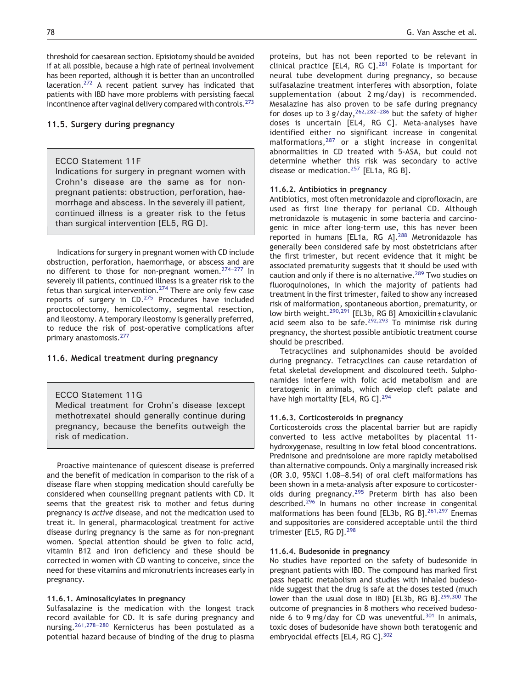threshold for caesarean section. Episiotomy should be avoided if at all possible, because a high rate of perineal involvement has been reported, although it is better than an uncontrolled laceration[.272](#page-32-0) A recent patient survey has indicated that patients with IBD have more problems with persisting faecal incontinence after vaginal delivery compared with controls.  $273$ 

# 11.5. Surgery during pregnancy

#### ECCO Statement 11F

Indications for surgery in pregnant women with Crohn's disease are the same as for nonpregnant patients: obstruction, perforation, haemorrhage and abscess. In the severely ill patient, continued illness is a greater risk to the fetus than surgical intervention [EL5, RG D].

Indications for surgery in pregnant women with CD include obstruction, perforation, haemorrhage, or abscess and are no different to those for non-pregnant women.<sup>274–[277](#page-32-0)</sup> In severely ill patients, continued illness is a greater risk to the fetus than surgical intervention.[274](#page-32-0) There are only few case reports of surgery in CD.[275](#page-32-0) Procedures have included proctocolectomy, hemicolectomy, segmental resection, and ileostomy. A temporary ileostomy is generally preferred, to reduce the risk of post-operative complications after primary anastomosis.[277](#page-32-0)

# 11.6. Medical treatment during pregnancy

ECCO Statement 11G

Medical treatment for Crohn's disease (except methotrexate) should generally continue during pregnancy, because the benefits outweigh the risk of medication.

Proactive maintenance of quiescent disease is preferred and the benefit of medication in comparison to the risk of a disease flare when stopping medication should carefully be considered when counselling pregnant patients with CD. It seems that the greatest risk to mother and fetus during pregnancy is active disease, and not the medication used to treat it. In general, pharmacological treatment for active disease during pregnancy is the same as for non-pregnant women. Special attention should be given to folic acid, vitamin B12 and iron deficiency and these should be corrected in women with CD wanting to conceive, since the need for these vitamins and micronutrients increases early in pregnancy.

#### 11.6.1. Aminosalicylates in pregnancy

Sulfasalazine is the medication with the longest track record available for CD. It is safe during pregnancy and nursing.[261,278](#page-32-0)–<sup>280</sup> Kernicterus has been postulated as a potential hazard because of binding of the drug to plasma proteins, but has not been reported to be relevant in clinical practice [EL4, RG C]. $281$  Folate is important for neural tube development during pregnancy, so because sulfasalazine treatment interferes with absorption, folate supplementation (about 2 mg/day) is recommended. Mesalazine has also proven to be safe during pregnancy for doses up to 3 g/day,  $262,282-286$  $262,282-286$  but the safety of higher doses is uncertain [EL4, RG C]. Meta-analyses have identified either no significant increase in congenital malformations,[287](#page-33-0) or a slight increase in congenital abnormalities in CD treated with 5-ASA, but could not determine whether this risk was secondary to active disease or medication.<sup>[257](#page-32-0)</sup> [EL1a, RG B].

# 11.6.2. Antibiotics in pregnancy

Antibiotics, most often metronidazole and ciprofloxacin, are used as first line therapy for perianal CD. Although metronidazole is mutagenic in some bacteria and carcinogenic in mice after long-term use, this has never been reported in humans [EL1a, RG A].<sup>[288](#page-33-0)</sup> Metronidazole has generally been considered safe by most obstetricians after the first trimester, but recent evidence that it might be associated prematurity suggests that it should be used with caution and only if there is no alternative.<sup>[289](#page-33-0)</sup> Two studies on fluoroquinolones, in which the majority of patients had treatment in the first trimester, failed to show any increased risk of malformation, spontaneous abortion, prematurity, or low birth weight.<sup>[290,291](#page-33-0)</sup> [EL3b, RG B] Amoxicillin ± clavulanic acid seem also to be safe.<sup>[292,293](#page-33-0)</sup> To minimise risk during pregnancy, the shortest possible antibiotic treatment course should be prescribed.

Tetracyclines and sulphonamides should be avoided during pregnancy. Tetracyclines can cause retardation of fetal skeletal development and discoloured teeth. Sulphonamides interfere with folic acid metabolism and are teratogenic in animals, which develop cleft palate and have high mortality [EL4, RG C].<sup>[294](#page-33-0)</sup>

#### 11.6.3. Corticosteroids in pregnancy

Corticosteroids cross the placental barrier but are rapidly converted to less active metabolites by placental 11 hydroxygenase, resulting in low fetal blood concentrations. Prednisone and prednisolone are more rapidly metabolised than alternative compounds. Only a marginally increased risk (OR 3.0, 95%CI 1.08–8.54) of oral cleft malformations has been shown in a meta-analysis after exposure to corticoster-oids during pregnancy.<sup>[295](#page-33-0)</sup> Preterm birth has also been described.<sup>[296](#page-33-0)</sup> In humans no other increase in congenital malformations has been found [EL3b, RG B]. $^{261,297}$  $^{261,297}$  $^{261,297}$  Enemas and suppositories are considered acceptable until the third trimester [EL5, RG D].<sup>[298](#page-33-0)</sup>

# 11.6.4. Budesonide in pregnancy

No studies have reported on the safety of budesonide in pregnant patients with IBD. The compound has marked first pass hepatic metabolism and studies with inhaled budesonide suggest that the drug is safe at the doses tested (much lower than the usual dose in IBD) [EL3b, RG B].<sup>[299,300](#page-33-0)</sup> The outcome of pregnancies in 8 mothers who received budeso-nide 6 to 9 mg/day for CD was uneventful.<sup>[301](#page-33-0)</sup> In animals, toxic doses of budesonide have shown both teratogenic and embryocidal effects [EL4, RG C].<sup>[302](#page-33-0)</sup>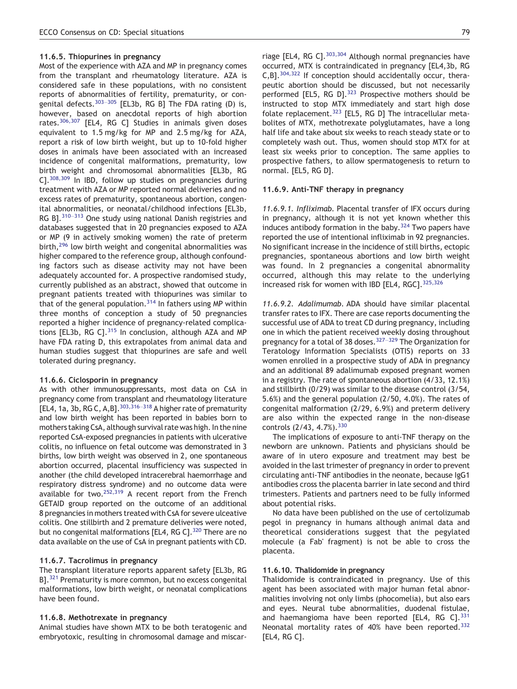#### 11.6.5. Thiopurines in pregnancy

Most of the experience with AZA and MP in pregnancy comes from the transplant and rheumatology literature. AZA is considered safe in these populations, with no consistent reports of abnormalities of fertility, prematurity, or con-genital defects.<sup>[303](#page-33-0)-305</sup> [EL3b, RG B] The FDA rating (D) is, however, based on anecdotal reports of high abortion rates.[306,307](#page-33-0) [EL4, RG C] Studies in animals given doses equivalent to 1.5 mg/kg for MP and 2.5 mg/kg for AZA, report a risk of low birth weight, but up to 10-fold higher doses in animals have been associated with an increased incidence of congenital malformations, prematurity, low birth weight and chromosomal abnormalities [EL3b, RG C].[308,309](#page-33-0) In IBD, follow up studies on pregnancies during treatment with AZA or MP reported normal deliveries and no excess rates of prematurity, spontaneous abortion, congenital abnormalities, or neonatal/childhood infections [EL3b, RG B1.<sup>310–313</sup> One study using national Danish registries and databases suggested that in 20 pregnancies exposed to AZA or MP (9 in actively smoking women) the rate of preterm birth,<sup>[296](#page-33-0)</sup> low birth weight and congenital abnormalities was higher compared to the reference group, although confounding factors such as disease activity may not have been adequately accounted for. A prospective randomised study, currently published as an abstract, showed that outcome in pregnant patients treated with thiopurines was similar to that of the general population. $314$  In fathers using MP within three months of conception a study of 50 pregnancies reported a higher incidence of pregnancy-related complications [EL3b, RG C]. $315$  In conclusion, although AZA and MP have FDA rating D, this extrapolates from animal data and human studies suggest that thiopurines are safe and well tolerated during pregnancy.

#### 11.6.6. Ciclosporin in pregnancy

As with other immunosuppressants, most data on CsA in pregnancy come from transplant and rheumatology literature [EL4, 1a, 3b, RG C, A, B],  $303,316-318$  A higher rate of prematurity and low birth weight has been reported in babies born to mothers taking CsA, although survival rate was high. In the nine reported CsA-exposed pregnancies in patients with ulcerative colitis, no influence on fetal outcome was demonstrated in 3 births, low birth weight was observed in 2, one spontaneous abortion occurred, placental insufficiency was suspected in another (the child developed intracerebral haemorrhage and respiratory distress syndrome) and no outcome data were available for two. $252,319$  A recent report from the French GETAID group reported on the outcome of an additional 8 pregnancies in mothers treated with CsA for severe ulceative colitis. One stillbirth and 2 premature deliveries were noted, but no congenital malformations [EL4, RG C].  $320$  There are no data available on the use of CsA in pregnant patients with CD.

# 11.6.7. Tacrolimus in pregnancy

The transplant literature reports apparent safety [EL3b, RG  $B$ ].<sup>[321](#page-33-0)</sup> Prematurity is more common, but no excess congenital malformations, low birth weight, or neonatal complications have been found.

#### 11.6.8. Methotrexate in pregnancy

Animal studies have shown MTX to be both teratogenic and embryotoxic, resulting in chromosomal damage and miscarriage [EL4, RG C]. $303,304$  Although normal pregnancies have occurred, MTX is contraindicated in pregnancy [EL4,3b, RG C,B].[304,322](#page-33-0) If conception should accidentally occur, therapeutic abortion should be discussed, but not necessarily performed [EL5, RG D].<sup>[323](#page-33-0)</sup> Prospective mothers should be instructed to stop MTX immediately and start high dose folate replacement.[323](#page-33-0) [EL5, RG D] The intracellular metabolites of MTX, methotrexate polyglutamates, have a long half life and take about six weeks to reach steady state or to completely wash out. Thus, women should stop MTX for at least six weeks prior to conception. The same applies to prospective fathers, to allow spermatogenesis to return to normal. [EL5, RG D].

# 11.6.9. Anti-TNF therapy in pregnancy

11.6.9.1. Infliximab. Placental transfer of IFX occurs during in pregnancy, although it is not yet known whether this induces antibody formation in the baby.<sup>[324](#page-33-0)</sup> Two papers have reported the use of intentional infliximab in 92 pregnancies. No significant increase in the incidence of still births, ectopic pregnancies, spontaneous abortions and low birth weight was found. In 2 pregnancies a congenital abnormality occurred, although this may relate to the underlying increased risk for women with IBD [EL4, RGC]. [325,326](#page-33-0)

11.6.9.2. Adalimumab. ADA should have similar placental transfer rates to IFX. There are case reports documenting the successful use of ADA to treat CD during pregnancy, including one in which the patient received weekly dosing throughout pregnancy for a total of 38 doses.<sup>[327](#page-33-0)–329</sup> The Organization for Teratology Information Specialists (OTIS) reports on 33 women enrolled in a prospective study of ADA in pregnancy and an additional 89 adalimumab exposed pregnant women in a registry. The rate of spontaneous abortion (4/33, 12.1%) and stillbirth (0/29) was similar to the disease control (3/54, 5.6%) and the general population (2/50, 4.0%). The rates of congenital malformation (2/29, 6.9%) and preterm delivery are also within the expected range in the non-disease controls (2/43, 4.7%), [330](#page-34-0)

The implications of exposure to anti-TNF therapy on the newborn are unknown. Patients and physicians should be aware of in utero exposure and treatment may best be avoided in the last trimester of pregnancy in order to prevent circulating anti-TNF antibodies in the neonate, because IgG1 antibodies cross the placenta barrier in late second and third trimesters. Patients and partners need to be fully informed about potential risks.

No data have been published on the use of certolizumab pegol in pregnancy in humans although animal data and theoretical considerations suggest that the pegylated molecule (a Fab' fragment) is not be able to cross the placenta.

### 11.6.10. Thalidomide in pregnancy

Thalidomide is contraindicated in pregnancy. Use of this agent has been associated with major human fetal abnormalities involving not only limbs (phocomelia), but also ears and eyes. Neural tube abnormalities, duodenal fistulae, and haemangioma have been reported  $[EL4, RG C]$ . [331](#page-34-0) Neonatal mortality rates of 40% have been reported.<sup>[332](#page-34-0)</sup> [EL4, RG C].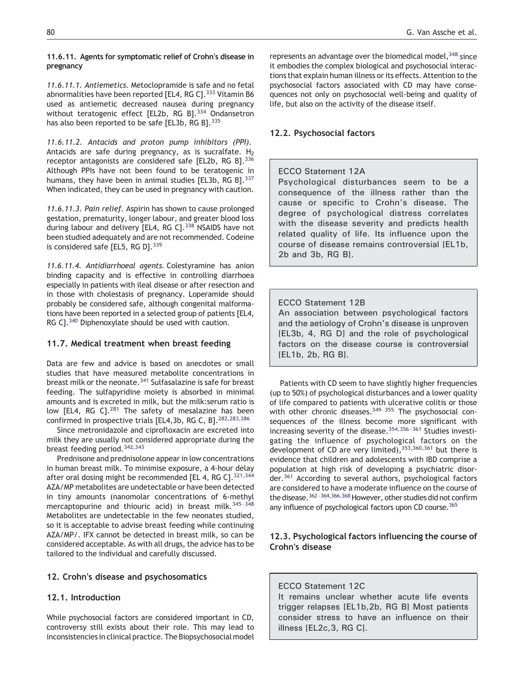#### 11.6.11. Agents for symptomatic relief of Crohn's disease in pregnancy

11.6.11.1. Antiemetics. Metoclopramide is safe and no fetal abnormalities have been reported [EL4, RG C].  $333$  Vitamin B6 used as antiemetic decreased nausea during pregnancy without teratogenic effect [EL2b, RG B].<sup>[334](#page-34-0)</sup> Ondansetron has also been reported to be safe [EL3b, RG B]. [335](#page-34-0)

11.6.11.2. Antacids and proton pump inhibitors (PPI). Antacids are safe during pregnancy, as is sucralfate.  $H_2$ receptor antagonists are considered safe [EL2b, RG B].<sup>[336](#page-34-0)</sup> Although PPIs have not been found to be teratogenic in humans, they have been in animal studies [EL3b, RG B].  $337$ When indicated, they can be used in pregnancy with caution.

11.6.11.3. Pain relief. Aspirin has shown to cause prolonged gestation, prematurity, longer labour, and greater blood loss during labour and delivery [EL4, RG C]. $338$  NSAIDS have not been studied adequately and are not recommended. Codeine is considered safe [EL5, RG D].<sup>[339](#page-34-0)</sup>

11.6.11.4. Antidiarrhoeal agents. Colestyramine has anion binding capacity and is effective in controlling diarrhoea especially in patients with ileal disease or after resection and in those with cholestasis of pregnancy. Loperamide should probably be considered safe, although congenital malformations have been reported in a selected group of patients [EL4, RG C].<sup>340</sup> Diphenoxylate should be used with caution.

# 11.7. Medical treatment when breast feeding

Data are few and advice is based on anecdotes or small studies that have measured metabolite concentrations in breast milk or the neonate.<sup>[341](#page-34-0)</sup> Sulfasalazine is safe for breast feeding. The sulfapyridine moiety is absorbed in minimal amounts and is excreted in milk, but the milk:serum ratio is low [EL4, RG C]. $281$  The safety of mesalazine has been confirmed in prospective trials [EL4,3b, RG C, B].<sup>[282,283,286](#page-32-0)</sup>

Since metronidazole and ciprofloxacin are excreted into milk they are usually not considered appropriate during the breast feeding period.[342,343](#page-34-0)

Prednisone and prednisolone appear in low concentrations in human breast milk. To minimise exposure, a 4-hour delay after oral dosing might be recommended [EL 4, RG C].  $321,344$ AZA/MP metabolites are undetectable or have been detected in tiny amounts (nanomolar concentrations of 6-methyl mercaptopurine and thiouric acid) in breast milk. $345-348$  $345-348$ Metabolites are undetectable in the few neonates studied, so it is acceptable to advise breast feeding while continuing AZA/MP/. IFX cannot be detected in breast milk, so can be considered acceptable. As with all drugs, the advice has to be tailored to the individual and carefully discussed.

# 12. Crohn's disease and psychosomatics

# 12.1. Introduction

While psychosocial factors are considered important in CD, controversy still exists about their role. This may lead to inconsistencies in clinical practice. The Biopsychosocial model

represents an advantage over the biomedical model,  $348$  since it embodies the complex biological and psychosocial interactions that explain human illness or its effects. Attention to the psychosocial factors associated with CD may have consequences not only on psychosocial well-being and quality of life, but also on the activity of the disease itself.

# 12.2. Psychosocial factors

# ECCO Statement 12A

Psychological disturbances seem to be a consequence of the illness rather than the cause or specific to Crohn's disease. The degree of psychological distress correlates with the disease severity and predicts health related quality of life. Its influence upon the course of disease remains controversial [EL1b, 2b and 3b, RG B].

ECCO Statement 12B An association between psychological factors and the aetiology of Crohn's disease is unproven [EL3b, 4, RG D] and the role of psychological factors on the disease course is controversial [EL1b, 2b, RG B].

Patients with CD seem to have slightly higher frequencies (up to 50%) of psychological disturbances and a lower quality of life compared to patients with ulcerative colitis or those with other chronic diseases. $349-355$  $349-355$  The psychosocial consequences of the illness become more significant with increasing severity of the disease.[354,356](#page-34-0)–<sup>361</sup> Studies investigating the influence of psychological factors on the development of CD are very limited),  $353,360,361$  but there is evidence that children and adolescents with IBD comprise a population at high risk of developing a psychiatric disor-der.<sup>[361](#page-34-0)</sup> According to several authors, psychological factors are considered to have a moderate influence on the course of the disease.<sup>362–[364,366,368](#page-34-0)</sup> However, other studies did not confirm any influence of psychological factors upon CD course.<sup>365</sup>

# 12.3. Psychological factors influencing the course of Crohn's disease

ECCO Statement 12C

It remains unclear whether acute life events trigger relapses [EL1b,2b, RG B] Most patients consider stress to have an influence on their illness [EL2c,3, RG C].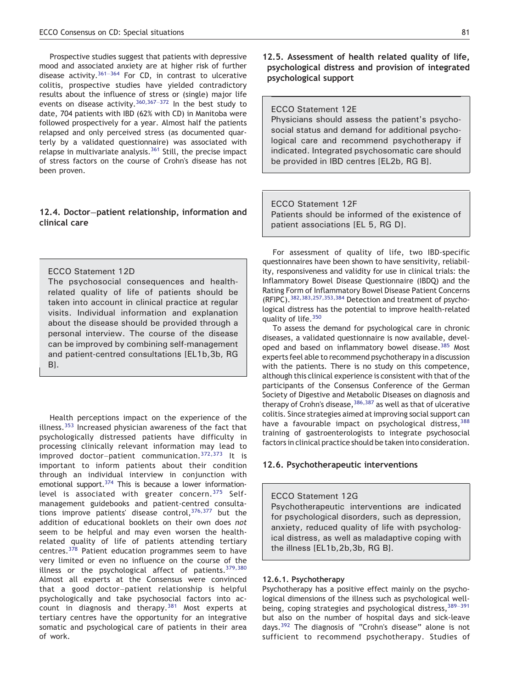Prospective studies suggest that patients with depressive mood and associated anxiety are at higher risk of further disease activity.<sup>361–[364](#page-34-0)</sup> For CD, in contrast to ulcerative colitis, prospective studies have yielded contradictory results about the influence of stress or (single) major life events on disease activity.<sup>[360,367](#page-34-0)-372</sup> In the best study to date, 704 patients with IBD (62% with CD) in Manitoba were followed prospectively for a year. Almost half the patients relapsed and only perceived stress (as documented quarterly by a validated questionnaire) was associated with relapse in multivariate analysis.<sup>[361](#page-34-0)</sup> Still, the precise impact of stress factors on the course of Crohn's disease has not been proven.

# 12.4. Doctor–patient relationship, information and clinical care

ECCO Statement 12D

The psychosocial consequences and healthrelated quality of life of patients should be taken into account in clinical practice at regular visits. Individual information and explanation about the disease should be provided through a personal interview. The course of the disease can be improved by combining self-management and patient-centred consultations [EL1b,3b, RG B].

Health perceptions impact on the experience of the illness.[353](#page-34-0) Increased physician awareness of the fact that psychologically distressed patients have difficulty in processing clinically relevant information may lead to improved doctor–patient communication.[372,373](#page-34-0) It is important to inform patients about their condition through an individual interview in conjunction with emotional support.<sup>[374](#page-35-0)</sup> This is because a lower information-level is associated with greater concern.<sup>[375](#page-35-0)</sup> Selfmanagement guidebooks and patient-centred consultations improve patients' disease control,  $376,377$  but the addition of educational booklets on their own does not seem to be helpful and may even worsen the healthrelated quality of life of patients attending tertiary centres.[378](#page-35-0) Patient education programmes seem to have very limited or even no influence on the course of the illness or the psychological affect of patients.  $379,380$ Almost all experts at the Consensus were convinced that a good doctor–patient relationship is helpful psychologically and take psychosocial factors into ac-count in diagnosis and therapy.<sup>[381](#page-35-0)</sup> Most experts at tertiary centres have the opportunity for an integrative somatic and psychological care of patients in their area of work.

12.5. Assessment of health related quality of life, psychological distress and provision of integrated psychological support

#### ECCO Statement 12E

Physicians should assess the patient's psychosocial status and demand for additional psychological care and recommend psychotherapy if indicated. Integrated psychosomatic care should be provided in IBD centres [EL2b, RG B].

ECCO Statement 12F Patients should be informed of the existence of patient associations [EL 5, RG D].

For assessment of quality of life, two IBD-specific questionnaires have been shown to have sensitivity, reliability, responsiveness and validity for use in clinical trials: the Inflammatory Bowel Disease Questionnaire (IBDQ) and the Rating Form of Inflammatory Bowel Disease Patient Concerns (RFIPC).[382,383,257,353,384](#page-35-0) Detection and treatment of psychological distress has the potential to improve health-related quality of life. [350](#page-34-0)

To assess the demand for psychological care in chronic diseases, a validated questionnaire is now available, devel-oped and based on inflammatory bowel disease.<sup>[385](#page-35-0)</sup> Most experts feel able to recommend psychotherapy in a discussion with the patients. There is no study on this competence, although this clinical experience is consistent with that of the participants of the Consensus Conference of the German Society of Digestive and Metabolic Diseases on diagnosis and therapy of Crohn's disease, [386,387](#page-35-0) as well as that of ulcerative colitis. Since strategies aimed at improving social support can have a favourable impact on psychological distress, [388](#page-35-0) training of gastroenterologists to integrate psychosocial factors in clinical practice should be taken into consideration.

# 12.6. Psychotherapeutic interventions

#### ECCO Statement 12G

Psychotherapeutic interventions are indicated for psychological disorders, such as depression, anxiety, reduced quality of life with psychological distress, as well as maladaptive coping with the illness [EL1b,2b,3b, RG B].

#### 12.6.1. Psychotherapy

Psychotherapy has a positive effect mainly on the psychological dimensions of the illness such as psychological well-being, coping strategies and psychological distress, 389-[391](#page-35-0) but also on the number of hospital days and sick-leave days.[392](#page-35-0) The diagnosis of "Crohn's disease" alone is not sufficient to recommend psychotherapy. Studies of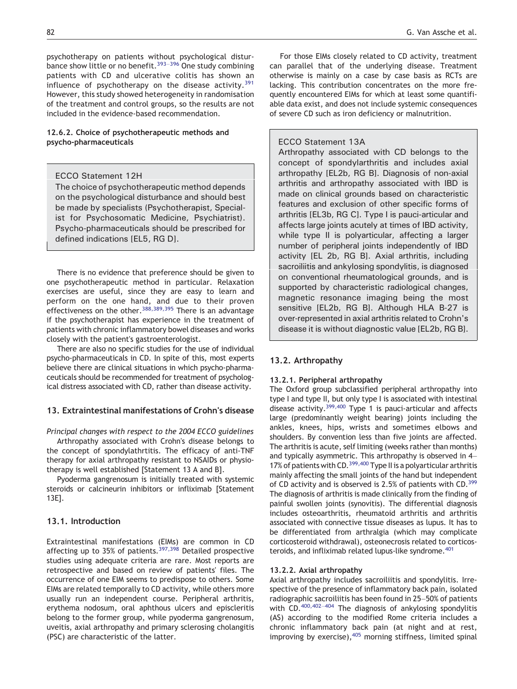psychotherapy on patients without psychological distur-bance show little or no benefit.<sup>393–[396](#page-35-0)</sup> One study combining patients with CD and ulcerative colitis has shown an influence of psychotherapy on the disease activity.<sup>[391](#page-35-0)</sup> However, this study showed heterogeneity in randomisation of the treatment and control groups, so the results are not included in the evidence-based recommendation.

# 12.6.2. Choice of psychotherapeutic methods and psycho-pharmaceuticals

ECCO Statement 12H

The choice of psychotherapeutic method depends on the psychological disturbance and should best be made by specialists (Psychotherapist, Specialist for Psychosomatic Medicine, Psychiatrist). Psycho-pharmaceuticals should be prescribed for defined indications [EL5, RG D].

There is no evidence that preference should be given to one psychotherapeutic method in particular. Relaxation exercises are useful, since they are easy to learn and perform on the one hand, and due to their proven effectiveness on the other.<sup>[388,389,395](#page-35-0)</sup> There is an advantage if the psychotherapist has experience in the treatment of patients with chronic inflammatory bowel diseases and works closely with the patient's gastroenterologist.

There are also no specific studies for the use of individual psycho-pharmaceuticals in CD. In spite of this, most experts believe there are clinical situations in which psycho-pharmaceuticals should be recommended for treatment of psychological distress associated with CD, rather than disease activity.

# 13. Extraintestinal manifestations of Crohn's disease

Principal changes with respect to the 2004 ECCO guidelines

Arthropathy associated with Crohn's disease belongs to the concept of spondylathrtitis. The efficacy of anti-TNF therapy for axial arthropathy resistant to NSAIDs or physiotherapy is well established [Statement 13 A and B].

Pyoderma gangrenosum is initially treated with systemic steroids or calcineurin inhibitors or infliximab [Statement 13E].

# 13.1. Introduction

Extraintestinal manifestations (EIMs) are common in CD affecting up to 35% of patients.<sup>[397,398](#page-35-0)</sup> Detailed prospective studies using adequate criteria are rare. Most reports are retrospective and based on review of patients' files. The occurrence of one EIM seems to predispose to others. Some EIMs are related temporally to CD activity, while others more usually run an independent course. Peripheral arthritis, erythema nodosum, oral aphthous ulcers and episcleritis belong to the former group, while pyoderma gangrenosum, uveitis, axial arthropathy and primary sclerosing cholangitis (PSC) are characteristic of the latter.

For those EIMs closely related to CD activity, treatment can parallel that of the underlying disease. Treatment otherwise is mainly on a case by case basis as RCTs are lacking. This contribution concentrates on the more frequently encountered EIMs for which at least some quantifiable data exist, and does not include systemic consequences of severe CD such as iron deficiency or malnutrition.

# ECCO Statement 13A

Arthropathy associated with CD belongs to the concept of spondylarthritis and includes axial arthropathy [EL2b, RG B]. Diagnosis of non-axial arthritis and arthropathy associated with IBD is made on clinical grounds based on characteristic features and exclusion of other specific forms of arthritis [EL3b, RG C]. Type I is pauci-articular and affects large joints acutely at times of IBD activity, while type II is polyarticular, affecting a larger number of peripheral joints independently of IBD activity [EL 2b, RG B]. Axial arthritis, including sacroiliitis and ankylosing spondylitis, is diagnosed on conventional rheumatological grounds, and is supported by characteristic radiological changes, magnetic resonance imaging being the most sensitive [EL2b, RG B]. Although HLA B-27 is over-represented in axial arthritis related to Crohn's disease it is without diagnostic value [EL2b, RG B].

# 13.2. Arthropathy

#### 13.2.1. Peripheral arthropathy

The Oxford group subclassified peripheral arthropathy into type I and type II, but only type I is associated with intestinal disease activity. $399,400$  Type 1 is pauci-articular and affects large (predominantly weight bearing) joints including the ankles, knees, hips, wrists and sometimes elbows and shoulders. By convention less than five joints are affected. The arthritis is acute, self limiting (weeks rather than months) and typically asymmetric. This arthropathy is observed in 4– 17% of patients with CD.<sup>399,400</sup> Type II is a polyarticular arthritis mainly affecting the small joints of the hand but independent of CD activity and is observed is 2.5% of patients with CD.<sup>399</sup> The diagnosis of arthritis is made clinically from the finding of painful swollen joints (synovitis). The differential diagnosis includes osteoarthritis, rheumatoid arthritis and arthritis associated with connective tissue diseases as lupus. It has to be differentiated from arthralgia (which may complicate corticosteroid withdrawal), osteonecrosis related to corticos-teroids, and infliximab related lupus-like syndrome.<sup>[401](#page-35-0)</sup>

#### 13.2.2. Axial arthropathy

Axial arthropathy includes sacroiliitis and spondylitis. Irrespective of the presence of inflammatory back pain, isolated radiographic sacroiliitis has been found in 25–50% of patients with CD.[400,402](#page-35-0)–<sup>404</sup> The diagnosis of ankylosing spondylitis (AS) according to the modified Rome criteria includes a chronic inflammatory back pain (at night and at rest, improving by exercise), $405$  morning stiffness, limited spinal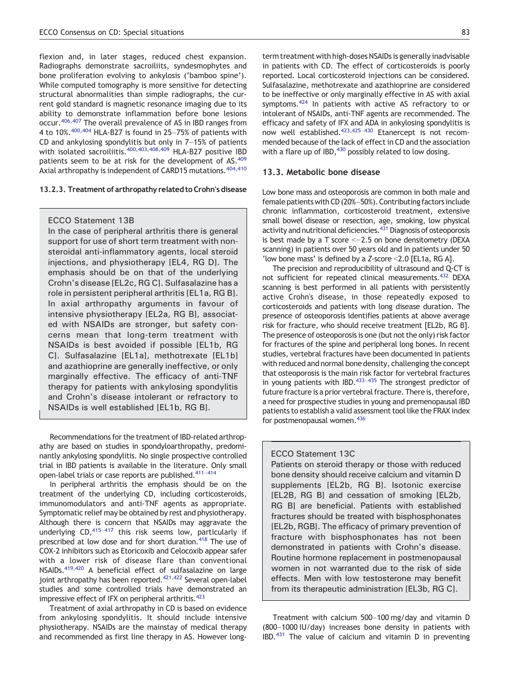flexion and, in later stages, reduced chest expansion. Radiographs demonstrate sacroiliits, syndesmophytes and bone proliferation evolving to ankylosis ('bamboo spine'). While computed tomography is more sensitive for detecting structural abnormalities than simple radiographs, the current gold standard is magnetic resonance imaging due to its ability to demonstrate inflammation before bone lesions occur.[406,407](#page-35-0) The overall prevalence of AS in IBD ranges from 4 to 10%. $400,404$  HLA-B27 is found in 25-75% of patients with CD and ankylosing spondylitis but only in 7–15% of patients with isolated sacroiliitis.<sup>[400,403,408,409](#page-35-0)</sup> HLA-B27 positive IBD patients seem to be at risk for the development of AS.<sup>[409](#page-35-0)</sup> Axial arthropathy is independent of CARD15 mutations.  $404,410$ 

#### 13.2.3. Treatment of arthropathy related to Crohn's disease

#### ECCO Statement 13B

In the case of peripheral arthritis there is general support for use of short term treatment with nonsteroidal anti-inflammatory agents, local steroid injections, and physiotherapy [EL4, RG D]. The emphasis should be on that of the underlying Crohn's disease [EL2c, RG C]. Sulfasalazine has a role in persistent peripheral arthritis [EL1a, RG B]. In axial arthropathy arguments in favour of intensive physiotherapy [EL2a, RG B], associated with NSAIDs are stronger, but safety concerns mean that long-term treatment with NSAIDs is best avoided if possible [EL1b, RG C]. Sulfasalazine [EL1a], methotrexate [EL1b] and azathioprine are generally ineffective, or only marginally effective. The efficacy of anti-TNF therapy for patients with ankylosing spondylitis and Crohn's disease intolerant or refractory to NSAIDs is well established [EL1b, RG B].

Recommendations for the treatment of IBD-related arthropathy are based on studies in spondyloarthropathy, predominantly ankylosing spondylitis. No single prospective controlled trial in IBD patients is available in the literature. Only small open-label trials or case reports are published[.411](#page-36-0)–<sup>414</sup>

In peripheral arthritis the emphasis should be on the treatment of the underlying CD, including corticosteroids, immunomodulators and anti-TNF agents as appropriate. Symptomatic relief may be obtained by rest and physiotherapy. Although there is concern that NSAIDs may aggravate the underlying  $CD$ ,  $415-417$  this risk seems low, particularly if prescribed at low dose and for short duration.<sup>418</sup> The use of COX-2 inhibitors such as Etoricoxib and Celocoxib appear safer with a lower risk of disease flare than conventional NSAIDs[.419,420](#page-36-0) A beneficial effect of sulfasalazine on large joint arthropathy has been reported.<sup>[421,422](#page-36-0)</sup> Several open-label studies and some controlled trials have demonstrated an impressive effect of IFX on peripheral arthritis. $423$ 

Treatment of axial arthropathy in CD is based on evidence from ankylosing spondylitis. It should include intensive physiotherapy. NSAIDs are the mainstay of medical therapy and recommended as first line therapy in AS. However longterm treatment with high-doses NSAIDs is generally inadvisable in patients with CD. The effect of corticosteroids is poorly reported. Local corticosteroid injections can be considered. Sulfasalazine, methotrexate and azathioprine are considered to be ineffective or only marginally effective in AS with axial symptoms.<sup>424</sup> In patients with active AS refractory to or intolerant of NSAIDs, anti-TNF agents are recommended. The efficacy and safety of IFX and ADA in ankylosing spondylitis is now well established[.423,425](#page-36-0)–<sup>430</sup> Etanercept is not recommended because of the lack of effect in CD and the association with a flare up of IBD, $430$  possibly related to low dosing.

### 13.3. Metabolic bone disease

Low bone mass and osteoporosis are common in both male and female patients with CD (20%–50%). Contributing factors include chronic inflammation, corticosteroid treatment, extensive small bowel disease or resection, age, smoking, low physical activity and nutritional deficiencies. $4\overline{3}1$  Diagnosis of osteoporosis is best made by a T score <-2.5 on bone densitometry (DEXA scanning) in patients over 50 years old and in patients under 50 'low bone mass' is defined by a Z-score  $\leq$  2.0 [EL1a, RG A].

The precision and reproducibility of ultrasound and Q-CT is not sufficient for repeated clinical measurements.<sup>[432](#page-36-0)</sup> DEXA scanning is best performed in all patients with persistently active Crohn's disease, in those repeatedly exposed to corticosteroids and patients with long disease duration. The presence of osteoporosis identifies patients at above average risk for fracture, who should receive treatment [EL2b, RG B]. The presence of osteoporosis is one (but not the only) risk factor for fractures of the spine and peripheral long bones. In recent studies, vertebral fractures have been documented in patients with reduced and normal bone density, challenging the concept that osteoporosis is the main risk factor for vertebral fractures in young patients with IBD. $433-435$  The strongest predictor of future fracture is a prior vertebral fracture. There is, therefore, a need for prospective studies in young and premenopausal IBD patients to establish a valid assessment tool like the FRAX index for postmenopausal women.<sup>436</sup>

# ECCO Statement 13C

Patients on steroid therapy or those with reduced bone density should receive calcium and vitamin D supplements [EL2b, RG B]. Isotonic exercise [EL2B, RG B] and cessation of smoking [EL2b, RG B] are beneficial. Patients with established fractures should be treated with bisphosphonates [EL2b, RGB]. The efficacy of primary prevention of fracture with bisphosphonates has not been demonstrated in patients with Crohn's disease. Routine hormone replacement in postmenopausal women in not warranted due to the risk of side effects. Men with low testosterone may benefit from its therapeutic administration [EL3b, RG C].

Treatment with calcium 500–100 mg/day and vitamin D (800–1000 IU/day) increases bone density in patients with  $IBD.<sup>431</sup>$  The value of calcium and vitamin D in preventing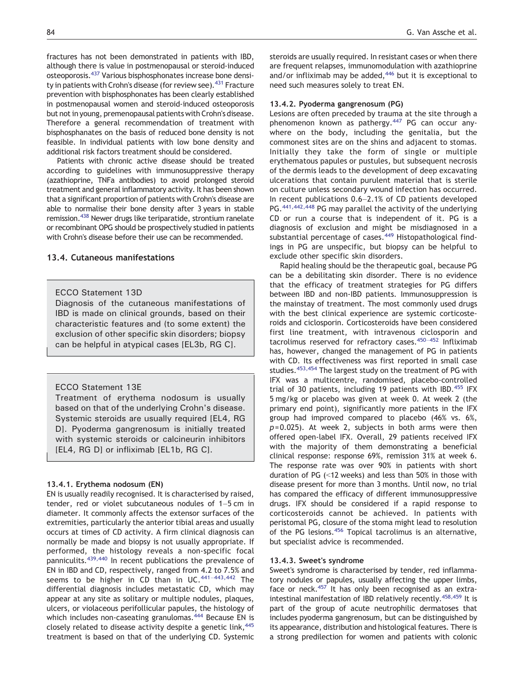fractures has not been demonstrated in patients with IBD, although there is value in postmenopausal or steroid-induced osteoporosis.[437](#page-36-0) Various bisphosphonates increase bone density in patients with Crohn's disease (for review see).  $431$  Fracture prevention with bisphosphonates has been clearly established in postmenopausal women and steroid-induced osteoporosis but not in young, premenopausal patients with Crohn's disease. Therefore a general recommendation of treatment with bisphosphanates on the basis of reduced bone density is not feasible. In individual patients with low bone density and additional risk factors treatment should be considered.

Patients with chronic active disease should be treated according to guidelines with immunosuppressive therapy (azathioprine, TNFa antibodies) to avoid prolonged steroid treatment and general inflammatory activity. It has been shown that a significant proportion of patients with Crohn's disease are able to normalise their bone density after 3 years in stable remission.[438](#page-36-0) Newer drugs like teriparatide, strontium ranelate or recombinant OPG should be prospectively studied in patients with Crohn's disease before their use can be recommended.

# 13.4. Cutaneous manifestations

ECCO Statement 13D

Diagnosis of the cutaneous manifestations of IBD is made on clinical grounds, based on their characteristic features and (to some extent) the exclusion of other specific skin disorders; biopsy can be helpful in atypical cases [EL3b, RG C].

ECCO Statement 13E

Treatment of erythema nodosum is usually based on that of the underlying Crohn's disease. Systemic steroids are usually required [EL4, RG D]. Pyoderma gangrenosum is initially treated with systemic steroids or calcineurin inhibitors [EL4, RG D] or infliximab [EL1b, RG C].

#### 13.4.1. Erythema nodosum (EN)

EN is usually readily recognised. It is characterised by raised, tender, red or violet subcutaneous nodules of 1–5 cm in diameter. It commonly affects the extensor surfaces of the extremities, particularly the anterior tibial areas and usually occurs at times of CD activity. A firm clinical diagnosis can normally be made and biopsy is not usually appropriate. If performed, the histology reveals a non-specific focal panniculits.[439,440](#page-36-0) In recent publications the prevalence of EN in IBD and CD, respectively, ranged from 4.2 to 7.5% and seems to be higher in CD than in UC.<sup>441-[443,442](#page-36-0)</sup> The differential diagnosis includes metastatic CD, which may appear at any site as solitary or multiple nodules, plaques, ulcers, or violaceous perifollicular papules, the histology of which includes non-caseating granulomas.<sup>[444](#page-36-0)</sup> Because EN is closely related to disease activity despite a genetic link,  $445$ treatment is based on that of the underlying CD. Systemic steroids are usually required. In resistant cases or when there are frequent relapses, immunomodulation with azathioprine and/or infliximab may be added, $446$  but it is exceptional to need such measures solely to treat EN.

#### 13.4.2. Pyoderma gangrenosum (PG)

Lesions are often preceded by trauma at the site through a phenomenon known as pathergy.[447](#page-36-0) PG can occur anywhere on the body, including the genitalia, but the commonest sites are on the shins and adjacent to stomas. Initially they take the form of single or multiple erythematous papules or pustules, but subsequent necrosis of the dermis leads to the development of deep excavating ulcerations that contain purulent material that is sterile on culture unless secondary wound infection has occurred. In recent publications 0.6–2.1% of CD patients developed PG.[441,442,448](#page-36-0) PG may parallel the activity of the underlying CD or run a course that is independent of it. PG is a diagnosis of exclusion and might be misdiagnosed in a substantial percentage of cases.<sup>[449](#page-36-0)</sup> Histopathological findings in PG are unspecific, but biopsy can be helpful to exclude other specific skin disorders.

Rapid healing should be the therapeutic goal, because PG can be a debilitating skin disorder. There is no evidence that the efficacy of treatment strategies for PG differs between IBD and non-IBD patients. Immunosuppression is the mainstay of treatment. The most commonly used drugs with the best clinical experience are systemic corticosteroids and ciclosporin. Corticosteroids have been considered first line treatment, with intravenous ciclosporin and tacrolimus reserved for refractory cases.<sup>450-[452](#page-37-0)</sup> Infliximab has, however, changed the management of PG in patients with CD. Its effectiveness was first reported in small case studies.<sup>[453,454](#page-37-0)</sup> The largest study on the treatment of PG with IFX was a multicentre, randomised, placebo-controlled trial of 30 patients, including 19 patients with IBD.<sup>[455](#page-37-0)</sup> IFX 5 mg/kg or placebo was given at week 0. At week 2 (the primary end point), significantly more patients in the IFX group had improved compared to placebo (46% vs. 6%,  $p = 0.025$ ). At week 2, subjects in both arms were then offered open-label IFX. Overall, 29 patients received IFX with the majority of them demonstrating a beneficial clinical response: response 69%, remission 31% at week 6. The response rate was over 90% in patients with short duration of PG  $($  < 12 weeks) and less than 50% in those with disease present for more than 3 months. Until now, no trial has compared the efficacy of different immunosuppressive drugs. IFX should be considered if a rapid response to corticosteroids cannot be achieved. In patients with peristomal PG, closure of the stoma might lead to resolution of the PG lesions.<sup>456</sup> Topical tacrolimus is an alternative, but specialist advice is recommended.

### 13.4.3. Sweet's syndrome

Sweet's syndrome is characterised by tender, red inflammatory nodules or papules, usually affecting the upper limbs, face or neck.<sup>457</sup> It has only been recognised as an extraintestinal manifestation of IBD relatively recently[.458,459](#page-37-0) It is part of the group of acute neutrophilic dermatoses that includes pyoderma gangrenosum, but can be distinguished by its appearance, distribution and histological features. There is a strong predilection for women and patients with colonic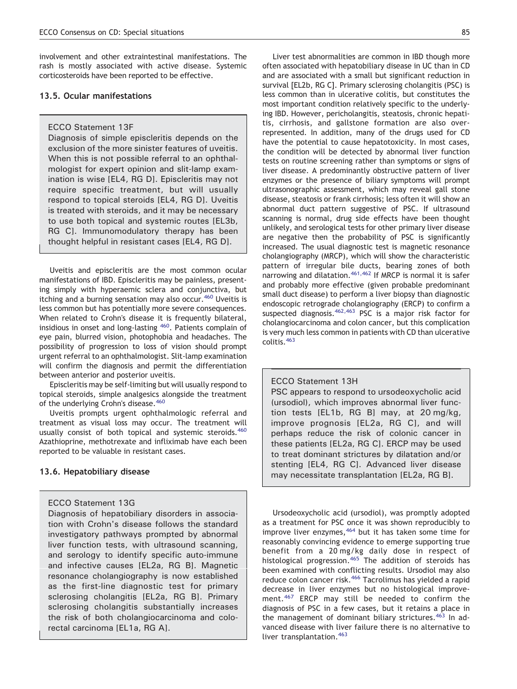involvement and other extraintestinal manifestations. The rash is mostly associated with active disease. Systemic corticosteroids have been reported to be effective.

# 13.5. Ocular manifestations

#### ECCO Statement 13F

Diagnosis of simple episcleritis depends on the exclusion of the more sinister features of uveitis. When this is not possible referral to an ophthalmologist for expert opinion and slit-lamp examination is wise [EL4, RG D]. Episcleritis may not require specific treatment, but will usually respond to topical steroids [EL4, RG D]. Uveitis is treated with steroids, and it may be necessary to use both topical and systemic routes [EL3b, RG C]. Immunomodulatory therapy has been thought helpful in resistant cases [EL4, RG D].

Uveitis and episcleritis are the most common ocular manifestations of IBD. Episcleritis may be painless, presenting simply with hyperaemic sclera and conjunctiva, but itching and a burning sensation may also occur.<sup>[460](#page-37-0)</sup> Uveitis is less common but has potentially more severe consequences. When related to Crohn's disease it is frequently bilateral, insidious in onset and long-lasting <sup>[460](#page-37-0)</sup>. Patients complain of eye pain, blurred vision, photophobia and headaches. The possibility of progression to loss of vision should prompt urgent referral to an ophthalmologist. Slit-lamp examination will confirm the diagnosis and permit the differentiation between anterior and posterior uveitis.

Episcleritis may be self-limiting but will usually respond to topical steroids, simple analgesics alongside the treatment of the underlying Crohn's disease.<sup>[460](#page-37-0)</sup>

Uveitis prompts urgent ophthalmologic referral and treatment as visual loss may occur. The treatment will usually consist of both topical and systemic steroids.<sup>[460](#page-37-0)</sup> Azathioprine, methotrexate and infliximab have each been reported to be valuable in resistant cases.

#### 13.6. Hepatobiliary disease

#### ECCO Statement 13G

Diagnosis of hepatobiliary disorders in association with Crohn's disease follows the standard investigatory pathways prompted by abnormal liver function tests, with ultrasound scanning, and serology to identify specific auto-immune and infective causes [EL2a, RG B]. Magnetic resonance cholangiography is now established as the first-line diagnostic test for primary sclerosing cholangitis [EL2a, RG B]. Primary sclerosing cholangitis substantially increases the risk of both cholangiocarcinoma and colorectal carcinoma [EL1a, RG A].

Liver test abnormalities are common in IBD though more often associated with hepatobiliary disease in UC than in CD and are associated with a small but significant reduction in survival [EL2b, RG C]. Primary sclerosing cholangitis (PSC) is less common than in ulcerative colitis, but constitutes the most important condition relatively specific to the underlying IBD. However, pericholangitis, steatosis, chronic hepatitis, cirrhosis, and gallstone formation are also overrepresented. In addition, many of the drugs used for CD have the potential to cause hepatotoxicity. In most cases, the condition will be detected by abnormal liver function tests on routine screening rather than symptoms or signs of liver disease. A predominantly obstructive pattern of liver enzymes or the presence of biliary symptoms will prompt ultrasonographic assessment, which may reveal gall stone disease, steatosis or frank cirrhosis; less often it will show an abnormal duct pattern suggestive of PSC. If ultrasound scanning is normal, drug side effects have been thought unlikely, and serological tests for other primary liver disease are negative then the probability of PSC is significantly increased. The usual diagnostic test is magnetic resonance cholangiography (MRCP), which will show the characteristic pattern of irregular bile ducts, bearing zones of both narrowing and dilatation.<sup>[461,462](#page-37-0)</sup> If MRCP is normal it is safer and probably more effective (given probable predominant small duct disease) to perform a liver biopsy than diagnostic endoscopic retrograde cholangiography (ERCP) to confirm a suspected diagnosis.[462,463](#page-37-0) PSC is a major risk factor for cholangiocarcinoma and colon cancer, but this complication is very much less common in patients with CD than ulcerative colitis.[463](#page-37-0)

# ECCO Statement 13H

PSC appears to respond to ursodeoxycholic acid (ursodiol), which improves abnormal liver function tests [EL1b, RG B] may, at 20 mg/kg, improve prognosis [EL2a, RG C], and will perhaps reduce the risk of colonic cancer in these patients [EL2a, RG C]. ERCP may be used to treat dominant strictures by dilatation and/or stenting [EL4, RG C]. Advanced liver disease may necessitate transplantation [EL2a, RG B].

Ursodeoxycholic acid (ursodiol), was promptly adopted as a treatment for PSC once it was shown reproducibly to improve liver enzymes,  $464$  but it has taken some time for reasonably convincing evidence to emerge supporting true benefit from a 20 mg/kg daily dose in respect of histological progression.<sup>[465](#page-37-0)</sup> The addition of steroids has been examined with conflicting results. Ursodiol may also reduce colon cancer risk.<sup>[466](#page-37-0)</sup> Tacrolimus has yielded a rapid decrease in liver enzymes but no histological improvement.[467](#page-37-0) ERCP may still be needed to confirm the diagnosis of PSC in a few cases, but it retains a place in the management of dominant biliary strictures.<sup>[463](#page-37-0)</sup> In advanced disease with liver failure there is no alternative to liver transplantation.<sup>[463](#page-37-0)</sup>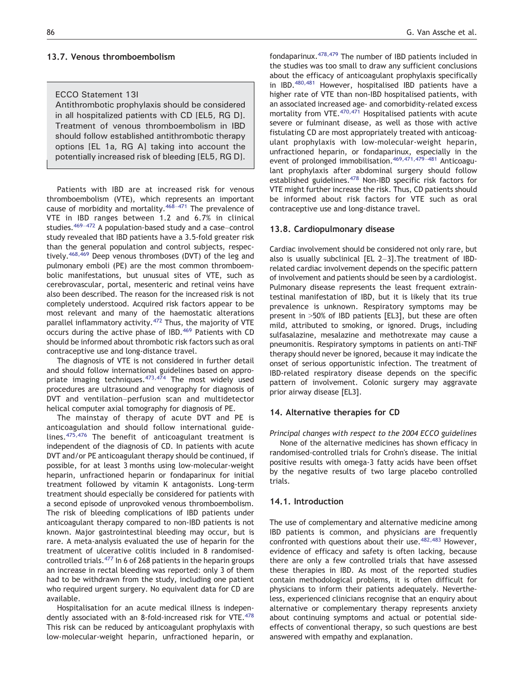### 13.7. Venous thromboembolism

# ECCO Statement 13I

Antithrombotic prophylaxis should be considered in all hospitalized patients with CD [EL5, RG D]. Treatment of venous thromboembolism in IBD should follow established antithrombotic therapy options [EL 1a, RG A] taking into account the potentially increased risk of bleeding [EL5, RG D].

Patients with IBD are at increased risk for venous thromboembolism (VTE), which represents an important cause of morbidity and mortality.468–[471](#page-37-0) The prevalence of VTE in IBD ranges between 1.2 and 6.7% in clinical studies.469–[472](#page-37-0) A population-based study and a case–control study revealed that IBD patients have a 3.5-fold greater risk than the general population and control subjects, respec-tively.<sup>[468,469](#page-37-0)</sup> Deep venous thromboses (DVT) of the leg and pulmonary emboli (PE) are the most common thromboembolic manifestations, but unusual sites of VTE, such as cerebrovascular, portal, mesenteric and retinal veins have also been described. The reason for the increased risk is not completely understood. Acquired risk factors appear to be most relevant and many of the haemostatic alterations parallel inflammatory activity.<sup>[472](#page-37-0)</sup> Thus, the majority of VTE occurs during the active phase of IBD.<sup>[469](#page-37-0)</sup> Patients with CD should be informed about thrombotic risk factors such as oral contraceptive use and long-distance travel.

The diagnosis of VTE is not considered in further detail and should follow international guidelines based on appropriate imaging techniques. $473,474$  The most widely used procedures are ultrasound and venography for diagnosis of DVT and ventilation–perfusion scan and multidetector helical computer axial tomography for diagnosis of PE.

The mainstay of therapy of acute DVT and PE is anticoagulation and should follow international guidelines.[475,476](#page-37-0) The benefit of anticoagulant treatment is independent of the diagnosis of CD. In patients with acute DVT and/or PE anticoagulant therapy should be continued, if possible, for at least 3 months using low-molecular-weight heparin, unfractioned heparin or fondaparinux for initial treatment followed by vitamin K antagonists. Long-term treatment should especially be considered for patients with a second episode of unprovoked venous thromboembolism. The risk of bleeding complications of IBD patients under anticoagulant therapy compared to non-IBD patients is not known. Major gastrointestinal bleeding may occur, but is rare. A meta-analysis evaluated the use of heparin for the treatment of ulcerative colitis included in 8 randomisedcontrolled trials.[477](#page-37-0) In 6 of 268 patients in the heparin groups an increase in rectal bleeding was reported: only 3 of them had to be withdrawn from the study, including one patient who required urgent surgery. No equivalent data for CD are available.

Hospitalisation for an acute medical illness is indepen-dently associated with an 8-fold-increased risk for VTE.<sup>[478](#page-37-0)</sup> This risk can be reduced by anticoagulant prophylaxis with low-molecular-weight heparin, unfractioned heparin, or fondaparinux.[478,479](#page-37-0) The number of IBD patients included in the studies was too small to draw any sufficient conclusions about the efficacy of anticoagulant prophylaxis specifically in IBD.<sup>[480,481](#page-37-0)</sup> However, hospitalised IBD patients have a higher rate of VTE than non-IBD hospitalised patients, with an associated increased age- and comorbidity-related excess mortality from VTE.<sup>[470,471](#page-37-0)</sup> Hospitalised patients with acute severe or fulminant disease, as well as those with active fistulating CD are most appropriately treated with anticoagulant prophylaxis with low-molecular-weight heparin, unfractioned heparin, or fondaparinux, especially in the event of prolonged immobilisation.<sup>[469,471,479](#page-37-0)–481</sup> Anticoagulant prophylaxis after abdominal surgery should follow established guidelines.<sup>[478](#page-37-0)</sup> Non-IBD specific risk factors for VTE might further increase the risk. Thus, CD patients should be informed about risk factors for VTE such as oral contraceptive use and long-distance travel.

### 13.8. Cardiopulmonary disease

Cardiac involvement should be considered not only rare, but also is usually subclinical [EL 2–3].The treatment of IBDrelated cardiac involvement depends on the specific pattern of involvement and patients should be seen by a cardiologist. Pulmonary disease represents the least frequent extraintestinal manifestation of IBD, but it is likely that its true prevalence is unknown. Respiratory symptoms may be present in  $>50\%$  of IBD patients [EL3], but these are often mild, attributed to smoking, or ignored. Drugs, including sulfasalazine, mesalazine and methotrexate may cause a pneumonitis. Respiratory symptoms in patients on anti-TNF therapy should never be ignored, because it may indicate the onset of serious opportunistic infection. The treatment of IBD-related respiratory disease depends on the specific pattern of involvement. Colonic surgery may aggravate prior airway disease [EL3].

#### 14. Alternative therapies for CD

Principal changes with respect to the 2004 ECCO guidelines None of the alternative medicines has shown efficacy in randomised-controlled trials for Crohn's disease. The initial positive results with omega-3 fatty acids have been offset by the negative results of two large placebo controlled trials.

# 14.1. Introduction

The use of complementary and alternative medicine among IBD patients is common, and physicians are frequently confronted with questions about their use.[482,483](#page-37-0) However, evidence of efficacy and safety is often lacking, because there are only a few controlled trials that have assessed these therapies in IBD. As most of the reported studies contain methodological problems, it is often difficult for physicians to inform their patients adequately. Nevertheless, experienced clinicians recognise that an enquiry about alternative or complementary therapy represents anxiety about continuing symptoms and actual or potential sideeffects of conventional therapy, so such questions are best answered with empathy and explanation.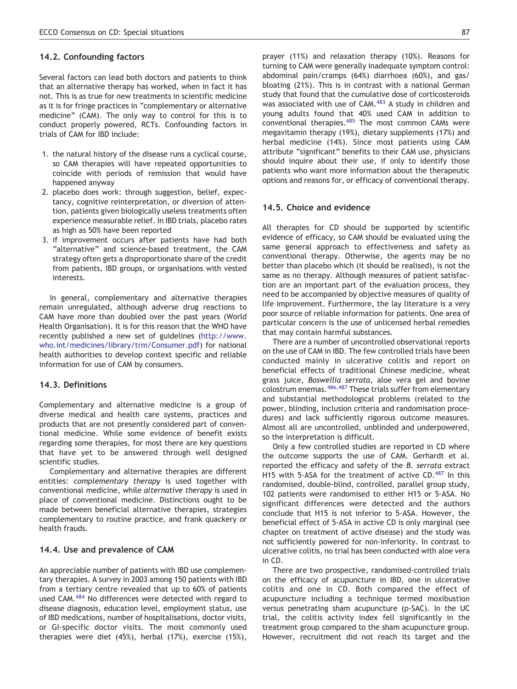# 14.2. Confounding factors

Several factors can lead both doctors and patients to think that an alternative therapy has worked, when in fact it has not. This is as true for new treatments in scientific medicine as it is for fringe practices in "complementary or alternative medicine" (CAM). The only way to control for this is to conduct properly powered, RCTs. Confounding factors in trials of CAM for IBD include:

- 1. the natural history of the disease runs a cyclical course, so CAM therapies will have repeated opportunities to coincide with periods of remission that would have happened anyway
- 2. placebo does work: through suggestion, belief, expectancy, cognitive reinterpretation, or diversion of attention, patients given biologically useless treatments often experience measurable relief. In IBD trials, placebo rates as high as 50% have been reported
- 3. if improvement occurs after patients have had both "alternative" and science-based treatment, the CAM strategy often gets a disproportionate share of the credit from patients, IBD groups, or organisations with vested interests.

In general, complementary and alternative therapies remain unregulated, although adverse drug reactions to CAM have more than doubled over the past years (World Health Organisation). It is for this reason that the WHO have recently published a new set of guidelines ([http://www.](http://www.who.int/medicines/library/trm/Consumer.pdf) [who.int/medicines/library/trm/Consumer.pdf](http://www.who.int/medicines/library/trm/Consumer.pdf)) for national health authorities to develop context specific and reliable information for use of CAM by consumers.

# 14.3. Definitions

Complementary and alternative medicine is a group of diverse medical and health care systems, practices and products that are not presently considered part of conventional medicine. While some evidence of benefit exists regarding some therapies, for most there are key questions that have yet to be answered through well designed scientific studies.

Complementary and alternative therapies are different entities: complementary therapy is used together with conventional medicine, while alternative therapy is used in place of conventional medicine. Distinctions ought to be made between beneficial alternative therapies, strategies complementary to routine practice, and frank quackery or health frauds.

# 14.4. Use and prevalence of CAM

An appreciable number of patients with IBD use complementary therapies. A survey in 2003 among 150 patients with IBD from a tertiary centre revealed that up to 60% of patients used CAM.<sup>[484](#page-37-0)</sup> No differences were detected with regard to disease diagnosis, education level, employment status, use of IBD medications, number of hospitalisations, doctor visits, or GI-specific doctor visits. The most commonly used therapies were diet (45%), herbal (17%), exercise (15%),

prayer (11%) and relaxation therapy (10%). Reasons for turning to CAM were generally inadequate symptom control: abdominal pain/cramps (64%) diarrhoea (60%), and gas/ bloating (21%). This is in contrast with a national German study that found that the cumulative dose of corticosteroids was associated with use of CAM.<sup>[483](#page-37-0)</sup> A study in children and young adults found that 40% used CAM in addition to  $\frac{1}{2}$  conventional therapies.<sup>[485](#page-37-0)</sup> The most common CAMs were megavitamin therapy (19%), dietary supplements (17%) and herbal medicine (14%). Since most patients using CAM attribute "significant" benefits to their CAM use, physicians should inquire about their use, if only to identify those patients who want more information about the therapeutic

options and reasons for, or efficacy of conventional therapy.

# 14.5. Choice and evidence

All therapies for CD should be supported by scientific evidence of efficacy, so CAM should be evaluated using the same general approach to effectiveness and safety as conventional therapy. Otherwise, the agents may be no better than placebo which (it should be realised), is not the same as no therapy. Although measures of patient satisfaction are an important part of the evaluation process, they need to be accompanied by objective measures of quality of life improvement. Furthermore, the lay literature is a very poor source of reliable information for patients. One area of particular concern is the use of unlicensed herbal remedies that may contain harmful substances.

There are a number of uncontrolled observational reports on the use of CAM in IBD. The few controlled trials have been conducted mainly in ulcerative colitis and report on beneficial effects of traditional Chinese medicine, wheat grass juice, Boswellia serrata, aloe vera gel and bovine colostrum enemas.[486,487](#page-37-0) These trials suffer from elementary and substantial methodological problems (related to the power, blinding, inclusion criteria and randomisation procedures) and lack sufficiently rigorous outcome measures. Almost all are uncontrolled, unblinded and underpowered, so the interpretation is difficult.

Only a few controlled studies are reported in CD where the outcome supports the use of CAM. Gerhardt et al. reported the efficacy and safety of the B. serrata extract H15 with 5-ASA for the treatment of active CD. $487$  In this randomised, double-blind, controlled, parallel group study, 102 patients were randomised to either H15 or 5-ASA. No significant differences were detected and the authors conclude that H15 is not inferior to 5-ASA. However, the beneficial effect of 5-ASA in active CD is only marginal (see chapter on treatment of active disease) and the study was not sufficiently powered for non-inferiority. In contrast to ulcerative colitis, no trial has been conducted with aloe vera in CD.

There are two prospective, randomised-controlled trials on the efficacy of acupuncture in IBD, one in ulcerative colitis and one in CD. Both compared the effect of acupuncture including a technique termed moxibustion versus penetrating sham acupuncture (p-SAC). In the UC trial, the colitis activity index fell significantly in the treatment group compared to the sham acupuncture group. However, recruitment did not reach its target and the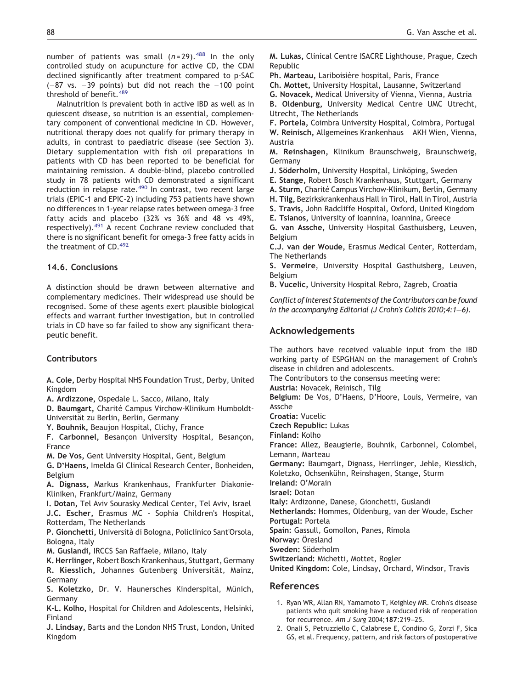<span id="page-25-0"></span>number of patients was small  $(n=29)$ . <sup>[488](#page-37-0)</sup> In the only controlled study on acupuncture for active CD, the CDAI declined significantly after treatment compared to p-SAC (−87 vs. −39 points) but did not reach the −100 point threshold of benefit.[489](#page-37-0)

Malnutrition is prevalent both in active IBD as well as in quiescent disease, so nutrition is an essential, complementary component of conventional medicine in CD. However, nutritional therapy does not qualify for primary therapy in adults, in contrast to paediatric disease (see Section 3). Dietary supplementation with fish oil preparations in patients with CD has been reported to be beneficial for maintaining remission. A double-blind, placebo controlled study in 78 patients with CD demonstrated a significant reduction in relapse rate.<sup>[490](#page-38-0)</sup> In contrast, two recent large trials (EPIC-1 and EPIC-2) including 753 patients have shown no differences in 1-year relapse rates between omega-3 free fatty acids and placebo (32% vs 36% and 48 vs 49%, respectively). $491$  A recent Cochrane review concluded that there is no significant benefit for omega-3 free fatty acids in the treatment of CD.[492](#page-38-0)

# 14.6. Conclusions

A distinction should be drawn between alternative and complementary medicines. Their widespread use should be recognised. Some of these agents exert plausible biological effects and warrant further investigation, but in controlled trials in CD have so far failed to show any significant therapeutic benefit.

# **Contributors**

A. Cole, Derby Hospital NHS Foundation Trust, Derby, United Kingdom

A. Ardizzone, Ospedale L. Sacco, Milano, Italy

D. Baumgart, Charité Campus Virchow-Klinikum Humboldt-Universität zu Berlin, Berlin, Germany

Y. Bouhnik, Beaujon Hospital, Clichy, France

F. Carbonnel, Besançon University Hospital, Besançon, France

M. De Vos, Gent University Hospital, Gent, Belgium

G. D'Haens, Imelda GI Clinical Research Center, Bonheiden, Belgium

A. Dignass, Markus Krankenhaus, Frankfurter Diakonie-Kliniken, Frankfurt/Mainz, Germany

I. Dotan, Tel Aviv Sourasky Medical Center, Tel Aviv, Israel J.C. Escher, Erasmus MC - Sophia Children's Hospital, Rotterdam, The Netherlands

P. Gionchetti, Università di Bologna, Policlinico Sant'Orsola, Bologna, Italy

M. Guslandi, IRCCS San Raffaele, Milano, Italy

K. Herrlinger, Robert Bosch Krankenhaus, Stuttgart, Germany R. Kiesslich, Johannes Gutenberg Universität, Mainz, Germany

S. Koletzko, Dr. V. Haunersches Kinderspital, Münich, Germany

K-L. Kolho, Hospital for Children and Adolescents, Helsinki, Finland

J. Lindsay, Barts and the London NHS Trust, London, United Kingdom

M. Lukas, Clinical Centre ISACRE Lighthouse, Prague, Czech Republic

Ph. Marteau, Lariboisière hospital, Paris, France

Ch. Mottet, University Hospital, Lausanne, Switzerland

G. Novacek, Medical University of Vienna, Vienna, Austria

B. Oldenburg, University Medical Centre UMC Utrecht, Utrecht, The Netherlands

F. Portela, Coimbra University Hospital, Coimbra, Portugal W. Reinisch, Allgemeines Krankenhaus – AKH Wien, Vienna, Austria

M. Reinshagen, Klinikum Braunschweig, Braunschweig, Germany

J. Söderholm, University Hospital, Linköping, Sweden

E. Stange, Robert Bosch Krankenhaus, Stuttgart, Germany

A. Sturm, Charité Campus Virchow-Klinikum, Berlin, Germany

H. Tilg, Bezirkskrankenhaus Hall in Tirol, Hall in Tirol, Austria

S. Travis, John Radcliffe Hospital, Oxford, United Kingdom

E. Tsianos, University of Ioannina, Ioannina, Greece

G. van Assche, University Hospital Gasthuisberg, Leuven, Belgium

C.J. van der Woude, Erasmus Medical Center, Rotterdam, The Netherlands

S. Vermeire, University Hospital Gasthuisberg, Leuven, Belgium

B. Vucelic, University Hospital Rebro, Zagreb, Croatia

Conflict of Interest Statements of the Contributors can be found in the accompanying Editorial (J Crohn's Colitis 2010;4:1–6).

# Acknowledgements

The authors have received valuable input from the IBD working party of ESPGHAN on the management of Crohn's disease in children and adolescents.

The Contributors to the consensus meeting were:

Austria: Novacek, Reinisch, Tilg

Belgium: De Vos, D'Haens, D'Hoore, Louis, Vermeire, van Assche

Croatia: Vucelic

Czech Republic: Lukas

Finland: Kolho

France: Allez, Beaugierie, Bouhnik, Carbonnel, Colombel, Lemann, Marteau

Germany: Baumgart, Dignass, Herrlinger, Jehle, Kiesslich,

Koletzko, Ochsenkühn, Reinshagen, Stange, Sturm

Ireland: O'Morain

Israel: Dotan

Italy: Ardizonne, Danese, Gionchetti, Guslandi

Netherlands: Hommes, Oldenburg, van der Woude, Escher Portugal: Portela

Spain: Gassull, Gomollon, Panes, Rimola

Norway: Öresland

Sweden: Söderholm

Switzerland: Michetti, Mottet, Rogler

United Kingdom: Cole, Lindsay, Orchard, Windsor, Travis

# References

- 1. Ryan WR, Allan RN, Yamamoto T, Keighley MR. Crohn's disease patients who quit smoking have a reduced risk of reoperation for recurrence. Am J Surg 2004;187:219–25.
- 2. Onali S, Petruzziello C, Calabrese E, Condino G, Zorzi F, Sica GS, et al. Frequency, pattern, and risk factors of postoperative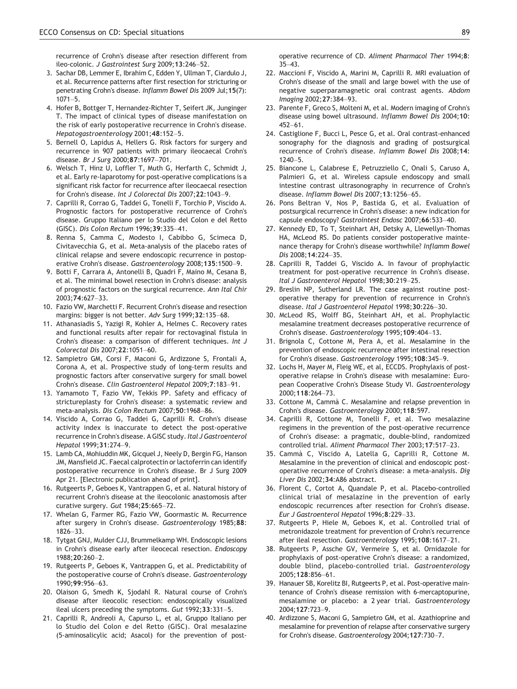<span id="page-26-0"></span>recurrence of Crohn's disease after resection different from ileo-colonic. J Gastrointest Surg 2009;13:246–52.

- 3. Sachar DB, Lemmer E, Ibrahim C, Edden Y, Ullman T, Ciardulo J, et al. Recurrence patterns after first resection for stricturing or penetrating Crohn's disease. Inflamm Bowel Dis 2009 Jul;15(7): 1071–5.
- 4. Hofer B, Bottger T, Hernandez-Richter T, Seifert JK, Junginger T. The impact of clinical types of disease manifestation on the risk of early postoperative recurrence in Crohn's disease. Hepatogastroenterology 2001;48:152–5.
- 5. Bernell O, Lapidus A, Hellers G. Risk factors for surgery and recurrence in 907 patients with primary ileocaecal Crohn's disease. Br J Surg 2000;87:1697–701.
- 6. Welsch T, Hinz U, Loffler T, Muth G, Herfarth C, Schmidt J, et al. Early re-laparotomy for post-operative complications is a significant risk factor for recurrence after ileocaecal resection for Crohn's disease. Int J Colorectal Dis 2007;22:1043–9.
- 7. Caprilli R, Corrao G, Taddei G, Tonelli F, Torchio P, Viscido A. Prognostic factors for postoperative recurrence of Crohn's disease. Gruppo Italiano per lo Studio del Colon e del Retto (GISC). Dis Colon Rectum 1996;39:335–41.
- 8. Renna S, Camma C, Modesto I, Cabibbo G, Scimeca D, Civitavecchia G, et al. Meta-analysis of the placebo rates of clinical relapse and severe endoscopic recurrence in postoperative Crohn's disease. Gastroenterology 2008;135:1500–9.
- 9. Botti F, Carrara A, Antonelli B, Quadri F, Maino M, Cesana B, et al. The minimal bowel resection in Crohn's disease: analysis of prognostic factors on the surgical recurrence. Ann Ital Chir 2003;74:627–33.
- 10. Fazio VW, Marchetti F. Recurrent Crohn's disease and resection margins: bigger is not better. Adv Surg 1999;32:135–68.
- 11. Athanasiadis S, Yazigi R, Kohler A, Helmes C. Recovery rates and functional results after repair for rectovaginal fistula in Crohn's disease: a comparison of different techniques. Int J Colorectal Dis 2007;22:1051–60.
- 12. Sampietro GM, Corsi F, Maconi G, Ardizzone S, Frontali A, Corona A, et al. Prospective study of long-term results and prognostic factors after conservative surgery for small bowel Crohn's disease. Clin Gastroenterol Hepatol 2009;7:183–91.
- 13. Yamamoto T, Fazio VW, Tekkis PP. Safety and efficacy of strictureplasty for Crohn's disease: a systematic review and meta-analysis. Dis Colon Rectum 2007;50:1968–86.
- 14. Viscido A, Corrao G, Taddei G, Caprilli R. Crohn's disease activity index is inaccurate to detect the post-operative recurrence in Crohn's disease. A GISC study. Ital J Gastroenterol Hepatol 1999;31:274–9.
- 15. Lamb CA, Mohiuddin MK, Gicquel J, Neely D, Bergin FG, Hanson JM, Mansfield JC. Faecal calprotectin or lactoferrin can identify postoperative recurrence in Crohn's disease. Br J Surg 2009 Apr 21. [Electronic publication ahead of print].
- 16. Rutgeerts P, Geboes K, Vantrappen G, et al. Natural history of recurrent Crohn's disease at the ileocolonic anastomosis after curative surgery. Gut 1984;25:665–72.
- 17. Whelan G, Farmer RG, Fazio VW, Goormastic M. Recurrence after surgery in Crohn's disease. Gastroenterology 1985;88: 1826–33.
- 18. Tytgat GNJ, Mulder CJJ, Brummelkamp WH. Endoscopic lesions in Crohn's disease early after ileocecal resection. Endoscopy 1988;20:260–2.
- 19. Rutgeerts P, Geboes K, Vantrappen G, et al. Predictability of the postoperative course of Crohn's disease. Gastroenterology 1990;99:956–63.
- 20. Olaison G, Smedh K, Sjodahl R. Natural course of Crohn's disease after ileocolic resection: endoscopically visualized ileal ulcers preceding the symptoms. Gut 1992;33:331–5.
- 21. Caprilli R, Andreoli A, Capurso L, et al, Gruppo Italiano per lo Studio del Colon e del Retto (GISC). Oral mesalazine (5-aminosalicylic acid; Asacol) for the prevention of post-

operative recurrence of CD. Aliment Pharmacol Ther 1994;8: 35–43.

- 22. Maccioni F, Viscido A, Marini M, Caprilli R. MRI evaluation of Crohn's disease of the small and large bowel with the use of negative superparamagnetic oral contrast agents. Abdom Imaging 2002;27:384–93.
- 23. Parente F, Greco S, Molteni M, et al. Modern imaging of Crohn's disease using bowel ultrasound. Inflamm Bowel Dis 2004;10: 452–61.
- 24. Castiglione F, Bucci L, Pesce G, et al. Oral contrast-enhanced sonography for the diagnosis and grading of postsurgical recurrence of Crohn's disease. Inflamm Bowel Dis 2008;14:  $1240 - 5$
- 25. Biancone L, Calabrese E, Petruzziello C, Onali S, Caruso A, Palmieri G, et al. Wireless capsule endoscopy and small intestine contrast ultrasonography in recurrence of Crohn's disease. Inflamm Bowel Dis 2007;13:1256–65.
- 26. Pons Beltran V, Nos P, Bastida G, et al. Evaluation of postsurgical recurrence in Crohn's disease: a new indication for capsule endoscopy? Gastrointest Endosc 2007;66:533–40.
- 27. Kennedy ED, To T, Steinhart AH, Detsky A, Llewellyn-Thomas HA, McLeod RS. Do patients consider postoperative maintenance therapy for Crohn's disease worthwhile? Inflamm Bowel Dis 2008;14:224–35.
- 28. Caprilli R, Taddei G, Viscido A. In favour of prophylactic treatment for post-operative recurrence in Crohn's disease. Ital J Gastroenterol Hepatol 1998;30:219–25.
- 29. Breslin NP, Sutherland LR. The case against routine postoperative therapy for prevention of recurrence in Crohn's disease. Ital J Gastroenterol Hepatol 1998;30:226–30.
- 30. McLeod RS, Wolff BG, Steinhart AH, et al. Prophylactic mesalamine treatment decreases postoperative recurrence of Crohn's disease. Gastroenterology 1995;109:404–13.
- 31. Brignola C, Cottone M, Pera A, et al. Mesalamine in the prevention of endoscopic recurrence after intestinal resection for Crohn's disease. Gastroenterology 1995;108:345–9.
- 32. Lochs H, Mayer M, Fleig WE, et al, ECCDS. Prophylaxis of postoperative relapse in Crohn's disease with mesalamine: European Cooperative Crohn's Disease Study VI. Gastroenterology 2000;118:264–73.
- 33. Cottone M, Cammà C. Mesalamine and relapse prevention in Crohn's disease. Gastroenterology 2000;118:597.
- 34. Caprilli R, Cottone M, Tonelli F, et al. Two mesalazine regimens in the prevention of the post-operative recurrence of Crohn's disease: a pragmatic, double-blind, randomized controlled trial. Aliment Pharmacol Ther 2003;17:517–23.
- 35. Cammà C, Viscido A, Latella G, Caprilli R, Cottone M. Mesalamine in the prevention of clinical and endoscopic postoperative recurrence of Crohn's disease: a meta-analysis. Dig Liver Dis 2002;34:A86 abstract.
- 36. Florent C, Cortot A, Quandale P, et al. Placebo-controlled clinical trial of mesalazine in the prevention of early endoscopic recurrences after resection for Crohn's disease. Eur J Gastroenterol Hepatol 1996;8:229–33.
- 37. Rutgeerts P, Hiele M, Geboes K, et al. Controlled trial of metronidazole treatment for prevention of Crohn's recurrence after ileal resection. Gastroenterology 1995;108:1617–21.
- 38. Rutgeerts P, Assche GV, Vermeire S, et al. Ornidazole for prophylaxis of post-operative Crohn's disease: a randomized, double blind, placebo-controlled trial. Gastroenterology 2005;128:856–61.
- 39. Hanauer SB, Korelitz BI, Rutgeerts P, et al. Post-operative maintenance of Crohn's disease remission with 6-mercaptopurine, mesalamine or placebo: a 2 year trial. Gastroenterology 2004;127:723–9.
- 40. Ardizzone S, Maconi G, Sampietro GM, et al. Azathioprine and mesalamine for prevention of relapse after conservative surgery for Crohn's disease. Gastroenterology 2004;127:730–7.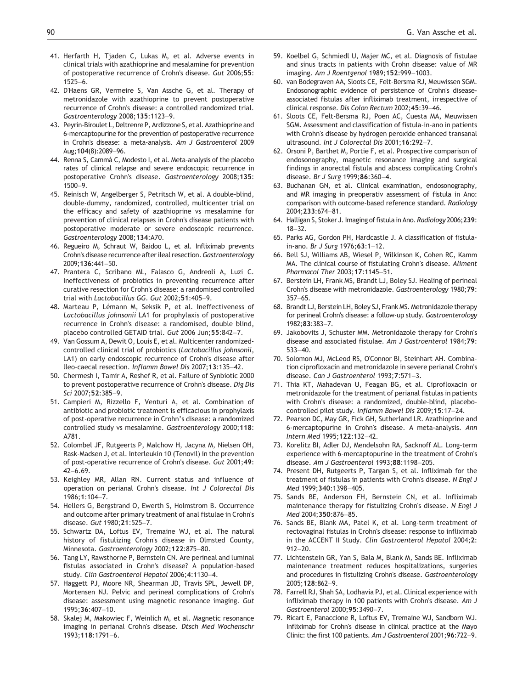- <span id="page-27-0"></span>41. Herfarth H, Tjaden C, Lukas M, et al. Adverse events in clinical trials with azathioprine and mesalamine for prevention of postoperative recurrence of Crohn's disease. Gut 2006;55: 1525–6.
- 42. D'Haens GR, Vermeire S, Van Assche G, et al. Therapy of metronidazole with azathioprine to prevent postoperative recurrence of Crohn's disease: a controlled randomized trial. Gastroenterology 2008;135:1123–9.
- 43. Peyrin-Biroulet L, Deltrenre P, Ardizzone S, et al. Azathioprine and 6-mercaptopurine for the prevention of postoperative recurrence in Crohn's disease: a meta-analysis. Am J Gastroenterol 2009 Aug;104(8):2089–96.
- 44. Renna S, Cammà C, Modesto I, et al. Meta-analysis of the placebo rates of clinical relapse and severe endoscopic recurrence in postoperative Crohn's disease. Gastroenterology 2008;135: 1500–9.
- 45. Reinisch W, Angelberger S, Petritsch W, et al. A double-blind, double-dummy, randomized, controlled, multicenter trial on the efficacy and safety of azathioprine vs mesalamine for prevention of clinical relapses in Crohn's disease patients with postoperative moderate or severe endoscopic recurrence. Gastroenterology 2008;134:A70.
- 46. Regueiro M, Schraut W, Baidoo L, et al. Infliximab prevents Crohn's disease recurrence after ileal resection. Gastroenterology 2009;136:441–50.
- 47. Prantera C, Scribano ML, Falasco G, Andreoli A, Luzi C. Ineffectiveness of probiotics in preventing recurrence after curative resection for Crohn's disease: a randomised controlled trial with Lactobacillus GG. Gut 2002;51:405–9.
- 48. Marteau P, Lémann M, Seksik P, et al. Ineffectiveness of Lactobacillus johnsonii LA1 for prophylaxis of postoperative recurrence in Crohn's disease: a randomised, double blind, placebo controlled GETAID trial. Gut 2006 Jun;55:842–7.
- 49. Van Gossum A, Dewit O, Louis E, et al. Multicenter randomizedcontrolled clinical trial of probiotics (Lactobacillus johnsonii, LA1) on early endoscopic recurrence of Crohn's disease after lleo-caecal resection. Inflamm Bowel Dis 2007;13:135–42.
- 50. Chermesh I, Tamir A, Reshef R, et al. Failure of Synbiotic 2000 to prevent postoperative recurrence of Crohn's disease. Dig Dis Sci 2007;52:385–9.
- 51. Campieri M, Rizzello F, Venturi A, et al. Combination of antibiotic and probiotic treatment is efficacious in prophylaxis of post-operative recurrence in Crohn's disease: a randomized controlled study vs mesalamine. Gastroenterology 2000;118: A781.
- 52. Colombel JF, Rutgeerts P, Malchow H, Jacyna M, Nielsen OH, Rask-Madsen J, et al. Interleukin 10 (Tenovil) in the prevention of post-operative recurrence of Crohn's disease. Gut 2001;49:  $42-6.69$ .
- 53. Keighley MR, Allan RN. Current status and influence of operation on perianal Crohn's disease. Int J Colorectal Dis 1986;1:104–7.
- 54. Hellers G, Bergstrand O, Ewerth S, Holmstrom B. Occurrence and outcome after primary treatment of anal fistulae in Crohn's disease. Gut 1980;21:525–7.
- 55. Schwartz DA, Loftus EV, Tremaine WJ, et al. The natural history of fistulizing Crohn's disease in Olmsted County, Minnesota. Gastroenterology 2002;122:875–80.
- 56. Tang LY, Rawsthorne P, Bernstein CN. Are perineal and luminal fistulas associated in Crohn's disease? A population-based study. Clin Gastroenterol Hepatol 2006;4:1130–4.
- 57. Haggett PJ, Moore NR, Shearman JD, Travis SPL, Jewell DP, Mortensen NJ. Pelvic and perineal complications of Crohn's disease: assessment using magnetic resonance imaging. Gut 1995;36:407–10.
- 58. Skalej M, Makowiec F, Weinlich M, et al. Magnetic resonance imaging in perianal Crohn's disease. Dtsch Med Wochenschr 1993;118:1791–6.
- 59. Koelbel G, Schmiedl U, Majer MC, et al. Diagnosis of fistulae and sinus tracts in patients with Crohn disease: value of MR imaging. Am J Roentgenol 1989;152:999–1003.
- 60. van Bodegraven AA, Sloots CE, Felt-Bersma RJ, Meuwissen SGM. Endosonographic evidence of persistence of Crohn's diseaseassociated fistulas after infliximab treatment, irrespective of clinical response. Dis Colon Rectum 2002;45:39–46.
- 61. Sloots CE, Felt-Bersma RJ, Poen AC, Cuesta MA, Meuwissen SGM. Assessment and classification of fistula-in-ano in patients with Crohn's disease by hydrogen peroxide enhanced transanal ultrasound. Int J Colorectal Dis 2001;16:292–7.
- 62. Orsoni P, Barthet M, Portie F, et al. Prospective comparison of endosonography, magnetic resonance imaging and surgical findings in anorectal fistula and abscess complicating Crohn's disease. Br J Surg 1999;86:360–4.
- 63. Buchanan GN, et al. Clinical examination, endosonography, and MR imaging in preoperativ assessment of fistula in Ano: comparison with outcome-based reference standard. Radiology 2004;233:674–81.
- 64. Halligan S, Stoker J. Imaging of fistula in Ano. Radiology 2006;239: 18–32.
- 65. Parks AG, Gordon PH, Hardcastle J. A classification of fistulain-ano. Br J Surg 1976;63:1–12.
- 66. Bell SJ, Williams AB, Wiesel P, Wilkinson K, Cohen RC, Kamm MA. The clinical course of fistulating Crohn's disease. Aliment Pharmacol Ther 2003;17:1145–51.
- 67. Berstein LH, Frank MS, Brandt LJ, Boley SJ. Healing of perineal Crohn's disease with metronidazole. Gastroenterology 1980;79: 357–65.
- 68. Brandt LJ, Berstein LH, Boley SJ, Frank MS. Metronidazole therapy for perineal Crohn's disease: a follow-up study. Gastroenterology 1982;83:383–7.
- 69. Jakobovits J, Schuster MM. Metronidazole therapy for Crohn's disease and associated fistulae. Am J Gastroenterol 1984;79: 533–40.
- 70. Solomon MJ, McLeod RS, O'Connor BI, Steinhart AH. Combination ciprofloxacin and metronidazole in severe perianal Crohn's disease. Can J Gastroenterol 1993;7:571–3.
- 71. Thia KT, Mahadevan U, Feagan BG, et al. Ciprofloxacin or metronidazole for the treatment of perianal fistulas in patients with Crohn's disease: a randomized, double-blind, placebocontrolled pilot study. Inflamm Bowel Dis 2009;15:17–24.
- 72. Pearson DC, May GR, Fick GH, Sutherland LR. Azathioprine and 6-mercaptopurine in Crohn's disease. A meta-analysis. Ann Intern Med 1995;122:132–42.
- 73. Korelitz BI, Adler DJ, Mendelsohn RA, Sacknoff AL. Long-term experience with 6-mercaptopurine in the treatment of Crohn's disease. Am J Gastroenterol 1993;88:1198–205.
- 74. Present DH, Rutgeerts P, Targan S, et al. Infliximab for the treatment of fistulas in patients with Crohn's disease. N Engl J Med 1999;340:1398–405.
- 75. Sands BE, Anderson FH, Bernstein CN, et al. Infliximab maintenance therapy for fistulizing Crohn's disease. N Engl J Med 2004;350:876–85.
- 76. Sands BE, Blank MA, Patel K, et al. Long-term treatment of rectovaginal fistulas in Crohn's disease: response to infliximab in the ACCENT II Study. Clin Gastroenterol Hepatol 2004;2: 912–20.
- 77. Lichtenstein GR, Yan S, Bala M, Blank M, Sands BE. Infliximab maintenance treatment reduces hospitalizations, surgeries and procedures in fistulizing Crohn's disease. Gastroenterology 2005;128:862–9.
- 78. Farrell RJ, Shah SA, Lodhavia PJ, et al. Clinical experience with infliximab therapy in 100 patients with Crohn's disease. Am J Gastroenterol 2000;95:3490–7.
- 79. Ricart E, Panaccione R, Loftus EV, Tremaine WJ, Sandborn WJ. Infliximab for Crohn's disease in clinical practice at the Mayo Clinic: the first 100 patients. Am J Gastroenterol 2001;96:722–9.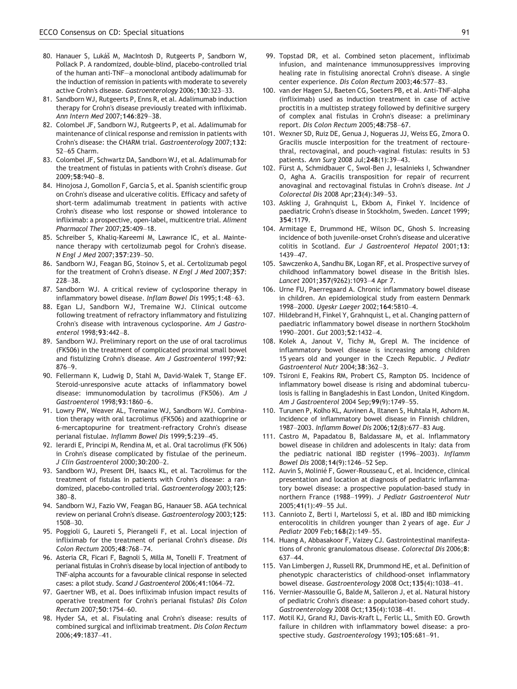- <span id="page-28-0"></span>80. Hanauer S, Lukáš M, MacIntosh D, Rutgeerts P, Sandborn W, Pollack P. A randomized, double-blind, placebo-controlled trial of the human anti-TNF—a monoclonal antibody adalimumab for the induction of remission in patients with moderate to severely active Crohn's disease. Gastroenterology 2006;130:323–33.
- 81. Sandborn WJ, Rutgeerts P, Enns R, et al. Adalimumab induction therapy for Crohn's disease previously treated with infliximab. Ann Intern Med 2007;146:829–38.
- 82. Colombel JF, Sandborn WJ, Rutgeerts P, et al. Adalimumab for maintenance of clinical response and remission in patients with Crohn's disease: the CHARM trial. Gastroenterology 2007;132: 52–65 Charm.
- 83. Colombel JF, Schwartz DA, Sandborn WJ, et al. Adalimumab for the treatment of fistulas in patients with Crohn's disease. Gut 2009;58:940–8.
- 84. Hinojosa J, Gomollon F, Garcia S, et al. Spanish scientific group on Crohn's disease and ulcerative colitis. Efficacy and safety of short-term adalimumab treatment in patients with active Crohn's disease who lost response or showed intolerance to infliximab: a prospective, open-label, multicentre trial. Aliment Pharmacol Ther 2007;25:409–18.
- 85. Schreiber S, Khaliq-Kareemi M, Lawrance IC, et al. Maintenance therapy with certolizumab pegol for Crohn's disease. N Engl J Med 2007;357:239–50.
- 86. Sandborn WJ, Feagan BG, Stoinov S, et al. Certolizumab pegol for the treatment of Crohn's disease. N Engl J Med 2007;357: 228–38.
- 87. Sandborn WJ. A critical review of cyclosporine therapy in inflammatory bowel disease. Inflam Bowel Dis 1995;1:48−63.
- 88. Egan LJ, Sandborn WJ, Tremaine WJ. Clinical outcome following treatment of refractory inflammatory and fistulizing Crohn's disease with intravenous cyclosporine. Am J Gastroenterol 1998;93:442–8.
- 89. Sandborn WJ. Preliminary report on the use of oral tacrolimus (FK506) in the treatment of complicated proximal small bowel and fistulizing Crohn's disease. Am J Gastroenterol 1997;92: 876–9.
- 90. Fellermann K, Ludwig D, Stahl M, David-Walek T, Stange EF. Steroid-unresponsive acute attacks of inflammatory bowel disease: immunomodulation by tacrolimus (FK506). Am J Gastroenterol 1998;93:1860–6.
- 91. Lowry PW, Weaver AL, Tremaine WJ, Sandborn WJ. Combination therapy with oral tacrolimus (FK506) and azathioprine or 6-mercaptopurine for treatment-refractory Crohn's disease perianal fistulae. Inflamm Bowel Dis 1999;5:239–45.
- 92. Ierardi E, Principi M, Rendina M, et al. Oral tacrolimus (FK 506) in Crohn's disease complicated by fistulae of the perineum. J Clin Gastroenterol 2000;30:200–2.
- 93. Sandborn WJ, Present DH, Isaacs KL, et al. Tacrolimus for the treatment of fistulas in patients with Crohn's disease: a randomized, placebo-controlled trial. Gastroenterology 2003;125: 380–8.
- 94. Sandborn WJ, Fazio VW, Feagan BG, Hanauer SB. AGA technical review on perianal Crohn's disease. Gastroenterology 2003;125: 1508–30.
- 95. Poggioli G, Laureti S, Pierangeli F, et al. Local injection of infliximab for the treatment of perianal Crohn's disease. Dis Colon Rectum 2005;48:768–74.
- 96. Asteria CR, Ficari F, Bagnoli S, Milla M, Tonelli F. Treatment of perianal fistulas in Crohn's disease by local injection of antibody to TNF-alpha accounts for a favourable clinical response in selected cases: a pilot study. Scand J Gastroenterol 2006;41:1064–72.
- 97. Gaertner WB, et al. Does infliximab infusion impact results of operative treatment for Crohn's perianal fistulas? Dis Colon Rectum 2007;50:1754–60.
- 98. Hyder SA, et al. Fisulating anal Crohn's disease: results of combined surgical and infliximab treatment. Dis Colon Rectum 2006;49:1837–41.
- 99. Topstad DR, et al. Combined seton placement, infliximab infusion, and maintenance immunosuppressives improving healing rate in fistulising anorectal Crohn's disease. A single center experience. Dis Colon Rectum 2003;46:577–83.
- 100. van der Hagen SJ, Baeten CG, Soeters PB, et al. Anti-TNF-alpha (infliximab) used as induction treatment in case of active proctitis in a multistep strategy followed by definitive surgery of complex anal fistulas in Crohn's disease: a preliminary report. Dis Colon Rectum 2005;48:758–67.
- 101. Wexner SD, Ruiz DE, Genua J, Nogueras JJ, Weiss EG, Zmora O. Gracilis muscle interposition for the treatment of rectourethral, rectovaginal, and pouch-vaginal fistulas: results in 53 patients. Ann Surg 2008 Jul;248(1):39–43.
- 102. Fürst A, Schmidbauer C, Swol-Ben J, Iesalnieks I, Schwandner O, Agha A. Gracilis transposition for repair of recurrent anovaginal and rectovaginal fistulas in Crohn's disease. Int J Colorectal Dis 2008 Apr;23(4):349–53.
- 103. Askling J, Grahnquist L, Ekbom A, Finkel Y. Incidence of paediatric Crohn's disease in Stockholm, Sweden. Lancet 1999; 354:1179.
- 104. Armitage E, Drummond HE, Wilson DC, Ghosh S. Increasing incidence of both juvenile-onset Crohn's disease and ulcerative colitis in Scotland. Eur J Gastroenterol Hepatol 2001;13: 1439–47.
- 105. Sawczenko A, Sandhu BK, Logan RF, et al. Prospective survey of childhood inflammatory bowel disease in the British Isles. Lancet 2001;357(9262):1093–4 Apr 7.
- 106. Urne FU, Paerregaard A. Chronic inflammatory bowel disease in children. An epidemiological study from eastern Denmark 1998–2000. Ugeskr Laeger 2002;164:5810–4.
- 107. Hildebrand H, Finkel Y, Grahnquist L, et al. Changing pattern of paediatric inflammatory bowel disease in northern Stockholm 1990–2001. Gut 2003;52:1432–4.
- 108. Kolek A, Janout V, Tichy M, Grepl M. The incidence of inflammatory bowel disease is increasing among children 15 years old and younger in the Czech Republic. J Pediatr Gastroenterol Nutr 2004;38:362–3.
- 109. Tsironi E, Feakins RM, Probert CS, Rampton DS. Incidence of inflammatory bowel disease is rising and abdominal tuberculosis is falling in Bangladeshis in East London, United Kingdom. Am J Gastroenterol 2004 Sep;99(9):1749–55.
- 110. Turunen P, Kolho KL, Auvinen A, Iltanen S, Huhtala H, Ashorn M. Incidence of inflammatory bowel disease in Finnish children, 1987–2003. Inflamm Bowel Dis 2006;12(8):677–83 Aug.
- 111. Castro M, Papadatou B, Baldassare M, et al. Inflammatory bowel disease in children and adolescents in Italy: data from the pediatric national IBD register (1996–2003). Inflamm Bowel Dis 2008;14(9):1246–52 Sep.
- 112. Auvin S, Molinié F, Gower-Rousseau C, et al. Incidence, clinical presentation and location at diagnosis of pediatric inflammatory bowel disease: a prospective population-based study in northern France (1988–1999). J Pediatr Gastroenterol Nutr 2005;41(1):49–55 Jul.
- 113. Cannioto Z, Berti I, Martelossi S, et al. IBD and IBD mimicking enterocolitis in children younger than 2 years of age. Eur J Pediatr 2009 Feb;168(2):149–55.
- 114. Huang A, Abbasakoor F, Vaizey CJ. Gastrointestinal manifestations of chronic granulomatous disease. Colorectal Dis 2006;8: 637–44.
- 115. Van Limbergen J, Russell RK, Drummond HE, et al. Definition of phenotypic characteristics of childhood-onset inflammatory bowel disease. Gastroenterology 2008 Oct;135(4):1038–41.
- 116. Vernier-Massouille G, Balde M, Salleron J, et al. Natural history of pediatric Crohn's disease: a population-based cohort study. Gastroenterology 2008 Oct;135(4):1038–41.
- 117. Motil KJ, Grand RJ, Davis-Kraft L, Ferlic LL, Smith EO. Growth failure in children with inflammatory bowel disease: a prospective study. Gastroenterology 1993;105:681–91.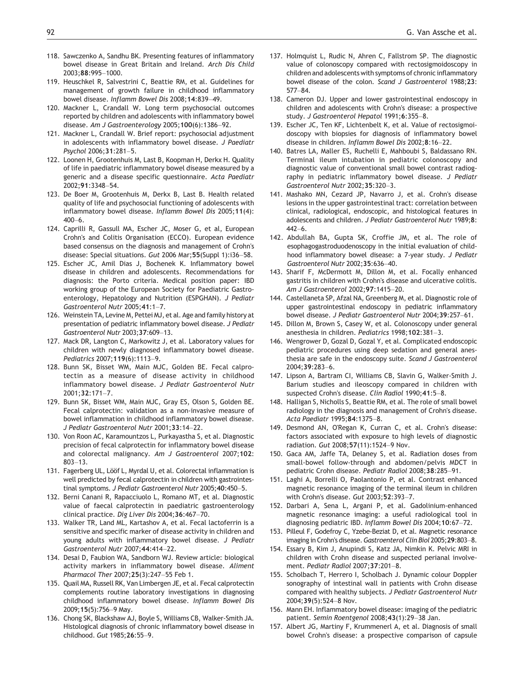- <span id="page-29-0"></span>118. Sawczenko A, Sandhu BK. Presenting features of inflammatory bowel disease in Great Britain and Ireland. Arch Dis Child 2003;88:995–1000.
- 119. Heuschkel R, Salvestrini C, Beattie RM, et al. Guidelines for management of growth failure in childhood inflammatory bowel disease. Inflamm Bowel Dis 2008;14:839–49.
- 120. Mackner L, Crandall W. Long term psychosocial outcomes reported by children and adolescents with inflammatory bowel disease. Am J Gastroenterology 2005;100(6):1386–92.
- 121. Mackner L, Crandall W. Brief report: psychosocial adjustment in adolescents with inflammatory bowel disease. J Paediatr Psychol 2006;31:281–5.
- 122. Loonen H, Grootenhuis M, Last B, Koopman H, Derkx H. Quality of life in paediatric inflammatory bowel disease measured by a generic and a disease specific questionnaire. Acta Paediatr 2002;91:3348–54.
- 123. De Boer M, Grootenhuis M, Derkx B, Last B. Health related quality of life and psychosocial functioning of adolescents with inflammatory bowel disease. Inflamm Bowel Dis 2005;11(4): 400–6.
- 124. Caprilli R, Gassull MA, Escher JC, Moser G, et al, European Crohn's and Colitis Organisation (ECCO). European evidence based consensus on the diagnosis and management of Crohn's disease: Special situations. Gut 2006 Mar;55(Suppl 1):i36–58.
- 125. Escher JC, Amil Dias J, Bochenek K. Inflammatory bowel disease in children and adolescents. Recommendations for diagnosis: the Porto criteria. Medical position paper: IBD working group of the European Society for Paediatric Gastroenterology, Hepatology and Nutrition (ESPGHAN). J Pediatr Gastroenterol Nutr 2005;41:1–7.
- 126. Weinstein TA, Levine M, Pettei MJ, et al. Age and family history at presentation of pediatric inflammatory bowel disease. J Pediatr Gastroenterol Nutr 2003;37:609–13.
- 127. Mack DR, Langton C, Markowitz J, et al. Laboratory values for children with newly diagnosed inflammatory bowel disease. Pediatrics 2007;119(6):1113–9.
- 128. Bunn SK, Bisset WM, Main MJC, Golden BE. Fecal calprotectin as a measure of disease activity in childhood inflammatory bowel disease. J Pediatr Gastroenterol Nutr 2001;32:171–7.
- 129. Bunn SK, Bisset WM, Main MJC, Gray ES, Olson S, Golden BE. Fecal calprotectin: validation as a non-invasive measure of bowel inflammation in childhood inflammatory bowel disease. J Pediatr Gastroenterol Nutr 2001;33:14–22.
- 130. Von Roon AC, Karamountzos L, Purkayastha S, et al. Diagnostic precision of fecal calprotectin for inflammatory bowel disease and colorectal malignancy. Am J Gastroenterol 2007;102: 803–13.
- 131. Fagerberg UL, Lööf L, Myrdal U, et al. Colorectal inflammation is well predicted by fecal calprotectin in children with gastrointestinal symptoms. J Pediatr Gastroenterol Nutr 2005;40:450–5.
- 132. Berni Canani R, Rapacciuolo L, Romano MT, et al. Diagnostic value of faecal calprotectin in paediatric gastroenterology clinical practice. Dig Liver Dis 2004;36:467–70.
- 133. Walker TR, Land ML, Kartashov A, et al. Fecal lactoferrin is a sensitive and specific marker of disease activity in children and young adults with inflammatory bowel disease. J Pediatr Gastroenterol Nutr 2007;44:414–22.
- 134. Desai D, Faubion WA, Sandborn WJ. Review article: biological activity markers in inflammatory bowel disease. Aliment Pharmacol Ther 2007;25(3):247–55 Feb 1.
- 135. Quail MA, Russell RK, Van Limbergen JE, et al. Fecal calprotectin complements routine laboratory investigations in diagnosing childhood inflammatory bowel disease. Inflamm Bowel Dis 2009;15(5):756–9 May.
- 136. Chong SK, Blackshaw AJ, Boyle S, Williams CB, Walker-Smith JA. Histological diagnosis of chronic inflammatory bowel disease in childhood. Gut 1985;26:55–9.
- 137. Holmquist L, Rudic N, Ahren C, Fallstrom SP. The diagnostic value of colonoscopy compared with rectosigmoidoscopy in children and adolescents with symptoms of chronic inflammatory bowel disease of the colon. Scand J Gastroenterol 1988;23: 577–84.
- 138. Cameron DJ. Upper and lower gastrointestinal endoscopy in children and adolescents with Crohn's disease: a prospective study. J Gastroenterol Hepatol 1991;6:355–8.
- 139. Escher JC, Ten KF, Lichtenbelt K, et al. Value of rectosigmoidoscopy with biopsies for diagnosis of inflammatory bowel disease in children. Inflamm Bowel Dis 2002;8:16–22.
- 140. Batres LA, Maller ES, Ruchelli E, Mahboubi S, Baldassano RN. Terminal ileum intubation in pediatric colonoscopy and diagnostic value of conventional small bowel contrast radiography in pediatric inflammatory bowel disease. J Pediatr Gastroenterol Nutr 2002;35:320–3.
- 141. Mashako MN, Cezard JP, Navarro J, et al. Crohn's disease lesions in the upper gastrointestinal tract: correlation between clinical, radiological, endoscopic, and histological features in adolescents and children. J Pediatr Gastroenterol Nutr 1989;8: 442–6.
- 142. Abdullah BA, Gupta SK, Croffie JM, et al. The role of esophagogastroduodenoscopy in the initial evaluation of childhood inflammatory bowel disease: a 7-year study. J Pediatr Gastroenterol Nutr 2002;35:636–40.
- 143. Sharif F, McDermott M, Dillon M, et al. Focally enhanced gastritis in children with Crohn's disease and ulcerative colitis. Am J Gastroenterol 2002;97:1415–20.
- 144. Castellaneta SP, Afzal NA, Greenberg M, et al. Diagnostic role of upper gastrointestinal endoscopy in pediatric inflammatory bowel disease. J Pediatr Gastroenterol Nutr 2004;39:257–61.
- 145. Dillon M, Brown S, Casey W, et al. Colonoscopy under general anesthesia in children. Pediatrics 1998;102:381–3.
- 146. Wengrower D, Gozal D, Gozal Y, et al. Complicated endoscopic pediatric procedures using deep sedation and general anesthesia are safe in the endoscopy suite. Scand J Gastroenterol 2004;39:283–6.
- 147. Lipson A, Bartram CI, Williams CB, Slavin G, Walker-Smith J. Barium studies and ileoscopy compared in children with suspected Crohn's disease. Clin Radiol 1990;41:5–8.
- 148. Halligan S, Nicholls S, Beattie RM, et al. The role of small bowel radiology in the diagnosis and management of Crohn's disease. Acta Paediatr 1995;84:1375–8.
- 149. Desmond AN, O'Regan K, Curran C, et al. Crohn's disease: factors associated with exposure to high levels of diagnostic radiation. Gut 2008;57(11):1524–9 Nov.
- 150. Gaca AM, Jaffe TA, Delaney S, et al. Radiation doses from small-bowel follow-through and abdomen/pelvis MDCT in pediatric Crohn disease. Pediatr Radiol 2008;38:285–91.
- 151. Laghi A, Borrelli O, Paolantonio P, et al. Contrast enhanced magnetic resonance imaging of the terminal ileum in children with Crohn's disease. Gut 2003;52:393–7.
- 152. Darbari A, Sena L, Argani P, et al. Gadolinium-enhanced magnetic resonance imaging: a useful radiological tool in diagnosing pediatric IBD. Inflamm Bowel Dis 2004;10:67–72.
- 153. Pilleul F, Godefroy C, Yzebe-Beziat D, et al. Magnetic resonance imaging in Crohn's disease. Gastroenterol Clin Biol 2005;29:803-8.
- 154. Essary B, Kim J, Anupindi S, Katz JA, Nimkin K. Pelvic MRI in children with Crohn disease and suspected perianal involvement. Pediatr Radiol 2007;37:201–8.
- 155. Scholbach T, Herrero I, Scholbach J. Dynamic colour Doppler sonography of intestinal wall in patients with Crohn disease compared with healthy subjects. J Pediatr Gastroenterol Nutr 2004;39(5):524–8 Nov.
- 156. Mann EH. Inflammatory bowel disease: imaging of the pediatric patient. Semin Roentgenol 2008;43(1):29–38 Jan.
- 157. Albert JG, Martiny F, Krummenerl A, et al. Diagnosis of small bowel Crohn's disease: a prospective comparison of capsule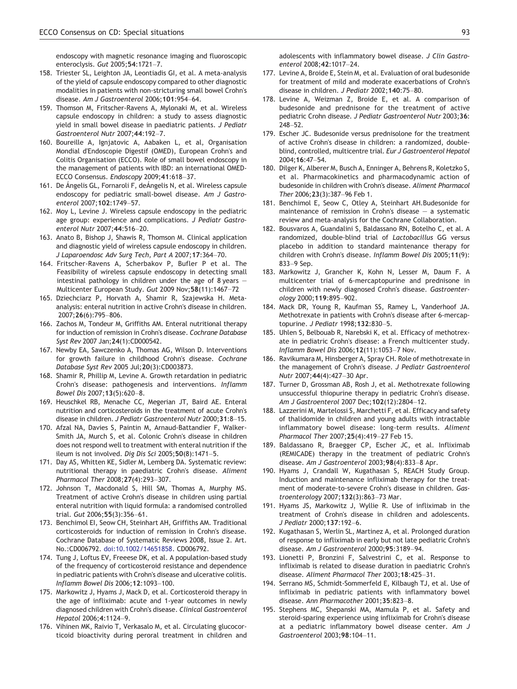<span id="page-30-0"></span>endoscopy with magnetic resonance imaging and fluoroscopic enteroclysis. Gut 2005;54:1721–7.

- 158. Triester SL, Leighton JA, Leontiadis GI, et al. A meta-analysis of the yield of capsule endoscopy compared to other diagnostic modalities in patients with non-stricturing small bowel Crohn's disease. Am J Gastroenterol 2006;101:954–64.
- 159. Thomson M, Fritscher-Ravens A, Mylonaki M, et al. Wireless capsule endoscopy in children: a study to assess diagnostic yield in small bowel disease in paediatric patients. J Pediatr Gastroenterol Nutr 2007;44:192–7.
- 160. Boureille A, Ignjatovic A, Aabaken L, et al, Organisation Mondial d'Endoscopie Digestif (OMED), European Crohn's and Colitis Organisation (ECCO). Role of small bowel endoscopy in the management of patients with IBD: an international OMED-ECCO Consensus. Endoscopy 2009;41:618–37.
- 161. De Ángelis GL, Fornaroli F, deÁngelis N, et al. Wireless capsule endoscopy for pediatric small-bowel disease. Am J Gastroenterol 2007;102:1749–57.
- 162. Moy L, Levine J. Wireless capsule endoscopy in the pediatric age group: experience and complications. J Pediatr Gastroenterol Nutr 2007;44:516–20.
- 163. Anato B, Bishop J, Shawis R, Thomson M. Clinical application and diagnostic yield of wireless capsule endoscopy in children. J Laparoendosc Adv Surg Tech, Part A 2007;17:364–70.
- 164. Fritscher-Ravens A, Scherbakov P, Bufler P et al. The Feasibility of wireless capsule endoscopy in detecting small intestinal pathology in children under the age of 8 years  $-$ Multicenter European Study. Gut 2009 Nov;58(11):1467−72
- 165. Dziechciarz P, Horvath A, Shamir R, Szajewska H. Metaanalysis: enteral nutrition in active Crohn's disease in children. 2007;26(6):795–806.
- 166. Zachos M, Tondeur M, Griffiths AM. Enteral nutritional therapy for induction of remission in Crohn's disease. Cochrane Database Syst Rev 2007 Jan;24(1):CD000542.
- 167. Newby EA, Sawczenko A, Thomas AG, Wilson D. Interventions for growth failure in childhood Crohn's disease. Cochrane Database Syst Rev 2005 Jul;20(3):CD003873.
- 168. Shamir R, Phillip M, Levine A. Growth retardation in pediatric Crohn's disease: pathogenesis and interventions. Inflamm Bowel Dis 2007;13(5):620–8.
- 169. Heuschkel RB, Menache CC, Megerian JT, Baird AE. Enteral nutrition and corticosteroids in the treatment of acute Crohn's disease in children. J Pediatr Gastroenterol Nutr 2000;31:8–15.
- 170. Afzal NA, Davies S, Paintin M, Arnaud-Battandier F, Walker-Smith JA, Murch S, et al. Colonic Crohn's disease in children does not respond well to treatment with enteral nutrition if the ileum is not involved. Dig Dis Sci 2005;50(8):1471–5.
- 171. Day AS, Whitten KE, Sidler M, Lemberg DA. Systematic review: nutritional therapy in paediatric Crohn's disease. Aliment Pharmacol Ther 2008;27(4):293–307.
- 172. Johnson T, Macdonald S, Hill SM, Thomas A, Murphy MS. Treatment of active Crohn's disease in children using partial enteral nutrition with liquid formula: a randomised controlled trial. Gut 2006;55(3):356–61.
- 173. Benchimol EI, Seow CH, Steinhart AH, Griffiths AM. Traditional corticosteroids for induction of remission in Crohn's disease. Cochrane Database of Systematic Reviews 2008, Issue 2. Art. No.:CD006792. [doi:10.1002/14651858.](http://dx.doi.org/10.1002/14651858) CD006792.
- 174. Tung J, Loftus EV, Freeese DK, et al. A population-based study of the frequency of corticosteroid resistance and dependence in pediatric patients with Crohn's disease and ulcerative colitis. Inflamm Bowel Dis 2006;12:1093–100.
- 175. Markowitz J, Hyams J, Mack D, et al. Corticosteroid therapy in the age of infliximab: acute and 1-year outcomes in newly diagnosed children with Crohn's disease. Clinical Gastroenterol Hepatol 2006;4:1124–9.
- 176. Vihinen MK, Raivio T, Verkasalo M, et al. Circulating glucocorticoid bioactivity during peroral treatment in children and

adolescents with inflammatory bowel disease. J Clin Gastroenterol 2008;42:1017–24.

- 177. Levine A, Broide E, Stein M, et al. Evaluation of oral budesonide for treatment of mild and moderate exacerbations of Crohn's disease in children. J Pediatr 2002;140:75–80.
- 178. Levine A, Weizman Z, Broide E, et al. A comparison of budesonide and prednisone for the treatment of active pediatric Crohn disease. J Pediatr Gastroenterol Nutr 2003;36: 248–52.
- 179. Escher JC. Budesonide versus prednisolone for the treatment of active Crohn's disease in children: a randomized, doubleblind, controlled, multicentre trial. Eur J Gastroenterol Hepatol 2004;16:47–54.
- 180. Dilger K, Alberer M, Busch A, Enninger A, Behrens R, Koletzko S, et al. Pharmacokinetics and pharmacodynamic action of budesonide in children with Crohn's disease. Aliment Pharmacol Ther 2006;23(3):387–96 Feb 1.
- 181. Benchimol E, Seow C, Otley A, Steinhart AH.Budesonide for maintenance of remission in Crohn's disease  $-$  a systematic review and meta-analysis for the Cochrane Collaboration.
- 182. Bousvaros A, Guandalini S, Baldassano RN, Botelho C, et al. A randomized, double-blind trial of Lactobacillus GG versus placebo in addition to standard maintenance therapy for children with Crohn's disease. Inflamm Bowel Dis 2005;11(9): 833–9 Sep.
- 183. Markowitz J, Grancher K, Kohn N, Lesser M, Daum F. A multicenter trial of 6-mercaptopurine and prednisone in children with newly diagnosed Crohn's disease. Gastroenterology 2000;119:895–902.
- 184. Mack DR, Young R, Kaufman SS, Ramey L, Vanderhoof JA. Methotrexate in patients with Crohn's disease after 6-mercaptopurine. J Pediatr 1998;132:830–5.
- 185. Uhlen S, Belbouab R, Narebski K, et al. Efficacy of methotrexate in pediatric Crohn's disease: a French multicenter study. Inflamm Bowel Dis 2006;12(11):1053–7 Nov.
- 186. Ravikumara M, Hinsberger A, Spray CH. Role of methotrexate in the management of Crohn's disease. J Pediatr Gastroenterol Nutr 2007;44(4):427–30 Apr.
- 187. Turner D, Grossman AB, Rosh J, et al. Methotrexate following unsuccessful thiopurine therapy in pediatric Crohn's disease. Am J Gastroenterol 2007 Dec;102(12):2804–12.
- 188. Lazzerini M, Martelossi S, Marchetti F, et al. Efficacy and safety of thalidomide in children and young adults with intractable inflammatory bowel disease: long-term results. Aliment Pharmacol Ther 2007;25(4):419–27 Feb 15.
- 189. Baldassano R, Braegger CP, Escher JC, et al. Infliximab (REMICADE) therapy in the treatment of pediatric Crohn's disease. Am J Gastroenterol 2003;98(4):833–8 Apr.
- 190. Hyams J, Crandall W, Kugathasan S, REACH Study Group. Induction and maintenance infliximab therapy for the treatment of moderate-to-severe Crohn's disease in children. Gastroenterology 2007;132(3):863–73 Mar.
- 191. Hyams JS, Markowitz J, Wyllie R. Use of infliximab in the treatment of Crohn's disease in children and adolescents. J Pediatr 2000;137:192–6.
- 192. Kugathasan S, Werlin SL, Martinez A, et al. Prolonged duration of response to infliximab in early but not late pediatric Crohn's disease. Am J Gastroenterol 2000;95:3189–94.
- 193. Lionetti P, Bronzini F, Salvestrini C, et al. Response to infliximab is related to disease duration in paediatric Crohn's disease. Aliment Pharmacol Ther 2003;18:425–31.
- 194. Serrano MS, Schmidt-Sommerfeld E, Kilbaugh TJ, et al. Use of infliximab in pediatric patients with inflammatory bowel disease. Ann Pharmacother 2001;35:823–8.
- 195. Stephens MC, Shepanski MA, Mamula P, et al. Safety and steroid-sparing experience using infliximab for Crohn's disease at a pediatric inflammatory bowel disease center. Am J Gastroenterol 2003;98:104–11.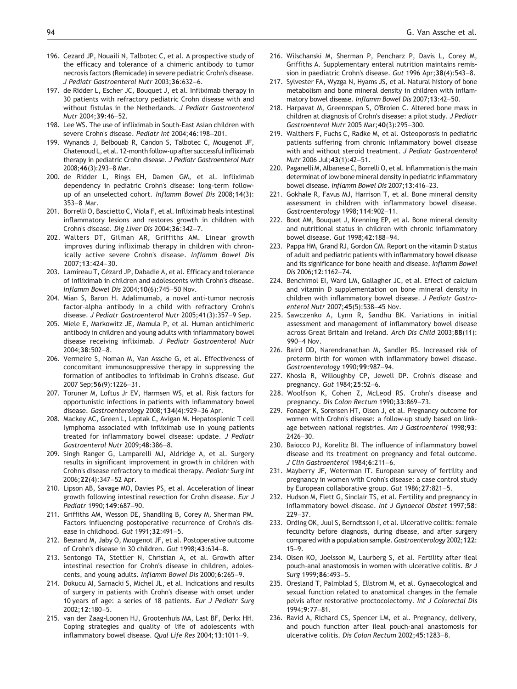- <span id="page-31-0"></span>196. Cezard JP, Nouaili N, Talbotec C, et al. A prospective study of the efficacy and tolerance of a chimeric antibody to tumor necrosis factors (Remicade) in severe pediatric Crohn's disease. J Pediatr Gastroenterol Nutr 2003;36:632–6.
- 197. de Ridder L, Escher JC, Bouquet J, et al. Infliximab therapy in 30 patients with refractory pediatric Crohn disease with and without fistulas in the Netherlands. J Pediatr Gastroenterol Nutr 2004;39:46–52.
- 198. Lee WS. The use of infliximab in South-East Asian children with severe Crohn's disease. Pediatr Int 2004;46:198–201.
- 199. Wynands J, Belbouab R, Candon S, Talbotec C, Mougenot JF, Chatenoud L, et al. 12-month follow-up after successful infliximab therapy in pediatric Crohn disease. J Pediatr Gastroenterol Nutr 2008;46(3):293–8 Mar.
- 200. de Ridder L, Rings EH, Damen GM, et al. Infliximab dependency in pediatric Crohn's disease: long-term followup of an unselected cohort. Inflamm Bowel Dis 2008;14(3): 353–8 Mar.
- 201. Borrelli O, Bascietto C, Viola F, et al. Infliximab heals intestinal inflammatory lesions and restores growth in children with Crohn's disease. Dig Liver Dis 2004;36:342–7.
- 202. Walters DT, Gilman AR, Griffiths AM. Linear growth improves during infliximab therapy in children with chronically active severe Crohn's disease. Inflamm Bowel Dis 2007;13:424–30.
- 203. Lamireau T, Cézard JP, Dabadie A, et al. Efficacy and tolerance of infliximab in children and adolescents with Crohn's disease. Inflamm Bowel Dis 2004;10(6):745–50 Nov.
- 204. Mian S, Baron H. Adalimumab, a novel anti-tumor necrosis factor-alpha antibody in a child with refractory Crohn's disease. J Pediatr Gastroenterol Nutr 2005;41(3):357–9 Sep.
- 205. Miele E, Markowitz JE, Mamula P, et al. Human antichimeric antibody in children and young adults with inflammatory bowel disease receiving infliximab. J Pediatr Gastroenterol Nutr 2004;38:502–8.
- 206. Vermeire S, Noman M, Van Assche G, et al. Effectiveness of concomitant immunosuppressive therapy in suppressing the formation of antibodies to infliximab in Crohn's disease. Gut 2007 Sep;56(9):1226–31.
- 207. Toruner M, Loftus Jr EV, Harmsen WS, et al. Risk factors for opportunistic infections in patients with inflammatory bowel disease. Gastroenterology 2008;134(4):929–36 Apr.
- 208. Mackey AC, Green L, Leptak C, Avigan M. Hepatosplenic T cell lymphoma associated with infliximab use in young patients treated for inflammatory bowel disease: update. J Pediatr Gastroenterol Nutr 2009;48:386–8.
- 209. Singh Ranger G, Lamparelli MJ, Aldridge A, et al. Surgery results in significant improvement in growth in children with Crohn's disease refractory to medical therapy. Pediatr Surg Int 2006;22(4):347–52 Apr.
- 210. Lipson AB, Savage MO, Davies PS, et al. Acceleration of linear growth following intestinal resection for Crohn disease. Eur J Pediatr 1990;149:687–90.
- 211. Griffiths AM, Wesson DE, Shandling B, Corey M, Sherman PM. Factors influencing postoperative recurrence of Crohn's disease in childhood. Gut 1991;32:491–5.
- 212. Besnard M, Jaby O, Mougenot JF, et al. Postoperative outcome of Crohn's disease in 30 children. Gut 1998;43:634–8.
- 213. Sentongo TA, Stettler N, Christian A, et al. Growth after intestinal resection for Crohn's disease in children, adolescents, and young adults. Inflamm Bowel Dis 2000;6:265–9.
- 214. Dokucu AI, Sarnacki S, Michel JL, et al. Indications and results of surgery in patients with Crohn's disease with onset under 10 years of age: a series of 18 patients. Eur J Pediatr Surg 2002;12:180–5.
- 215. van der Zaag-Loonen HJ, Grootenhuis MA, Last BF, Derkx HH. Coping strategies and quality of life of adolescents with inflammatory bowel disease. Qual Life Res 2004;13:1011–9.
- 216. Wilschanski M, Sherman P, Pencharz P, Davis L, Corey M, Griffiths A. Supplementary enteral nutrition maintains remission in paediatric Crohn's disease. Gut 1996 Apr;38(4):543–8.
- 217. Sylvester FA, Wyzga N, Hyams JS, et al. Natural history of bone metabolism and bone mineral density in children with inflammatory bowel disease. Inflamm Bowel Dis 2007;13:42–50.
- 218. Harpavat M, Greennspan S, O'Broien C. Altered bone mass in children at diagnosis of Crohn's disease: a pilot study. J Pediatr Gastroenterol Nutr 2005 Mar;40(3):295–300.
- 219. Walthers F, Fuchs C, Radke M, et al. Osteoporosis in pediatric patients suffering from chronic inflammatory bowel disease with and without steroid treatment. J Pediatr Gastroenterol Nutr 2006 Jul;43(1):42–51.
- 220. Paganelli M, Albanese C, Borrelli O, et al. Inflammation is the main determinat of low bone mineral density in pediatric inflammatory bowel disease. Inflamm Bowel Dis 2007;13:416–23.
- 221. Gokhale R, Favus MJ, Harrison T, et al. Bone mineral density assessment in children with inflammatory bowel disease. Gastroenterology 1998;114:902–11.
- 222. Boot AM, Bouquet J, Krenning EP, et al. Bone mineral density and nutritional status in children with chronic inflammatory bowel disease. Gut 1998;42:188–94.
- 223. Pappa HM, Grand RJ, Gordon CM. Report on the vitamin D status of adult and pediatric patients with inflammatory bowel disease and its significance for bone health and disease. Inflamm Bowel Dis 2006;12:1162–74.
- 224. Benchimol EI, Ward LM, Gallagher JC, et al. Effect of calcium and vitamin D supplementation on bone mineral density in children with inflammatory bowel disease. J Pediatr Gastroenterol Nutr 2007;45(5):538–45 Nov.
- 225. Sawczenko A, Lynn R, Sandhu BK. Variations in initial assessment and management of inflammatory bowel disease across Great Britain and Ireland. Arch Dis Child 2003;88(11): 990–4 Nov.
- 226. Baird DD, Narendranathan M, Sandler RS. Increased risk of preterm birth for women with inflammatory bowel disease. Gastroenterology 1990;99:987–94.
- 227. Khosla R, Willoughby CP, Jewell DP. Crohn's disease and pregnancy. Gut 1984;25:52–6.
- 228. Woolfson K, Cohen Z, McLeod RS. Crohn's disease and pregnancy. Dis Colon Rectum 1990;33:869–73.
- 229. Fonager K, Sorensen HT, Olsen J, et al. Pregnancy outcome for women with Crohn's disease: a follow-up study based on linkage between national registries. Am J Gastroenterol 1998;93: 2426–30.
- 230. Baiocco PJ, Korelitz BI. The influence of inflammatory bowel disease and its treatment on pregnancy and fetal outcome. J Clin Gastroenterol 1984;6:211–6.
- 231. Mayberry JF, Weterman IT. European survey of fertility and pregnancy in women with Crohn's disease: a case control study by European collaborative group. Gut 1986;27:821–5.
- 232. Hudson M, Flett G, Sinclair TS, et al. Fertility and pregnancy in inflammatory bowel disease. Int J Gynaecol Obstet 1997;58: 229–37.
- 233. Ording OK, Juul S, Berndtsson I, et al. Ulcerative colitis: female fecundity before diagnosis, during disease, and after surgery compared with a population sample. Gastroenterology 2002; 122: 15–9.
- 234. Olsen KO, Joelsson M, Laurberg S, et al. Fertility after ileal pouch-anal anastomosis in women with ulcerative colitis. Br J Surg 1999;86:493–5.
- 235. Oresland T, Palmblad S, Ellstrom M, et al. Gynaecological and sexual function related to anatomical changes in the female pelvis after restorative proctocolectomy. Int J Colorectal Dis 1994;9:77–81.
- 236. Ravid A, Richard CS, Spencer LM, et al. Pregnancy, delivery, and pouch function after ileal pouch-anal anastomosis for ulcerative colitis. Dis Colon Rectum 2002;45:1283–8.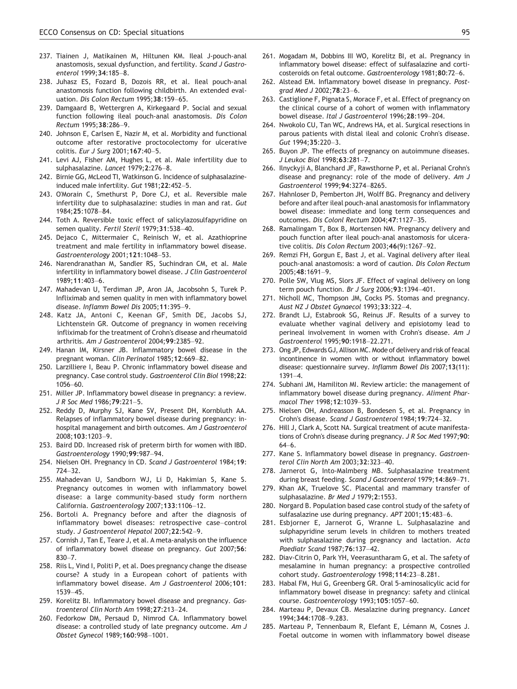- <span id="page-32-0"></span>237. Tiainen J, Matikainen M, Hiltunen KM. Ileal J-pouch-anal anastomosis, sexual dysfunction, and fertility. Scand J Gastroenterol 1999;34:185–8.
- 238. Juhasz ES, Fozard B, Dozois RR, et al. Ileal pouch-anal anastomosis function following childbirth. An extended evaluation. Dis Colon Rectum 1995;38:159–65.
- 239. Damgaard B, Wettergren A, Kirkegaard P. Social and sexual function following ileal pouch-anal anastomosis. Dis Colon Rectum 1995;38:286–9.
- 240. Johnson E, Carlsen E, Nazir M, et al. Morbidity and functional outcome after restorative proctocolectomy for ulcerative colitis. Eur J Surg 2001;167:40–5.
- 241. Levi AJ, Fisher AM, Hughes L, et al. Male infertility due to sulphasalazine. Lancet 1979;2:276–8.
- 242. Birnie GG, McLeod TI, Watkinson G. Incidence of sulphasalazineinduced male infertility. Gut 1981;22:452–5.
- 243. O'Morain C, Smethurst P, Dore CJ, et al. Reversible male infertility due to sulphasalazine: studies in man and rat. Gut 1984;25:1078–84.
- 244. Toth A. Reversible toxic effect of salicylazosulfapyridine on semen quality. Fertil Steril 1979;31:538-40.
- 245. Dejaco C, Mittermaier C, Reinisch W, et al. Azathioprine treatment and male fertility in inflammatory bowel disease. Gastroenterology 2001;121:1048–53.
- 246. Narendranathan M, Sandler RS, Suchindran CM, et al. Male infertility in inflammatory bowel disease. J Clin Gastroenterol 1989;11:403–6.
- 247. Mahadevan U, Terdiman JP, Aron JA, Jacobsohn S, Turek P. Infliximab and semen quality in men with inflammatory bowel disease. Inflamm Bowel Dis 2005;11:395–9.
- 248. Katz JA, Antoni C, Keenan GF, Smith DE, Jacobs SJ, Lichtenstein GR. Outcome of pregnancy in women receiving infliximab for the treatment of Crohn's disease and rheumatoid arthritis. Am J Gastroenterol 2004;99:2385–92.
- 249. Hanan IM, Kirsner JB. Inflammatory bowel disease in the pregnant woman. Clin Perinatol 1985;12:669–82.
- 250. Larzilliere I, Beau P. Chronic inflammatory bowel disease and pregnancy. Case control study. Gastroenterol Clin Biol 1998;22: 1056–60.
- 251. Miller JP. Inflammatory bowel disease in pregnancy: a review. J R Soc Med 1986;79:221–5.
- 252. Reddy D, Murphy SJ, Kane SV, Present DH, Kornbluth AA. Relapses of inflammatory bowel disease during pregnancy: inhospital management and birth outcomes. Am J Gastroenterol 2008;103:1203–9.
- 253. Baird DD. Increased risk of preterm birth for women with IBD. Gastroenterology 1990;99:987–94.
- 254. Nielsen OH. Pregnancy in CD. Scand J Gastroenterol 1984;19: 724–32.
- 255. Mahadevan U, Sandborn WJ, Li D, Hakimian S, Kane S. Pregnancy outcomes in women with inflammatory bowel disease: a large community-based study form northern California. Gastroenterology 2007;133:1106–12.
- 256. Bortoli A. Pregnancy before and after the diagnosis of inflammatory bowel diseases: retrospective case–control study. J Gastroenterol Hepatol 2007;22:542–9.
- 257. Cornish J, Tan E, Teare J, et al. A meta-analysis on the influence of inflammatory bowel disease on pregnancy. Gut 2007;56: 830–7.
- 258. Riis L, Vind I, Politi P, et al. Does pregnancy change the disease course? A study in a European cohort of patients with inflammatory bowel disease. Am J Gastroenterol 2006;101: 1539–45.
- 259. Korelitz BI. Inflammatory bowel disease and pregnancy. Gastroenterol Clin North Am 1998;27:213–24.
- 260. Fedorkow DM, Persaud D, Nimrod CA. Inflammatory bowel disease: a controlled study of late pregnancy outcome. Am J Obstet Gynecol 1989;160:998–1001.
- 261. Mogadam M, Dobbins III WO, Korelitz BI, et al. Pregnancy in inflammatory bowel disease: effect of sulfasalazine and corticosteroids on fetal outcome. Gastroenterology 1981;80:72–6.
- 262. Alstead EM. Inflammatory bowel disease in pregnancy. Postgrad Med J 2002;78:23–6.
- 263. Castiglione F, Pignata S, Morace F, et al. Effect of pregnancy on the clinical course of a cohort of women with inflammatory bowel disease. Ital J Gastroenterol 1996;28:199–204.
- 264. Nwokolo CU, Tan WC, Andrews HA, et al. Surgical resections in parous patients with distal ileal and colonic Crohn's disease. Gut 1994;35:220–3.
- 265. Buyon JP. The effects of pregnancy on autoimmune diseases. J Leukoc Biol 1998;63:281–7.
- 266. Ilnyckyji A, Blanchard JF, Rawsthorne P, et al. Perianal Crohn's disease and pregnancy: role of the mode of delivery. Am J Gastroenterol 1999;94:3274–8265.
- 267. Hahnloser D, Pemberton JH, Wolff BG. Pregnancy and delivery before and after ileal pouch-anal anastomosis for inflammatory bowel disease: immediate and long term consequences and outcomes. Dis Colonl Rectum 2004;47:1127–35.
- 268. Ramalingam T, Box B, Mortensen NM. Pregnancy delivery and pouch function after ileal pouch-anal anastomosis for ulcerative colitis. Dis Colon Rectum 2003;46(9):1267–92.
- 269. Remzi FH, Gorgun E, Bast J, et al. Vaginal delivery after ileal pouch-anal anastomosis: a word of caution. Dis Colon Rectum 2005;48:1691–9.
- 270. Polle SW, Vlug MS, Slors JF. Effect of vaginal delivery on long term pouch function. Br J Surg 2006;93:1394–401.
- 271. Nicholl MC, Thompson JM, Cocks PS. Stomas and pregnancy. Aust NZ J Obstet Gynaecol 1993;33:322–4.
- 272. Brandt LJ, Estabrook SG, Reinus JF. Results of a survey to evaluate whether vaginal delivery and episiotomy lead to perineal involvement in women with Crohn's disease. Am J Gastroenterol 1995;90:1918–22.271.
- 273. Ong JP, Edwards GJ, Allison MC. Mode of delivery and risk of feacal incontinence in women with or without inflammatory bowel disease: questionnaire survey. Inflamm Bowel Dis 2007;13(11): 1391–4.
- 274. Subhani JM, Hamiliton MI. Review article: the management of inflammatory bowel disease during pregnancy. Aliment Pharmacol Ther 1998;12:1039–53.
- 275. Nielsen OH, Andreasson B, Bondesen S, et al. Pregnancy in Crohn's disease. Scand J Gastroenterol 1984;19:724–32.
- 276. Hill J, Clark A, Scott NA. Surgical treatment of acute manifestations of Crohn's disease during pregnancy. J R Soc Med 1997;90: 64–6.
- 277. Kane S. Inflammatory bowel disease in pregnancy. Gastroenterol Clin North Am 2003;32:323–40.
- 278. Jarnerot G, Into-Malmberg MB. Sulphasalazine treatment during breast feeding. Scand J Gastroenterol 1979;14:869–71.
- 279. Khan AK, Truelove SC. Placental and mammary transfer of sulphasalazine. Br Med J 1979;2:1553.
- 280. Norgard B. Population based case control study of the safety of sulfasalazine use during pregnancy. APT 2001;15:483–6.
- 281. Esbjorner E, Jarnerot G, Wranne L. Sulphasalazine and sulphapyridine serum levels in children to mothers treated with sulphasalazine during pregnancy and lactation. Acta Paediatr Scand 1987;76:137–42.
- 282. Diav-Citrin O, Park YH, Veerasuntharam G, et al. The safety of mesalamine in human pregnancy: a prospective controlled cohort study. Gastroenterology 1998;114:23–8.281.
- 283. Habal FM, Hui G, Greenberg GR. Oral 5-aminosalicylic acid for inflammatory bowel disease in pregnancy: safety and clinical course. Gastroenterology 1993;105:1057–60.
- 284. Marteau P, Devaux CB. Mesalazine during pregnancy. Lancet 1994;344:1708–9.283.
- 285. Marteau P, Tennenbaum R, Elefant E, Lémann M, Cosnes J. Foetal outcome in women with inflammatory bowel disease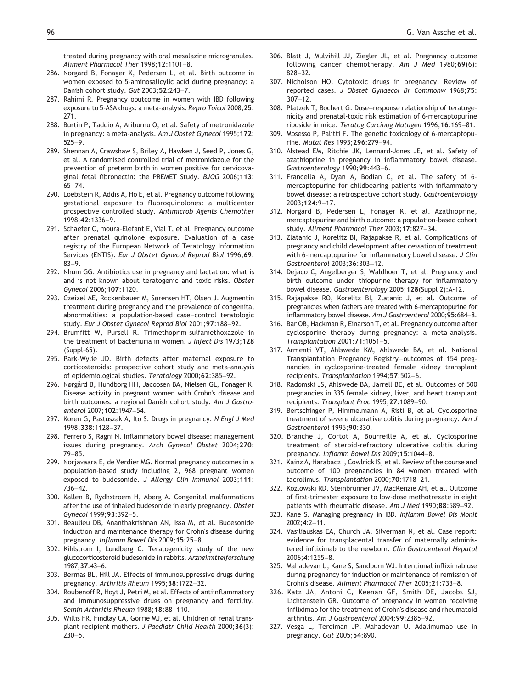<span id="page-33-0"></span>treated during pregnancy with oral mesalazine microgranules. Aliment Pharmacol Ther 1998;12:1101–8.

- 286. Norgard B, Fonager K, Pedersen L, et al. Birth outcome in women exposed to 5-aminosalicylic acid during pregnancy: a Danish cohort study. Gut 2003;52:243–7.
- 287. Rahimi R. Pregnancy ooutcome in women with IBD following exposure to 5-ASA drugs: a meta-analysis. Repro Toicol 2008;25: 271.
- 288. Burtin P, Taddio A, Ariburnu O, et al. Safety of metronidazole in pregnancy: a meta-analysis. Am J Obstet Gynecol 1995;172: 525–9.
- 289. Shennan A, Crawshaw S, Briley A, Hawken J, Seed P, Jones G, et al. A randomised controlled trial of metronidazole for the prevention of preterm birth in women positive for cervicovaginal fetal fibronectin: the PREMET Study. BJOG 2006;113: 65–74.
- 290. Loebstein R, Addis A, Ho E, et al. Pregnancy outcome following gestational exposure to fluoroquinolones: a multicenter prospective controlled study. Antimicrob Agents Chemother 1998;42:1336–9.
- 291. Schaefer C, moura-Elefant E, Vial T, et al. Pregnancy outcome after prenatal quinolone exposure. Evaluation of a case registry of the European Network of Teratology Information Services (ENTIS). Eur J Obstet Gynecol Reprod Biol 1996;69: 83–9.
- 292. Nhum GG. Antibiotics use in pregnancy and lactation: what is and is not known about teratogenic and toxic risks. Obstet Gynecol 2006;107:1120.
- 293. Czeizel AE, Rockenbauer M, Sørensen HT, Olsen J. Augmentin treatment during pregnancy and the prevalence of congenital abnormalities: a population-based case–control teratologic study. Eur J Obstet Gynecol Reprod Biol 2001;97:188–92.
- 294. Brumfitt W, Pursell R. Trimethoprim-sulfamethoxazole in the treatment of bacteriuria in women. J Infect Dis 1973;128 (Suppl-65).
- 295. Park-Wylie JD. Birth defects after maternal exposure to corticosteroids: prospective cohort study and meta-analysis of epidemiological studies. Teratology 2000;62:385–92.
- 296. Nørgård B, Hundborg HH, Jacobsen BA, Nielsen GL, Fonager K. Disease activity in pregnant women with Crohn's disease and birth outcomes: a regional Danish cohort study. Am J Gastroenterol 2007;102:1947–54.
- 297. Koren G, Pastuszak A, Ito S. Drugs in pregnancy. N Engl J Med 1998;338:1128–37.
- 298. Ferrero S, Ragni N. Inflammatory bowel disease: management issues during pregnancy. Arch Gynecol Obstet 2004;270: 79–85.
- 299. Norjavaara E, de Verdier MG. Normal pregnancy outcomes in a population-based study including 2, 968 pregnant women exposed to budesonide. J Allergy Clin Immunol 2003;111: 736–42.
- 300. Kallen B, Rydhstroem H, Aberg A. Congenital malformations after the use of inhaled budesonide in early pregnancy. Obstet Gynecol 1999;93:392–5.
- 301. Beaulieu DB, Ananthakrishnan AN, Issa M, et al. Budesonide induction and maintenance therapy for Crohn's disease during pregnancy. Inflamm Bowel Dis 2009;15:25–8.
- 302. Kihlstrom I, Lundberg C. Teratogenicity study of the new glucocorticosteroid budesonide in rabbits. Arzneimittelforschung 1987;37:43–6.
- 303. Bermas BL, Hill JA. Effects of immunosuppressive drugs during pregnancy. Arthritis Rheum 1995;38:1722–32.
- 304. Roubenoff R, Hoyt J, Petri M, et al. Effects of antiinflammatory and immunosuppressive drugs on pregnancy and fertility. Semin Arthritis Rheum 1988;18:88–110.
- 305. Willis FR, Findlay CA, Gorrie MJ, et al. Children of renal transplant recipient mothers. J Paediatr Child Health 2000;36(3): 230–5.
- 306. Blatt J, Mulvihill JJ, Ziegler JL, et al. Pregnancy outcome following cancer chemotherapy. Am J Med 1980;69(6): 828–32.
- 307. Nicholson HO. Cytotoxic drugs in pregnancy. Review of reported cases. J Obstet Gynaecol Br Commonw 1968;75: 307–12.
- 308. Platzek T, Bochert G. Dose–response relationship of teratogenicity and prenatal-toxic risk estimation of 6-mercaptopurine riboside in mice. Teratog Carcinog Mutagen 1996;16:169–81.
- 309. Mosesso P, Palitti F. The genetic toxicology of 6-mercaptopurine. Mutat Res 1993;296:279–94.
- 310. Alstead EM, Ritchie JK, Lennard-Jones JE, et al. Safety of azathioprine in pregnancy in inflammatory bowel disease. Gastroenterology 1990;99:443–6.
- 311. Francella A, Dyan A, Bodian C, et al. The safety of 6 mercaptopurine for childbearing patients with inflammatory bowel disease: a retrospective cohort study. Gastroenterology 2003;124:9–17.
- 312. Norgard B, Pedersen L, Fonager K, et al. Azathioprine, mercaptopurine and birth outcome: a population-based cohort study. Aliment Pharmacol Ther 2003;17:827–34.
- 313. Zlatanic J, Korelitz BI, Rajapakse R, et al. Complications of pregnancy and child development after cessation of treatment with 6-mercaptopurine for inflammatory bowel disease. J Clin Gastroenterol 2003;36:303–12.
- 314. Dejaco C, Angelberger S, Waldhoer T, et al. Pregnancy and birth outcome under thiopurine therapy for inflammatory bowel disease. Gastroenterology 2005;128(Suppl 2):A-12.
- 315. Rajapakse RO, Korelitz BI, Zlatanic J, et al. Outcome of pregnancies when fathers are treated with 6-mercaptopurine for inflammatory bowel disease. Am J Gastroenterol 2000;95:684–8.
- 316. Bar OB, Hackman R, Einarson T, et al. Pregnancy outcome after cyclosporine therapy during pregnancy: a meta-analysis. Transplantation 2001;71:1051–5.
- 317. Armenti VT, Ahlswede KM, Ahlswede BA, et al. National Transplantation Pregnancy Registry—outcomes of 154 pregnancies in cyclosporine-treated female kidney transplant recipients. Transplantation 1994;57:502–6.
- 318. Radomski JS, Ahlswede BA, Jarrell BE, et al. Outcomes of 500 pregnancies in 335 female kidney, liver, and heart transplant recipients. Transplant Proc 1995;27:1089–90.
- 319. Bertschinger P, Himmelmann A, Risti B, et al. Cyclosporine treatment of severe ulcerative colitis during pregnancy. Am J Gastroenterol 1995;90:330.
- 320. Branche J, Cortot A, Bourreille A, et al. Cyclosporine treatment of steroid-refractory ulcerative colitis during pregnancy. Inflamm Bowel Dis 2009;15:1044–8.
- 321. Kainz A, Harabacz I, Cowlrick IS, et al. Review of the course and outcome of 100 pregnancies in 84 women treated with tacrolimus. Transplantation 2000;70:1718–21.
- 322. Kozlowski RD, Steinbrunner JV, MacKenzie AH, et al. Outcome of first-trimester exposure to low-dose methotrexate in eight patients with rheumatic disease. Am J Med 1990;88:589–92.
- 323. Kane S. Managing pregnancy in IBD. Inflamm Bowel Dis Monit 2002;4:2–11.
- 324. Vasiliauskas EA, Church JA, Silverman N, et al. Case report: evidence for transplacental transfer of maternally administered infliximab to the newborn. Clin Gastroenterol Hepatol 2006;4:1255–8.
- 325. Mahadevan U, Kane S, Sandborn WJ. Intentional infliximab use during pregnancy for induction or maintenance of remission of Crohn's disease. Aliment Pharmacol Ther 2005;21:733–8.
- 326. Katz JA, Antoni C, Keenan GF, Smith DE, Jacobs SJ, Lichtenstein GR. Outcome of pregnancy in women receiving infliximab for the treatment of Crohn's disease and rheumatoid arthritis. Am J Gastroenterol 2004;99:2385–92.
- 327. Vesga L, Terdiman JP, Mahadevan U. Adalimumab use in pregnancy. Gut 2005;54:890.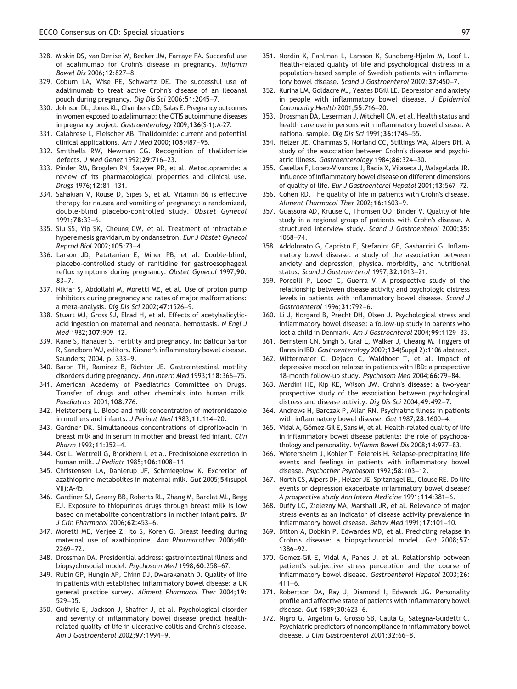- <span id="page-34-0"></span>328. Miskin DS, van Denise W, Becker JM, Farraye FA. Succesful use of adalimumab for Crohn's disease in pregnancy. Inflamm Bowel Dis 2006;12:827–8.
- 329. Coburn LA, Wise PE, Schwartz DE. The successful use of adalimumab to treat active Crohn's disease of an ileoanal pouch during pregnancy. Dig Dis Sci 2006;51:2045–7.
- 330. Johnson DL, Jones KL, Chambers CD, Salas E. Pregnancy outcomes in women exposed to adalimumab: the OTIS autoimmune diseases in pregnancy project. Gastroenterology 2009;136(S-1):A-27.
- 331. Calabrese L, Fleischer AB. Thalidomide: current and potential clinical applications. Am J Med 2000;108:487–95.
- 332. Smithells RW, Newman CG. Recognition of thalidomide defects. J Med Genet 1992;29:716–23.
- 333. Pinder RM, Brogden RN, Sawyer PR, et al. Metoclopramide: a review of its pharmacological properties and clinical use. Drugs 1976;12:81–131.
- 334. Sahakian V, Rouse D, Sipes S, et al. Vitamin B6 is effective therapy for nausea and vomiting of pregnancy: a randomized, double-blind placebo-controlled study. Obstet Gynecol 1991;78:33–6.
- 335. Siu SS, Yip SK, Cheung CW, et al. Treatment of intractable hyperemesis gravidarum by ondansetron. Eur J Obstet Gynecol Reprod Biol 2002;105:73–4.
- 336. Larson JD, Patatanian E, Miner PB, et al. Double-blind, placebo-controlled study of ranitidine for gastroesophageal reflux symptoms during pregnancy. Obstet Gynecol 1997;90: 83–7.
- 337. Nikfar S, Abdollahi M, Moretti ME, et al. Use of proton pump inhibitors during pregnancy and rates of major malformations: a meta-analysis. Dig Dis Sci 2002;47:1526–9.
- 338. Stuart MJ, Gross SJ, Elrad H, et al. Effects of acetylsalicylicacid ingestion on maternal and neonatal hemostasis. N Engl J Med 1982;307:909–12.
- 339. Kane S, Hanauer S. Fertility and pregnancy. In: Balfour Sartor R, Sandborn WJ, editors. Kirsner's inflammatory bowel disease. Saunders; 2004. p. 333–9.
- 340. Baron TH, Ramirez B, Richter JE. Gastrointestinal motility disorders during pregnancy. Ann Intern Med 1993;118:366-75.
- 341. American Academy of Paediatrics Committee on Drugs. Transfer of drugs and other chemicals into human milk. Paediatrics 2001;108:776.
- 342. Heisterberg L. Blood and milk concentration of metronidazole in mothers and infants. J Perinat Med 1983;11:114–20.
- 343. Gardner DK. Simultaneous concentrations of ciprofloxacin in breast milk and in serum in mother and breast fed infant. Clin Pharm 1992;11:352–4.
- 344. Ost L, Wettrell G, Bjorkhem I, et al. Prednisolone excretion in human milk. J Pediatr 1985;106:1008–11.
- 345. Christensen LA, Dahlerup JF, Schmiegelow K. Excretion of azathioprine metabolites in maternal milk. Gut 2005;54(suppl VII):A-45.
- 346. Gardiner SJ, Gearry BB, Roberts RL, Zhang M, Barclat ML, Begg EJ. Exposure to thiopurines drugs through breast milk is low based on metabolite concentrations in mother infant pairs. Br J Clin Pharmacol 2006;62:453–6.
- 347. Moretti ME, Verjee Z, Ito S, Koren G. Breast feeding during maternal use of azathioprine. Ann Pharmacother 2006;40: 2269–72.
- 348. Drossman DA. Presidential address: gastrointestinal illness and biopsychosocial model. Psychosom Med 1998;60:258–67.
- 349. Rubin GP, Hungin AP, Chinn DJ, Dwarakanath D. Quality of life in patients with established inflammatory bowel disease: a UK general practice survey. Aliment Pharmacol Ther 2004;19: 529–35.
- 350. Guthrie E, Jackson J, Shaffer J, et al. Psychological disorder and severity of inflammatory bowel disease predict healthrelated quality of life in ulcerative colitis and Crohn's disease. Am J Gastroenterol 2002;97:1994–9.
- 351. Nordin K, Pahlman L, Larsson K, Sundberg-Hjelm M, Loof L. Health-related quality of life and psychological distress in a population-based sample of Swedish patients with inflammatory bowel disease. Scand J Gastroenterol 2002;37:450-7.
- 352. Kurina LM, Goldacre MJ, Yeates DGill LE. Depression and anxiety in people with inflammatory bowel disease. J Epidemiol Community Health 2001;55:716–20.
- 353. Drossman DA, Leserman J, Mitchell CM, et al. Health status and health care use in persons with inflammatory bowel disease. A national sample. Dig Dis Sci 1991;36:1746–55.
- 354. Helzer JE, Chammas S, Norland CC, Stillings WA, Alpers DH. A study of the association between Crohn's disease and psychiatric illness. Gastroenterology 1984;86:324–30.
- 355. Casellas F, Lopez-Vivancos J, Badia X, Vilaseca J, Malagelada JR. Influence of inflammatory bowel disease on different dimensions of quality of life. Eur J Gastroenterol Hepatol 2001;13:567–72.
- 356. Cohen RD. The quality of life in patients with Crohn's disease. Aliment Pharmacol Ther 2002;16:1603–9.
- 357. Guassora AD, Kruuse C, Thomsen OO, Binder V. Quality of life study in a regional group of patients with Crohn's disease. A structured interview study. Scand J Gastroenterol 2000;35: 1068–74.
- 358. Addolorato G, Capristo E, Stefanini GF, Gasbarrini G. Inflammatory bowel disease: a study of the association between anxiety and depression, physical morbidity, and nutritional status. Scand J Gastroenterol 1997;32:1013–21.
- 359. Porcelli P, Leoci C, Guerra V. A prospective study of the relationship between disease activity and psychologic distress levels in patients with inflammatory bowel disease. Scand J Gastroenterol 1996;31:792–6.
- 360. Li J, Norgard B, Precht DH, Olsen J. Psychological stress and inflammatory bowel disease: a follow-up study in parents who lost a child in Denmark. Am J Gastroenterol 2004;99:1129–33.
- 361. Bernstein CN, Singh S, Graf L, Walker J, Cheang M. Triggers of flares in IBD. Gastroenterology 2009; 134(Suppl 2): 1106 abstract.
- 362. Mittermaier C, Dejaco C, Waldhoer T, et al. Impact of depressive mood on relapse in patients with IBD: a prospective 18-month follow-up study. Psychosom Med 2004;66:79–84.
- 363. Mardini HE, Kip KE, Wilson JW. Crohn's disease: a two-year prospective study of the association between psychological distress and disease activity. Dig Dis Sci 2004;49:492–7.
- 364. Andrews H, Barczak P, Allan RN. Psychiatric illness in patients with inflammatory bowel disease. Gut 1987;28:1600–4.
- 365. Vidal A, Gómez-Gil E, Sans M, et al. Health-related quality of life in inflammatory bowel disease patients: the role of psychopathology and personality. Inflamm Bowel Dis 2008;14:977–83.
- 366. Wietersheim J, Kohler T, Feiereis H. Relapse-precipitating life events and feelings in patients with inflammatory bowel disease. Psychother Psychosom 1992;58:103–12.
- 367. North CS, Alpers DH, Helzer JE, Spitznagel EL, Clouse RE. Do life events or depression exacerbate inflammatory bowel disease? A prospective study Ann Intern Medicine 1991;114:381–6.
- 368. Duffy LC, Zielezny MA, Marshall JR, et al. Relevance of major stress events as an indicator of disease activity prevalence in inflammatory bowel disease. Behav Med 1991;17:101–10.
- 369. Bitton A, Dobkin P, Edwardes MD, et al. Predicting relapse in Crohn's disease: a biopsychosocial model. Gut 2008;57: 1386–92.
- 370. Gomez-Gil E, Vidal A, Panes J, et al. Relationship between patient's subjective stress perception and the course of inflammatory bowel disease. Gastroenterol Hepatol 2003;26: 411–6.
- 371. Robertson DA, Ray J, Diamond I, Edwards JG. Personality profile and affective state of patients with inflammatory bowel disease. Gut 1989;30:623–6.
- 372. Nigro G, Angelini G, Grosso SB, Caula G, Sategna-Guidetti C. Psychiatric predictors of noncompliance in inflammatory bowel disease. J Clin Gastroenterol 2001;32:66–8.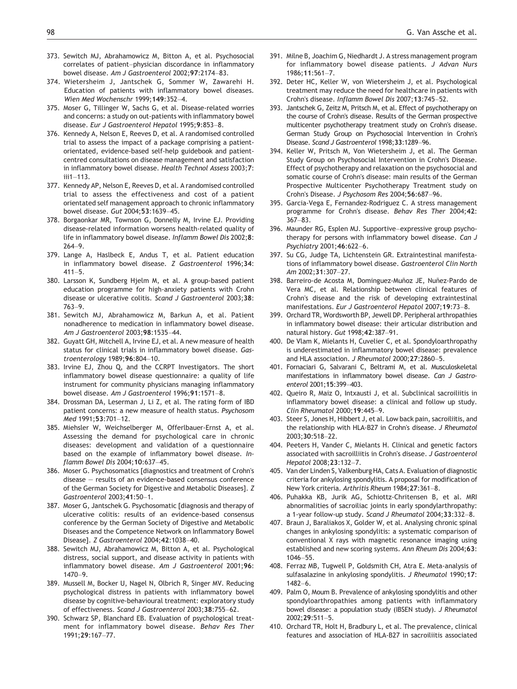- <span id="page-35-0"></span>373. Sewitch MJ, Abrahamowicz M, Bitton A, et al. Psychosocial correlates of patient–physician discordance in inflammatory bowel disease. Am J Gastroenterol 2002;97:2174–83.
- 374. Wietersheim J, Jantschek G, Sommer W, Zawarehi H. Education of patients with inflammatory bowel diseases. Wien Med Wochenschr 1999;149:352–4.
- 375. Moser G, Tillinger W, Sachs G, et al. Disease-related worries and concerns: a study on out-patients with inflammatory bowel disease. Eur J Gastroenterol Hepatol 1995;9:853–8.
- 376. Kennedy A, Nelson E, Reeves D, et al. A randomised controlled trial to assess the impact of a package comprising a patientorientated, evidence-based self-help guidebook and patientcentred consultations on disease management and satisfaction in inflammatory bowel disease. Health Technol Assess 2003;7: iii1–113.
- 377. Kennedy AP, Nelson E, Reeves D, et al. A randomised controlled trial to assess the effectiveness and cost of a patient orientated self management approach to chronic inflammatory bowel disease. Gut 2004;53:1639–45.
- 378. Borgaonkar MR, Townson G, Donnelly M, Irvine EJ. Providing disease-related information worsens health-related quality of life in inflammatory bowel disease. Inflamm Bowel Dis 2002;8: 264–9.
- 379. Lange A, Haslbeck E, Andus T, et al. Patient education in inflammatory bowel disease. Z Gastroenterol 1996;34: 411–5.
- 380. Larsson K, Sundberg Hjelm M, et al. A group-based patient education programme for high-anxiety patients with Crohn disease or ulcerative colitis. Scand J Gastroenterol 2003;38: 763–9.
- 381. Sewitch MJ, Abrahamowicz M, Barkun A, et al. Patient nonadherence to medication in inflammatory bowel disease. Am J Gastroenterol 2003;98:1535–44.
- 382. Guyatt GH, Mitchell A, Irvine EJ, et al. A new measure of health status for clinical trials in inflammatory bowel disease. Gastroenterology 1989;96:804–10.
- 383. Irvine EJ, Zhou Q, and the CCRPT Investigators. The short inflammatory bowel disease questionnaire: a quality of life instrument for community physicians managing inflammatory bowel disease. Am J Gastroenterol 1996;91:1571–8.
- 384. Drossman DA, Leserman J, Li Z, et al. The rating form of IBD patient concerns: a new measure of health status. Psychosom Med 1991;53:701–12.
- 385. Miehsler W, Weichselberger M, Offerlbauer-Ernst A, et al. Assessing the demand for psychological care in chronic diseases: development and validation of a questionnaire based on the example of inflammatory bowel disease. Inflamm Bowel Dis 2004;10:637–45.
- 386. Moser G. Psychosomatics [diagnostics and treatment of Crohn's disease — results of an evidence-based consensus conference of the German Society for Digestive and Metabolic Diseases]. Z Gastroenterol 2003;41:50–1.
- 387. Moser G, Jantschek G. Psychosomatic [diagnosis and therapy of ulcerative colitis: results of an evidence-based consensus conference by the German Society of Digestive and Metabolic Diseases and the Competence Network on Inflammatory Bowel Disease]. Z Gastroenterol 2004;42:1038–40.
- 388. Sewitch MJ, Abrahamowicz M, Bitton A, et al. Psychological distress, social support, and disease activity in patients with inflammatory bowel disease. Am J Gastroenterol 2001;96: 1470–9.
- 389. Mussell M, Bocker U, Nagel N, Olbrich R, Singer MV. Reducing psychological distress in patients with inflammatory bowel disease by cognitive-behavioural treatment: exploratory study of effectiveness. Scand J Gastroenterol 2003;38:755–62.
- 390. Schwarz SP, Blanchard EB. Evaluation of psychological treatment for inflammatory bowel disease. Behav Res Ther 1991;29:167–77.
- 391. Milne B, Joachim G, Niedhardt J. A stress management program for inflammatory bowel disease patients. J Advan Nurs 1986;11:561–7.
- 392. Deter HC, Keller W, von Wietersheim J, et al. Psychological treatment may reduce the need for healthcare in patients with Crohn's disease. Inflamm Bowel Dis 2007;13:745–52.
- 393. Jantschek G, Zeitz M, Pritsch M, et al. Effect of psychotherapy on the course of Crohn's disease. Results of the German prospective multicenter psychotherapy treatment study on Crohn's disease. German Study Group on Psychosocial Intervention in Crohn's Disease. Scand J Gastroenterol 1998;33:1289–96.
- 394. Keller W, Pritsch M, Von Wietersheim J, et al. The German Study Group on Psychosocial Intervention in Crohn's Disease. Effect of psychotherapy and relaxation on the psychosocial and somatic course of Crohn's disease: main results of the German Prospective Multicenter Psychotherapy Treatment study on Crohn's Disease. J Psychosom Res 2004;56:687–96.
- 395. Garcia-Vega E, Fernandez-Rodriguez C. A stress management programme for Crohn's disease. Behav Res Ther 2004;42: 367–83.
- 396. Maunder RG, Esplen MJ. Supportive–expressive group psychotherapy for persons with inflammatory bowel disease. Can J Psychiatry 2001;46:622–6.
- 397. Su CG, Judge TA, Lichtenstein GR. Extraintestinal manifestations of inflammatory bowel disease. Gastroenterol Clin North Am 2002;31:307–27.
- 398. Barreiro-de Acosta M, Dominguez-Muñoz JE, Nuñez-Pardo de Vera MC, et al. Relationship between clinical features of Crohn's disease and the risk of developing extraintestinal manifestations. Eur J Gastroenterol Hepatol 2007;19:73–8.
- 399. Orchard TR, Wordsworth BP, Jewell DP. Peripheral arthropathies in inflammatory bowel disease: their articular distribution and natural history. Gut 1998;42:387–91.
- 400. De Vlam K, Mielants H, Cuvelier C, et al. Spondyloarthropathy is underestimated in inflammatory bowel disease: prevalence and HLA association. J Rheumatol 2000;27:2860–5.
- 401. Fornaciari G, Salvarani C, Beltrami M, et al. Musculoskeletal manifestations in inflammatory bowel disease. Can J Gastroenterol 2001;15:399–403.
- 402. Queiro R, Maiz O, Intxausti J, et al. Subclinical sacroiliitis in inflammatory bowel disease: a clinical and follow up study. Clin Rheumatol 2000;19:445–9.
- 403. Steer S, Jones H, Hibbert J, et al. Low back pain, sacroiliitis, and the relationship with HLA-B27 in Crohn's disease. J Rheumatol 2003;30:518–22.
- 404. Peeters H, Vander C, Mielants H. Clinical and genetic factors associated with sacroilliitis in Crohn's disease. J Gastroenterol Hepatol 2008;23:132–7.
- 405. Van der Linden S, Valkenburg HA, Cats A. Evaluation of diagnostic criteria for ankylosing spondylitis. A proposal for modification of New York criteria. Arthritis Rheum 1984;27:361–8.
- 406. Puhakka KB, Jurik AG, Schiottz-Chritensen B, et al. MRI abnormalities of sacroiliac joints in early spondylarthropathy: a 1-year follow-up study. Scand J Rheumatol 2004;33:332–8.
- 407. Braun J, Baraliakos X, Golder W, et al. Analysing chronic spinal changes in ankylosing spondylitis: a systematic comparison of conventional X rays with magnetic resonance imaging using established and new scoring systems. Ann Rheum Dis 2004;63: 1046–55.
- 408. Ferraz MB, Tugwell P, Goldsmith CH, Atra E. Meta-analysis of sulfasalazine in ankylosing spondylitis. J Rheumatol 1990;17: 1482–6.
- 409. Palm O, Moum B. Prevalence of ankylosing spondylitis and other spondyloarthropathies among patients with inflammatory bowel disease: a population study (IBSEN study). J Rheumatol 2002;29:511–5.
- 410. Orchard TR, Holt H, Bradbury L, et al. The prevalence, clinical features and association of HLA-B27 in sacroiliitis associated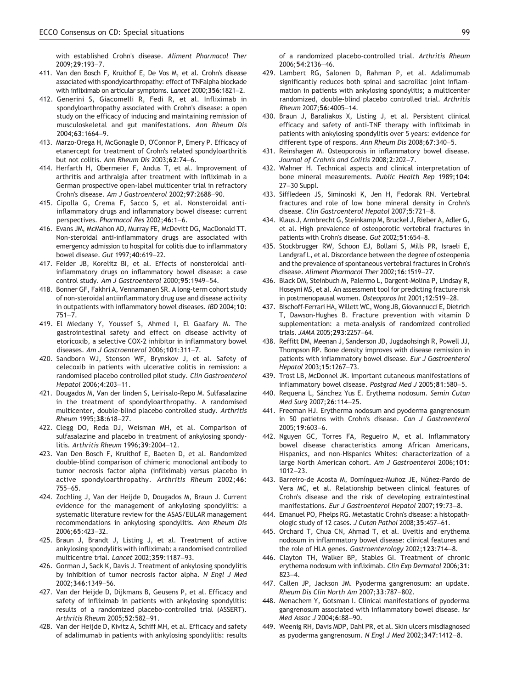<span id="page-36-0"></span>with established Crohn's disease. Aliment Pharmacol Ther 2009;29:193–7.

- 411. Van den Bosch F, Kruithof E, De Vos M, et al. Crohn's disease associated with spondyloarthropathy: effect of TNFalpha blockade with infliximab on articular symptoms. Lancet 2000;356:1821-2.
- 412. Generini S, Giacomelli R, Fedi R, et al. Infliximab in spondyloarthropathy associated with Crohn's disease: a open study on the efficacy of inducing and maintaining remission of musculoskeletal and gut manifestations. Ann Rheum Dis 2004;63:1664–9.
- 413. Marzo-Orega H, McGonagle D, O'Connor P, Emery P. Efficacy of etanercept for treatment of Crohn's related spondyloarthritis but not colitis. Ann Rheum Dis 2003;62:74–6.
- 414. Herfarth H, Obermeier F, Andus T, et al. Improvement of arthritis and arthralgia after treatment with infliximab in a German prospective open-label multicenter trial in refractory Crohn's disease. Am J Gastroenterol 2002;97:2688–90.
- 415. Cipolla G, Crema F, Sacco S, et al. Nonsteroidal antiinflammatory drugs and inflammatory bowel disease: current perspectives. Pharmacol Res 2002;46:1–6.
- 416. Evans JM, McMahon AD, Murray FE, McDevitt DG, MacDonald TT. Non-steroidal anti-inflammatory drugs are associated with emergency admission to hospital for colitis due to inflammatory bowel disease. Gut 1997;40:619–22.
- 417. Felder JB, Korelitz BI, et al. Effects of nonsteroidal antiinflammatory drugs on inflammatory bowel disease: a case control study. Am J Gastroenterol 2000;95:1949–54.
- 418. Bonner GF, Fakhri A, Vennamanen SR. A long-term cohort study of non-steroidal antiinflammatory drug use and disease activity in outpatients with inflammatory bowel diseases. IBD 2004;10: 751–7.
- 419. El Miedany Y, Youssef S, Ahmed I, El Gaafary M. The gastrointestinal safety and effect on disease activity of etoricoxib, a selective COX-2 inhibitor in inflammatory bowel diseases. Am J Gastroenterol 2006;101:311–7.
- 420. Sandborn WJ, Stenson WF, Brynskov J, et al. Safety of celecoxib in patients with ulcerative colitis in remission: a randomised placebo controlled pilot study. Clin Gastroenterol Hepatol 2006;4:203–11.
- 421. Dougados M, Van der linden S, Leirisalo-Repo M. Sulfasalazine in the treatment of spondyloarthropathy. A randomised multicenter, double-blind placebo controlled study. Arthritis Rheum 1995;38:618–27.
- 422. Clegg DO, Reda DJ, Weisman MH, et al. Comparison of sulfasalazine and placebo in treatment of ankylosing spondylitis. Arthritis Rheum 1996;39:2004–12.
- 423. Van Den Bosch F, Kruithof E, Baeten D, et al. Randomized double-blind comparison of chimeric monoclonal antibody to tumor necrosis factor alpha (infliximab) versus placebo in active spondyloarthropathy. Arthritis Rheum 2002;46: 755–65.
- 424. Zochling J, Van der Heijde D, Dougados M, Braun J. Current evidence for the management of ankylosing spondylitis: a systematic literature review for the ASAS/EULAR management recommendations in ankylosing spondylitis. Ann Rheum Dis 2006;65:423–32.
- 425. Braun J, Brandt J, Listing J, et al. Treatment of active ankylosing spondylitis with infliximab: a randomised controlled multicentre trial. Lancet 2002;359:1187–93.
- 426. Gorman J, Sack K, Davis J. Treatment of ankylosing spondylitis by inhibition of tumor necrosis factor alpha. N Engl J Med 2002;346:1349–56.
- 427. Van der Heijde D, Dijkmans B, Geusens P, et al. Efficacy and safety of infliximab in patients with ankylosing spondylitis: results of a randomized placebo-controlled trial (ASSERT). Arthritis Rheum 2005;52:582–91.
- 428. Van der Heijde D, Kivitz A, Schiff MH, et al. Efficacy and safety of adalimumab in patients with ankylosing spondylitis: results

of a randomized placebo-controlled trial. Arthritis Rheum 2006;54:2136–46.

- 429. Lambert RG, Salonen D, Rahman P, et al. Adalimumab significantly reduces both spinal and sacroiliac joint inflammation in patients with ankylosing spondylitis; a multicenter randomized, double-blind placebo controlled trial. Arthritis Rheum 2007;56:4005–14.
- 430. Braun J, Baraliakos X, Listing J, et al. Persistent clinical efficacy and safety of anti-TNF therapy with infliximab in patients with ankylosing spondylitis over 5 years: evidence for different type of respons. Ann Rheum Dis 2008;67:340–5.
- 431. Reinshagen M. Osteoporosis in inflammatory bowel disease. Journal of Crohn's and Colitis 2008;2:202–7.
- 432. Wahner H. Technical aspects and clinical interpretation of bone mineral measurements. Public Health Rep 1989;104: 27–30 Suppl.
- 433. Siffledeen JS, Siminoski K, Jen H, Fedorak RN. Vertebral fractures and role of low bone mineral density in Crohn's disease. Clin Gastroenterol Hepatol 2007;5:721–8.
- 434. Klaus J, Armbrecht G, Steinkamp M, Bruckel J, Rieber A, Adler G, et al. High prevalence of osteoporotic vertebral fractures in patients with Crohn's disease. Gut 2002;51:654–8.
- 435. Stockbrugger RW, Schoon EJ, Bollani S, Mills PR, Israeli E, Landgraf L, et al. Discordance between the degree of osteopenia and the prevalence of spontaneous vertebral fractures in Crohn's disease. Aliment Pharmacol Ther 2002;16:1519–27.
- 436. Black DM, Steinbuch M, Palermo L, Dargent-Molina P, Lindsay R, Hoseyni MS, et al. An assessment tool for predicting fracture risk in postmenopausal women. Osteoporos Int 2001;12:519–28.
- 437. Bischoff-Ferrari HA, Willett WC, Wong JB, Giovannucci E, Dietrich T, Dawson-Hughes B. Fracture prevention with vitamin D supplementation: a meta-analysis of randomized controlled trials. JAMA 2005;293:2257–64.
- 438. Reffitt DM, Meenan J, Sanderson JD, Jugdaohsingh R, Powell JJ, Thompson RP. Bone density improves with disease remission in patients with inflammatory bowel disease. Eur J Gastroenterol Hepatol 2003;15:1267–73.
- 439. Trost LB, McDonnel JK. Important cutaneous manifestations of inflammatory bowel disease. Postgrad Med J 2005;81:580–5.
- 440. Requena L, Sánchez Yus E. Erythema nodosum. Semin Cutan Med Surg 2007;26:114–25.
- 441. Freeman HJ. Erytherma nodosum and pyoderma gangrenosum in 50 patietns with Crohn's disease. Can J Gastroenterol  $2005:19:603-6$
- 442. Nguyen GC, Torres FA, Regueiro M, et al. Inflammatory bowel disease characteristics among African Americans, Hispanics, and non-Hispanics Whites: characterization of a large North American cohort. Am J Gastroenterol 2006;101: 1012–23.
- 443. Barreiro-de Acosta M, Domínguez-Muñoz JE, Núñez-Pardo de Vera MC, et al. Relationship between clinical features of Crohn's disease and the risk of developing extraintestinal manifestations. Eur J Gastroenterol Hepatol 2007;19:73–8.
- 444. Emanuel PO, Phelps RG. Metastatic Crohn's disease: a histopathologic study of 12 cases. J Cutan Pathol 2008;35:457–61.
- 445. Orchard T, Chua CN, Ahmad T, et al. Uveitis and erythema nodosum in inflammatory bowel disease: clinical features and the role of HLA genes. Gastroenterology 2002;123:714–8.
- 446. Clayton TH, Walker BP, Stables GI. Treatment of chronic erythema nodosum with infliximab. Clin Exp Dermatol 2006;31: 823–4.
- 447. Callen JP, Jackson JM. Pyoderma gangrenosum: an update. Rheum Dis Clin North Am 2007;33:787–802.
- 448. Menachem Y, Gotsman I. Clinical manifestations of pyoderma gangrenosum associated with inflammatory bowel disease. Isr Med Assoc J 2004;6:88–90.
- 449. Weenig RH, Davis MDP, Dahl PR, et al. Skin ulcers misdiagnosed as pyoderma gangrenosum. N Engl J Med 2002;347:1412–8.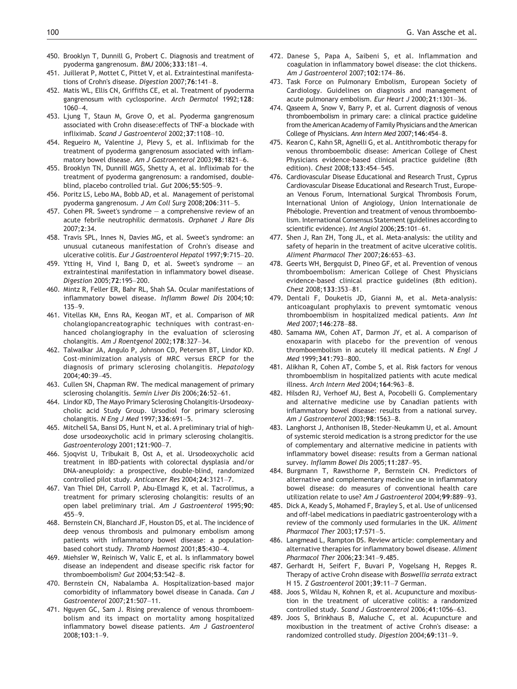- <span id="page-37-0"></span>450. Brooklyn T, Dunnill G, Probert C. Diagnosis and treatment of pyoderma gangrenosum. BMJ 2006;333:181–4.
- 451. Juillerat P, Mottet C, Pittet V, et al. Extraintestinal manifestations of Crohn's disease. Digestion 2007;76:141–8.
- 452. Matis WL, Ellis CN, Griffiths CE, et al. Treatment of pyoderma gangrenosum with cyclosporine. Arch Dermatol 1992;128: 1060–4.
- 453. Ljung T, Staun M, Grove O, et al. Pyoderma gangrenosum associated with Crohn disease:effects of TNF-a blockade with infliximab. Scand J Gastroenterol 2002;37:1108–10.
- 454. Regueiro M, Valentine J, Plevy S, et al. Infliximab for the treatment of pyoderma gangrenosum associated with inflammatory bowel disease. Am J Gastroenterol 2003;98:1821–6.
- 455. Brooklyn TN, Dunnill MGS, Shetty A, et al. Infliximab for the treatment of pyoderma gangrenosum: a randomised, doubleblind, placebo controlled trial. Gut 2006;55:505–9.
- 456. Poritz LS, Lebo MA, Bobb AD, et al. Management of peristomal pyoderma gangrenosum. J Am Coll Surg 2008;206:311–5.
- 457. Cohen PR. Sweet's syndrome a comprehensive review of an acute febrile neutrophilic dermatosis. Orphanet J Rare Dis 2007;2:34.
- 458. Travis SPL, Innes N, Davies MG, et al. Sweet's syndrome: an unusual cutaneous manifestation of Crohn's disease and ulcerative colitis. Eur J Gastroenterol Hepatol 1997;9:715–20.
- 459. Ytting H, Vind I, Bang D, et al. Sweet's syndrome an extraintestinal manifestation in inflammatory bowel disease. Digestion 2005;72:195–200.
- 460. Mintz R, Feller ER, Bahr RL, Shah SA. Ocular manifestations of inflammatory bowel disease. Inflamm Bowel Dis 2004;10: 135–9.
- 461. Vitellas KM, Enns RA, Keogan MT, et al. Comparison of MR cholangiopancreatographic techniques with contrast-enhanced cholangiography in the evaluation of sclerosing cholangitis. Am J Roentgenol 2002;178:327–34.
- 462. Talwalkar JA, Angulo P, Johnson CD, Petersen BT, Lindor KD. Cost-minimization analysis of MRC versus ERCP for the diagnosis of primary sclerosing cholangitis. Hepatology 2004;40:39–45.
- 463. Cullen SN, Chapman RW. The medical management of primary sclerosing cholangitis. Semin Liver Dis 2006;26:52–61.
- 464. Lindor KD, The Mayo Primary Sclerosing Cholangitis-Ursodeoxycholic acid Study Group. Ursodiol for primary sclerosing cholangitis. N Eng J Med 1997;336:691–5.
- 465. Mitchell SA, Bansi DS, Hunt N, et al. A preliminary trial of highdose ursodeoxycholic acid in primary sclerosing cholangitis. Gastroenterology 2001;121:900–7.
- 466. Sjoqvist U, Tribukait B, Ost A, et al. Ursodeoxycholic acid treatment in IBD-patients with colorectal dysplasia and/or DNA-aneuploidy: a prospective, double-blind, randomized controlled pilot study. Anticancer Res 2004;24:3121–7.
- 467. Van Thiel DH, Carroll P, Abu-Elmagd K, et al. Tacrolimus, a treatment for primary sclerosing cholangitis: results of an open label preliminary trial. Am J Gastroenterol 1995;90: 455–9.
- 468. Bernstein CN, Blanchard JF, Houston DS, et al. The incidence of deep venous thrombosis and pulmonary embolism among patients with inflammatory bowel disease: a populationbased cohort study. Thromb Haemost 2001;85:430–4.
- 469. Miehsler W, Reinisch W, Valic E, et al. Is inflammatory bowel disease an independent and disease specific risk factor for thromboembolism? Gut 2004;53:542–8.
- 470. Bernstein CN, Nabalamba A. Hospitalization-based major comorbidity of inflammatory bowel disease in Canada. Can J Gastroenterol 2007;21:507–11.
- 471. Nguyen GC, Sam J. Rising prevalence of venous thromboembolism and its impact on mortality among hospitalized inflammatory bowel disease patients. Am J Gastroenterol 2008;103:1–9.
- 472. Danese S, Papa A, Saibeni S, et al. Inflammation and coagulation in inflammatory bowel disease: the clot thickens. Am J Gastroenterol 2007;102:174–86.
- 473. Task Force on Pulmonary Embolism, European Society of Cardiology. Guidelines on diagnosis and management of acute pulmonary embolism. Eur Heart J 2000;21:1301–36.
- 474. Qaseem A, Snow V, Barry P, et al. Current diagnosis of venous thromboembolism in primary care: a clinical practice guideline from the American Academy of Family Physicians and the American College of Physicians. Ann Intern Med 2007;146:454–8.
- 475. Kearon C, Kahn SR, Agnelli G, et al. Antithrombotic therapy for venous thromboembolic disease: American College of Chest Physicians evidence-based clinical practice guideline (8th edition). Chest 2008;133:454–545.
- 476. Cardiovascular Disease Educational and Research Trust, Cyprus Cardiovascular Disease Educational and Research Trust, European Venous Forum, International Surgical Thrombosis Forum, International Union of Angiology, Union Internationale de Phébologie. Prevention and treatment of venous thromboembolism. International Consensus Statement (guidelines according to scientific evidence). Int Angiol 2006;25:101–61.
- 477. Shen J, Ran ZH, Tong JL, et al. Meta-analysis: the utility and safety of heparin in the treatment of acitve ulcerative colitis. Aliment Pharmacol Ther 2007;26:653–63.
- 478. Geerts WH, Bergquist D, Pineo GF, et al. Prevention of venous thromboembolism: American College of Chest Physicians evidence-based clinical practice guidelines (8th edition). Chest 2008;133:353–81.
- 479. Dentali F, Douketis JD, Gianni M, et al. Meta-analysis: anticoagulant prophylaxis to prevent symtomatic venous thromboemblism in hospitalized medical patients. Ann Int Med 2007;146:278–88.
- 480. Samama MM, Cohen AT, Darmon JY, et al. A comparison of enoxaparin with placebo for the prevention of venous thromboembolism in acutely ill medical patients. N Engl J Med 1999;341:793–800.
- 481. Alikhan R, Cohen AT, Combe S, et al. Risk factors for venous thromboemblism in hospitalized patients with acute medical illness. Arch Intern Med 2004;164:963–8.
- 482. Hilsden RJ, Verhoef MJ, Best A, Pocobelli G. Complementary and alternative medicine use by Canadian patients with inflammatory bowel disease: results from a national survey. Am J Gastroenterol 2003;98:1563–8.
- 483. Langhorst J, Anthonisen IB, Steder-Neukamm U, et al. Amount of systemic steroid medication is a strong predictor for the use of complementary and alternative medicine in patients with inflammatory bowel disease: results from a German national survey. Inflamm Bowel Dis 2005;11:287–95.
- 484. Burgmann T, Rawsthorne P, Bernstein CN. Predictors of alternative and complementary medicine use in inflammatory bowel disease: do measures of conventional health care utilization relate to use? Am J Gastroenterol 2004;99:889–93.
- 485. Dick A, Keady S, Mohamed F, Brayley S, et al. Use of unlicensed and off-label medications in paediatric gastroenterology with a review of the commonly used formularies in the UK. Aliment Pharmacol Ther 2003;17:571–5.
- 486. Langmead L, Rampton DS. Review article: complementary and alternative therapies for inflammatory bowel disease. Aliment Pharmacol Ther 2006;23:341–9.485.
- 487. Gerhardt H, Seifert F, Buvari P, Vogelsang H, Repges R. Therapy of active Crohn disease with Boswellia serrata extract H 15. Z Gastroenterol 2001;39:11–7 German.
- 488. Joos S, Wildau N, Kohnen R, et al. Acupuncture and moxibustion in the treatment of ulcerative colitis: a randomized controlled study. Scand J Gastroenterol 2006;41:1056–63.
- 489. Joos S, Brinkhaus B, Maluche C, et al. Acupuncture and moxibustion in the treatment of active Crohn's disease: a randomized controlled study. Digestion 2004;69:131–9.